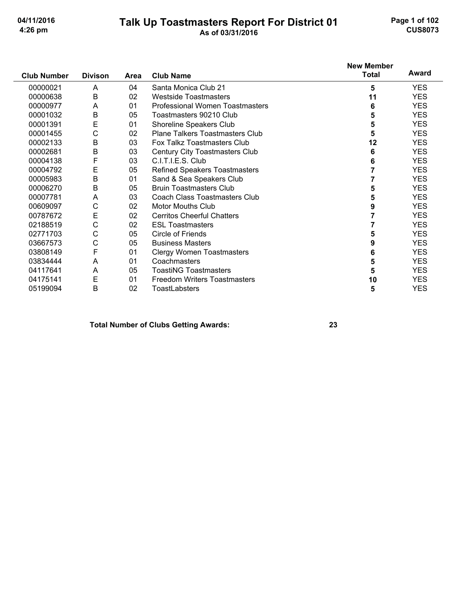# Talk Up Toastmasters Report For District 01<br>As of 03/31/2016

Page 1 of 102 **CUS8073** 

|                    |                |             |                                      | <b>New Member</b> |            |
|--------------------|----------------|-------------|--------------------------------------|-------------------|------------|
| <b>Club Number</b> | <b>Divison</b> | <b>Area</b> | <b>Club Name</b>                     | <b>Total</b>      | Award      |
| 00000021           | A              | 04          | Santa Monica Club 21                 | 5                 | <b>YES</b> |
| 00000638           | B              | 02          | <b>Westside Toastmasters</b>         | 11                | <b>YES</b> |
| 00000977           | A              | 01          | Professional Women Toastmasters      | 6                 | <b>YES</b> |
| 00001032           | $\mathsf B$    | 05          | Toastmasters 90210 Club              | 5                 | <b>YES</b> |
| 00001391           | E              | 01          | Shoreline Speakers Club              | 5                 | <b>YES</b> |
| 00001455           | C              | 02          | Plane Talkers Toastmasters Club      | 5                 | <b>YES</b> |
| 00002133           | B              | 03          | Fox Talkz Toastmasters Club          | 12                | <b>YES</b> |
| 00002681           | B              | 03          | Century City Toastmasters Club       | 6                 | <b>YES</b> |
| 00004138           | F              | 03          | C.I.T.I.E.S. Club                    | 6                 | <b>YES</b> |
| 00004792           | E              | 05          | <b>Refined Speakers Toastmasters</b> | $\overline{7}$    | <b>YES</b> |
| 00005983           | B              | 01          | Sand & Sea Speakers Club             |                   | <b>YES</b> |
| 00006270           | B              | 05          | <b>Bruin Toastmasters Club</b>       | 5                 | <b>YES</b> |
| 00007781           | A              | 03          | Coach Class Toastmasters Club        | 5                 | <b>YES</b> |
| 00609097           | $\mathsf{C}$   | 02          | <b>Motor Mouths Club</b>             | 9                 | <b>YES</b> |
| 00787672           | E              | 02          | <b>Cerritos Cheerful Chatters</b>    | 7                 | <b>YES</b> |
| 02188519           | C              | 02          | <b>ESL Toastmasters</b>              | 7                 | <b>YES</b> |
| 02771703           | C              | 05          | Circle of Friends                    | 5                 | <b>YES</b> |
| 03667573           | С              | 05          | <b>Business Masters</b>              | 9                 | <b>YES</b> |
| 03808149           | F              | 01          | <b>Clergy Women Toastmasters</b>     | 6                 | <b>YES</b> |
| 03834444           | A              | 01          | Coachmasters                         | 5                 | <b>YES</b> |
| 04117641           | A              | 05          | <b>ToastiNG Toastmasters</b>         | 5                 | <b>YES</b> |
| 04175141           | Ε              | 01          | <b>Freedom Writers Toastmasters</b>  | 10                | <b>YES</b> |
| 05199094           | Β              | 02          | <b>ToastLabsters</b>                 | 5                 | <b>YES</b> |

#### **Total Number of Clubs Getting Awards:**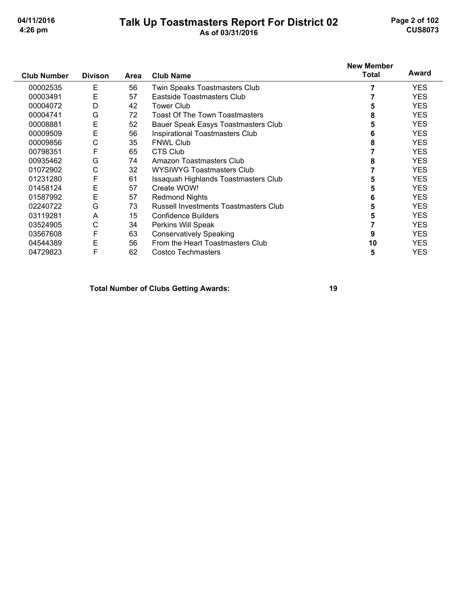# Talk Up Toastmasters Report For District 02<br>As of 03/31/2016

Page 2 of 102 **CUS8073** 

|                    |                |             |                                       | <b>New Member</b><br>Total | Award      |
|--------------------|----------------|-------------|---------------------------------------|----------------------------|------------|
| <b>Club Number</b> | <b>Divison</b> | <b>Area</b> | <b>Club Name</b>                      |                            |            |
| 00002535           | Е              | 56          | Twin Speaks Toastmasters Club         |                            | <b>YES</b> |
| 00003491           | E              | 57          | Eastside Toastmasters Club            |                            | <b>YES</b> |
| 00004072           | D              | 42          | <b>Tower Club</b>                     |                            | <b>YES</b> |
| 00004741           | G              | 72          | <b>Toast Of The Town Toastmasters</b> |                            | <b>YES</b> |
| 00008881           | E              | 52          | Bauer Speak Easys Toastmasters Club   | 5                          | <b>YES</b> |
| 00009509           | E              | 56          | Inspirational Toastmasters Club       |                            | <b>YES</b> |
| 00009856           | С              | 35          | <b>FNWL Club</b>                      | 8                          | <b>YES</b> |
| 00798351           | F              | 65          | CTS Club                              |                            | <b>YES</b> |
| 00935462           | G              | 74          | <b>Amazon Toastmasters Club</b>       |                            | <b>YES</b> |
| 01072902           | С              | 32          | <b>WYSIWYG Toastmasters Club</b>      |                            | <b>YES</b> |
| 01231280           | F              | 61          | Issaquah Highlands Toastmasters Club  |                            | <b>YES</b> |
| 01458124           | Е              | 57          | Create WOW!                           |                            | <b>YES</b> |
| 01587992           | E              | 57          | <b>Redmond Nights</b>                 |                            | <b>YES</b> |
| 02240722           | G              | 73          | Russell Investments Toastmasters Club | 5                          | <b>YES</b> |
| 03119281           | A              | 15          | Confidence Builders                   |                            | <b>YES</b> |
| 03524905           | С              | 34          | Perkins Will Speak                    |                            | <b>YES</b> |
| 03567608           | F              | 63          | <b>Conservatively Speaking</b>        | 9                          | <b>YES</b> |
| 04544389           | E              | 56          | From the Heart Toastmasters Club      | 10                         | <b>YES</b> |
| 04729823           | F              | 62          | <b>Costco Techmasters</b>             | 5                          | YES        |

**Total Number of Clubs Getting Awards:**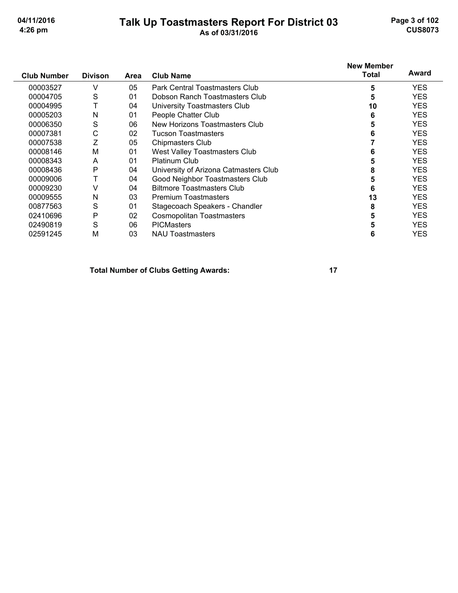#### Talk Up Toastmasters Report For District 03

Page 3 of 102 **CUS8073** 

| <b>Club Number</b> | <b>Divison</b> | Area | <b>Club Name</b>                      | <b>New Member</b><br>Total | Award      |
|--------------------|----------------|------|---------------------------------------|----------------------------|------------|
| 00003527           | v              | 05   | Park Central Toastmasters Club        | 5                          | <b>YES</b> |
| 00004705           | S              | 01   | Dobson Ranch Toastmasters Club        | 5                          | <b>YES</b> |
| 00004995           | т              | 04   | University Toastmasters Club          | 10                         | <b>YES</b> |
| 00005203           | N              | 01   | People Chatter Club                   | 6                          | <b>YES</b> |
| 00006350           | S              | 06   | New Horizons Toastmasters Club        | 5                          | <b>YES</b> |
| 00007381           | С              | 02   | <b>Tucson Toastmasters</b>            | 6                          | <b>YES</b> |
| 00007538           | Ζ              | 05   | <b>Chipmasters Club</b>               |                            | <b>YES</b> |
| 00008146           | M              | 01   | West Valley Toastmasters Club         | 6                          | <b>YES</b> |
| 00008343           | A              | 01   | <b>Platinum Club</b>                  |                            | <b>YES</b> |
| 00008436           | P              | 04   | University of Arizona Catmasters Club | 8                          | <b>YES</b> |
| 00009006           |                | 04   | Good Neighbor Toastmasters Club       | 5                          | <b>YES</b> |
| 00009230           | V              | 04   | <b>Biltmore Toastmasters Club</b>     | 6                          | <b>YES</b> |
| 00009555           | N              | 03   | <b>Premium Toastmasters</b>           | 13                         | <b>YES</b> |
| 00877563           | S              | 01   | Stagecoach Speakers - Chandler        | 8                          | <b>YES</b> |
| 02410696           | P              | 02   | Cosmopolitan Toastmasters             |                            | <b>YES</b> |
| 02490819           | S              | 06   | <b>PICMasters</b>                     |                            | <b>YES</b> |
| 02591245           | M              | 03   | <b>NAU Toastmasters</b>               | 6                          | YES        |

**Total Number of Clubs Getting Awards:**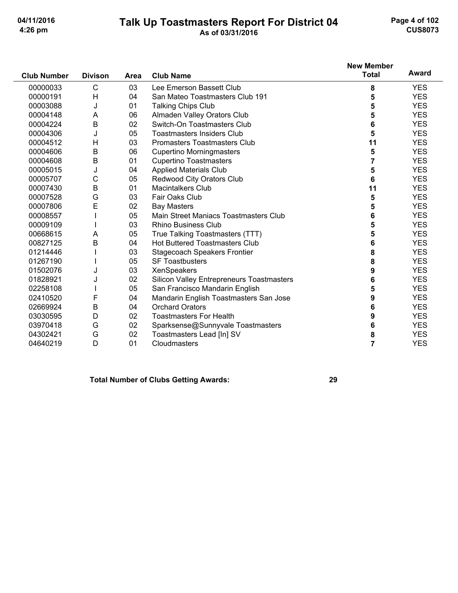#### Talk Up Toastmasters Report For District 04<br>As of 03/31/2016

Page 4 of 102 **CUS8073** 

|                    |                |      |                                           | <b>New Member</b><br><b>Total</b> | Award      |
|--------------------|----------------|------|-------------------------------------------|-----------------------------------|------------|
| <b>Club Number</b> | <b>Divison</b> | Area | <b>Club Name</b>                          |                                   |            |
| 00000033           | C              | 03   | Lee Emerson Bassett Club                  | 8                                 | <b>YES</b> |
| 00000191           | Н              | 04   | San Mateo Toastmasters Club 191           | 5                                 | <b>YES</b> |
| 00003088           | J              | 01   | <b>Talking Chips Club</b>                 | 5                                 | <b>YES</b> |
| 00004148           | Α              | 06   | Almaden Valley Orators Club               | 5                                 | <b>YES</b> |
| 00004224           | B              | 02   | Switch-On Toastmasters Club               | 6                                 | <b>YES</b> |
| 00004306           | J              | 05   | <b>Toastmasters Insiders Club</b>         | 5                                 | <b>YES</b> |
| 00004512           | н              | 03   | <b>Promasters Toastmasters Club</b>       | 11                                | <b>YES</b> |
| 00004606           | B              | 06   | <b>Cupertino Morningmasters</b>           | 5                                 | <b>YES</b> |
| 00004608           | B              | 01   | <b>Cupertino Toastmasters</b>             | 7                                 | <b>YES</b> |
| 00005015           | J              | 04   | <b>Applied Materials Club</b>             | 5                                 | <b>YES</b> |
| 00005707           | C              | 05   | Redwood City Orators Club                 | 6                                 | <b>YES</b> |
| 00007430           | B              | 01   | <b>Macintalkers Club</b>                  | 11                                | <b>YES</b> |
| 00007528           | G              | 03   | <b>Fair Oaks Club</b>                     | 5                                 | <b>YES</b> |
| 00007806           | E              | 02   | <b>Bay Masters</b>                        | 5                                 | <b>YES</b> |
| 00008557           |                | 05   | Main Street Maniacs Toastmasters Club     | 6                                 | <b>YES</b> |
| 00009109           |                | 03   | <b>Rhino Business Club</b>                | 5                                 | <b>YES</b> |
| 00668615           | Α              | 05   | True Talking Toastmasters (TTT)           | 5                                 | <b>YES</b> |
| 00827125           | B              | 04   | <b>Hot Buttered Toastmasters Club</b>     | 6                                 | <b>YES</b> |
| 01214446           |                | 03   | <b>Stagecoach Speakers Frontier</b>       | 8                                 | <b>YES</b> |
| 01267190           |                | 05   | <b>SF Toastbusters</b>                    | 8                                 | <b>YES</b> |
| 01502076           | J              | 03   | XenSpeakers                               | 9                                 | <b>YES</b> |
| 01828921           | J              | 02   | Silicon Valley Entrepreneurs Toastmasters | 6                                 | <b>YES</b> |
| 02258108           |                | 05   | San Francisco Mandarin English            | 5                                 | <b>YES</b> |
| 02410520           | F              | 04   | Mandarin English Toastmasters San Jose    | 9                                 | <b>YES</b> |
| 02669924           | B              | 04   | <b>Orchard Orators</b>                    | 6                                 | <b>YES</b> |
| 03030595           | D              | 02   | <b>Toastmasters For Health</b>            | 9                                 | <b>YES</b> |
| 03970418           | G              | 02   | Sparksense@Sunnyvale Toastmasters         | 6                                 | <b>YES</b> |
| 04302421           | G              | 02   | Toastmasters Lead [In] SV                 | 8                                 | <b>YES</b> |
| 04640219           | D              | 01   | Cloudmasters                              | $\overline{7}$                    | <b>YES</b> |

#### **Total Number of Clubs Getting Awards:**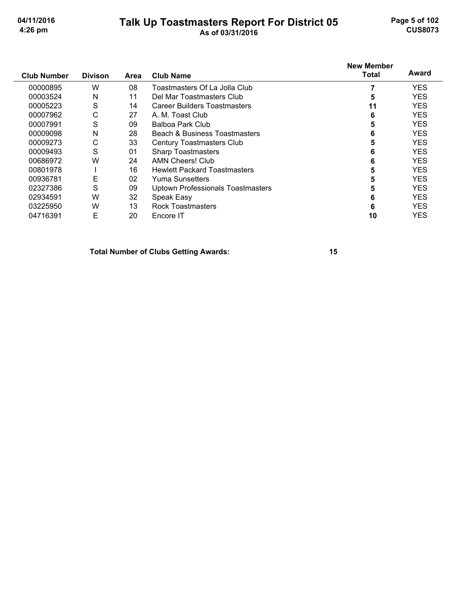00801978

#### Talk Up Toastmasters Report For District 05 As of 03/31/2016

Page 5 of 102 **CUS8073** 

**YES** 

**YES YES YES YES YES** 

5

#### **New Member Award Total Club Number Divison** Area **Club Name** 00000895 W 08 Toastmasters Of La Jolla Club  $\overline{7}$ **YES** 00003524  $\mathsf{N}$  $11$ Del Mar Toastmasters Club  $5\phantom{1}$ **YES**  $\mathsf{S}$ 00005223  $14$ **Career Builders Toastmasters**  $11$ **YES** 00007962  $\mathsf{C}$ 27 A. M. Toast Club 6 **YES**  $\mathsf{S}$ 09 **Balboa Park Club**  $5\phantom{a}$ 00007991 **YES Beach & Business Toastmasters**  $\overline{N}$ 28 **YES** 00009098 6  $\mathsf{C}$ 00009273 33 Century Toastmasters Club 5 **YES** 00009493  $\mathsf S$ 01 **Sharp Toastmasters**  $\bf 6$ **YES** 00686972 W 24 **AMN Cheers! Club** 6 **YES**

| 00936781 |   | 02 | Yuma Sunsetters                          | 5  |
|----------|---|----|------------------------------------------|----|
| 02327386 | S | 09 | <b>Uptown Professionals Toastmasters</b> | 5  |
| 02934591 | w | 32 | Speak Easy                               | 6  |
| 03225950 | w | 13 | <b>Rock Toastmasters</b>                 | 6  |
| 04716391 | F | 20 | Encore IT                                | 10 |
|          |   |    |                                          |    |

**Hewlett Packard Toastmasters** 

**Total Number of Clubs Getting Awards:** 

 $\mathbf{I}$ 

16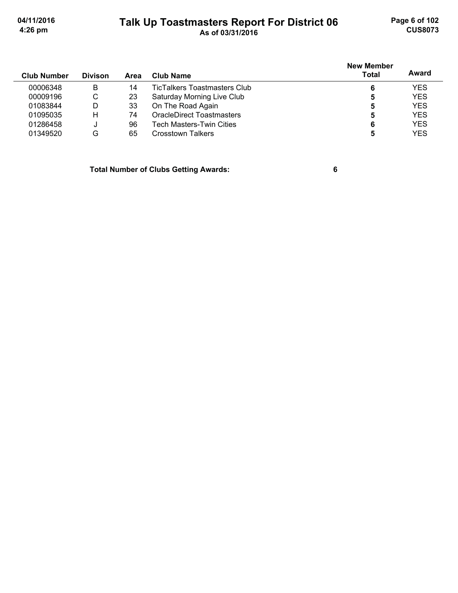Page 6 of 102 **CUS8073** 

04/11/2016 4:26 pm

#### Talk Up Toastmasters Report For District 06<br>As of 03/31/2016

| <b>Club Number</b> | <b>Divison</b> | Area | Club Name                           | <b>New Member</b><br><b>Total</b> | Award      |
|--------------------|----------------|------|-------------------------------------|-----------------------------------|------------|
| 00006348           | B              | 14   | <b>TicTalkers Toastmasters Club</b> | 6                                 | <b>YES</b> |
| 00009196           | C              | 23   | Saturday Morning Live Club          | 5                                 | <b>YES</b> |
| 01083844           | D              | 33   | On The Road Again                   | 5                                 | <b>YES</b> |
| 01095035           | н              | 74   | <b>OracleDirect Toastmasters</b>    | 5                                 | <b>YES</b> |
| 01286458           |                | 96   | Tech Masters-Twin Cities            | 6                                 | <b>YES</b> |
| 01349520           | G              | 65   | Crosstown Talkers                   |                                   | <b>YES</b> |

**Total Number of Clubs Getting Awards:** 

 $6\phantom{a}$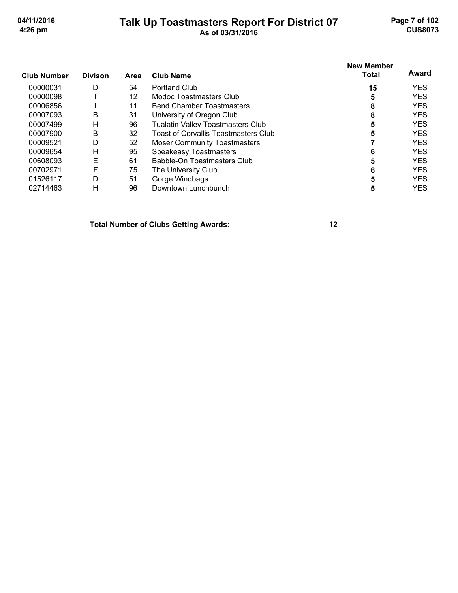# Talk Up Toastmasters Report For District 07<br>As of 03/31/2016

Page 7 of 102 **CUS8073** 

| <b>Club Number</b> | <b>Divison</b> | Area | <b>Club Name</b>                         | <b>New Member</b><br><b>Total</b> | Award      |
|--------------------|----------------|------|------------------------------------------|-----------------------------------|------------|
| 00000031           | D              | 54   | <b>Portland Club</b>                     | 15                                | <b>YES</b> |
| 00000098           |                | 12   | Modoc Toastmasters Club                  | 5                                 | <b>YES</b> |
| 00006856           |                | 11   | <b>Bend Chamber Toastmasters</b>         | 8                                 | <b>YES</b> |
| 00007093           | B              | 31   | University of Oregon Club                | 8                                 | <b>YES</b> |
| 00007499           | Н              | 96   | <b>Tualatin Valley Toastmasters Club</b> | 5                                 | <b>YES</b> |
| 00007900           | B              | 32   | Toast of Corvallis Toastmasters Club     | 5                                 | <b>YES</b> |
| 00009521           | D              | 52   | <b>Moser Community Toastmasters</b>      |                                   | <b>YES</b> |
| 00009654           | Н              | 95   | <b>Speakeasy Toastmasters</b>            | 6                                 | <b>YES</b> |
| 00608093           | E              | 61   | Babble-On Toastmasters Club              | 5                                 | <b>YES</b> |
| 00702971           | F              | 75   | The University Club                      | 6                                 | <b>YES</b> |
| 01526117           | D              | 51   | Gorge Windbags                           | 5                                 | <b>YES</b> |
| 02714463           | Н              | 96   | Downtown Lunchbunch                      | 5                                 | <b>YES</b> |

**Total Number of Clubs Getting Awards:**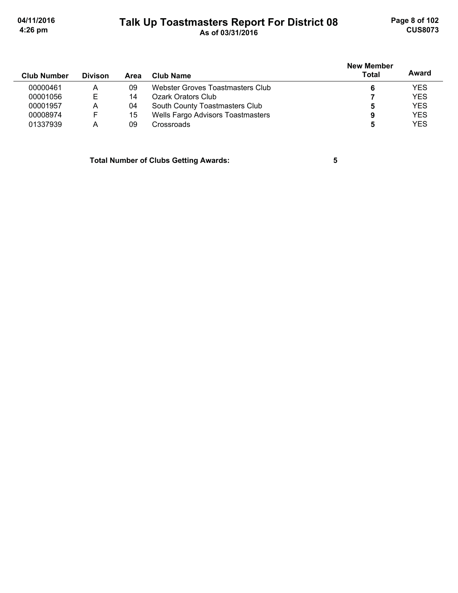Page 8 of 102 **CUS8073** 

04/11/2016 4:26 pm

#### Talk Up Toastmasters Report For District 08<br>As of 03/31/2016

| <b>Club Number</b> | <b>Divison</b> | Area | Club Name                         | <b>New Member</b><br><b>Total</b> | Award      |
|--------------------|----------------|------|-----------------------------------|-----------------------------------|------------|
| 00000461           | A              | 09   | Webster Groves Toastmasters Club  |                                   | <b>YES</b> |
| 00001056           | F              | 14   | Ozark Orators Club                |                                   | <b>YES</b> |
| 00001957           | Α              | 04   | South County Toastmasters Club    | 5                                 | <b>YES</b> |
| 00008974           | F              | 15   | Wells Fargo Advisors Toastmasters | 9                                 | <b>YES</b> |
| 01337939           | A              | 09   | Crossroads                        | 5                                 | <b>YES</b> |

**Total Number of Clubs Getting Awards:** 

 $\overline{\mathbf{5}}$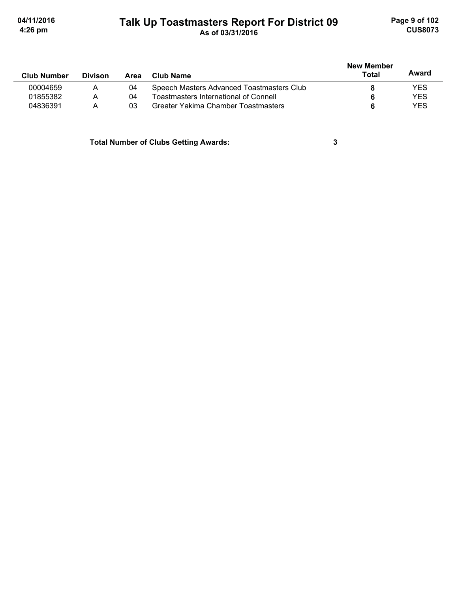#### Talk Up Toastmasters Report For District 09<br>As of 03/31/2016

Page 9 of 102 **CUS8073** 

|                    |                |      |                                           | <b>New Member</b> | Award      |
|--------------------|----------------|------|-------------------------------------------|-------------------|------------|
| <b>Club Number</b> | <b>Divison</b> | Area | Club Name                                 | Total             |            |
| 00004659           | Α              | 04   | Speech Masters Advanced Toastmasters Club |                   | <b>YES</b> |
| 01855382           | А              | 04   | Toastmasters International of Connell     |                   | <b>YES</b> |
| 04836391           | Α              | 03   | Greater Yakima Chamber Toastmasters       |                   | <b>YES</b> |

**Total Number of Clubs Getting Awards:** 

 $\mathbf{3}$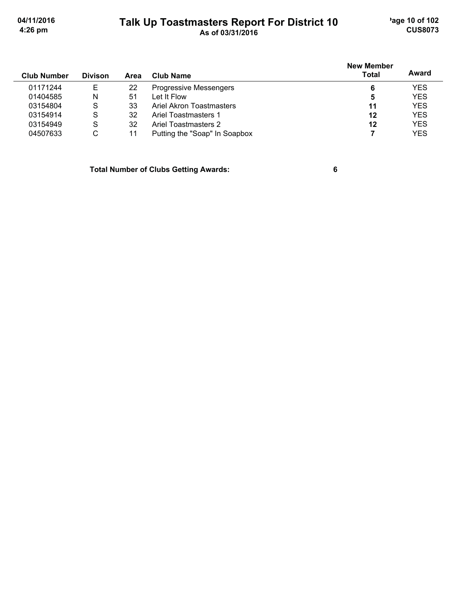'age 10 of 102 **CUS8073** 

04/11/2016 4:26 pm

#### Talk Up Toastmasters Report For District 10<br>As of 03/31/2016

|                    |                |      |                               | <b>New Member</b> |            |
|--------------------|----------------|------|-------------------------------|-------------------|------------|
| <b>Club Number</b> | <b>Divison</b> | Area | <b>Club Name</b>              | Total             | Award      |
| 01171244           | Е              | 22   | <b>Progressive Messengers</b> | 6                 | <b>YES</b> |
| 01404585           | N              | 51   | Let It Flow                   | 5                 | <b>YES</b> |
| 03154804           | S              | 33   | Ariel Akron Toastmasters      | 11                | <b>YES</b> |
| 03154914           | S              | 32   | Ariel Toastmasters 1          | 12                | <b>YES</b> |
| 03154949           | S              | 32   | Ariel Toastmasters 2          | 12                | <b>YES</b> |
| 04507633           | С              | 11   | Putting the "Soap" In Soapbox |                   | <b>YES</b> |

**Total Number of Clubs Getting Awards:** 

 $6\phantom{a}$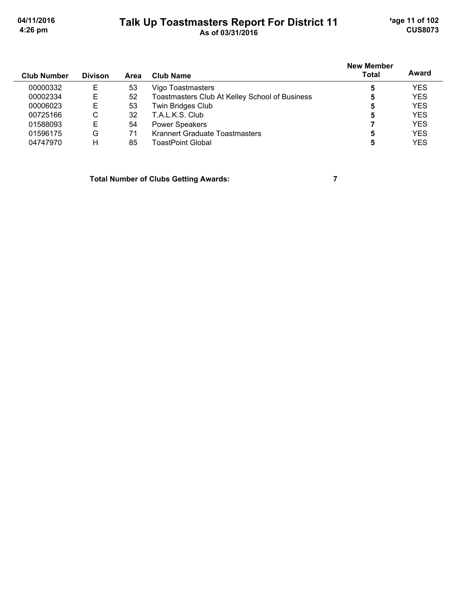'age 11 of 102 **CUS8073** 

04/11/2016 4:26 pm

#### Talk Up Toastmasters Report For District 11<br>As of 03/31/2016

| <b>Club Number</b> | <b>Divison</b> | Area | <b>Club Name</b>                               | New Member<br><b>Total</b> | Award      |  |
|--------------------|----------------|------|------------------------------------------------|----------------------------|------------|--|
| 00000332           | E              | 53   | Vigo Toastmasters                              | 5                          | <b>YES</b> |  |
| 00002334           | E              | 52   | Toastmasters Club At Kelley School of Business | 5                          | <b>YES</b> |  |
| 00006023           | E              | 53   | Twin Bridges Club                              | 5                          | <b>YES</b> |  |
| 00725166           | C              | 32   | T.A.L.K.S. Club                                | 5                          | <b>YES</b> |  |
| 01588093           | E              | 54   | <b>Power Speakers</b>                          |                            | <b>YES</b> |  |
| 01596175           | G              | 71   | Krannert Graduate Toastmasters                 | 5                          | <b>YES</b> |  |
| 04747970           | Н              | 85   | ToastPoint Global                              | 5                          | <b>YES</b> |  |
|                    |                |      |                                                |                            |            |  |

**Total Number of Clubs Getting Awards:** 

 $\overline{7}$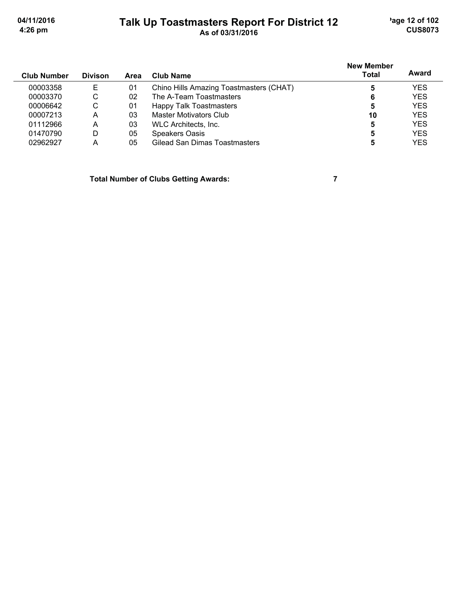'age 12 of 102 **CUS8073** 

04/11/2016 4:26 pm

# Talk Up Toastmasters Report For District 12<br>As of 03/31/2016

| <b>Club Number</b> | <b>Divison</b> | Area | Club Name                               | <b>New Member</b><br>Total | Award      |
|--------------------|----------------|------|-----------------------------------------|----------------------------|------------|
| 00003358           | Е              | 01   | Chino Hills Amazing Toastmasters (CHAT) | 5                          | <b>YES</b> |
| 00003370           | С              | 02   | The A-Team Toastmasters                 | 6                          | <b>YES</b> |
| 00006642           | С              | 01   | Happy Talk Toastmasters                 | 5                          | <b>YES</b> |
| 00007213           | А              | 03   | <b>Master Motivators Club</b>           | 10                         | <b>YES</b> |
| 01112966           | А              | 03   | WLC Architects, Inc.                    | 5                          | <b>YES</b> |
| 01470790           | D              | 05   | <b>Speakers Oasis</b>                   | 5                          | <b>YES</b> |
| 02962927           | А              | 05   | Gilead San Dimas Toastmasters           | 5                          | <b>YES</b> |

**Total Number of Clubs Getting Awards:** 

 $\overline{7}$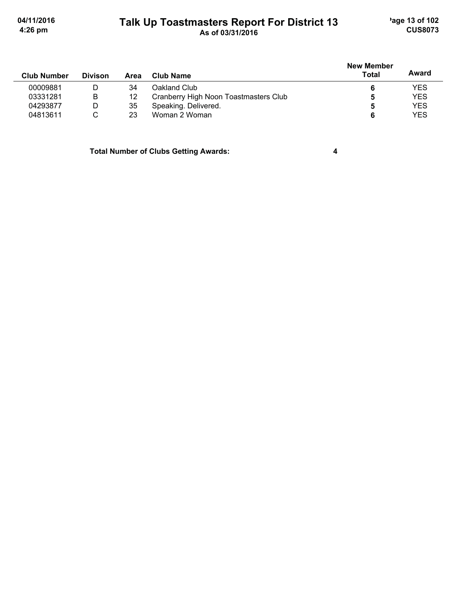#### Talk Up Toastmasters Report For District 13<br>As of 03/31/2016

'age 13 of 102 **CUS8073** 

|                    |                | Area |                                       | <b>New Member</b> |            |
|--------------------|----------------|------|---------------------------------------|-------------------|------------|
| <b>Club Number</b> | <b>Divison</b> |      | <b>Club Name</b>                      | Total             | Award      |
| 00009881           | D              | 34   | Oakland Club                          |                   | <b>YES</b> |
| 03331281           | B              | 12   | Cranberry High Noon Toastmasters Club |                   | <b>YES</b> |
| 04293877           | D              | 35   | Speaking. Delivered.                  |                   | <b>YES</b> |
| 04813611           |                | 23   | Woman 2 Woman                         | 6                 | <b>YES</b> |

**Total Number of Clubs Getting Awards:** 

 $\overline{\mathbf{4}}$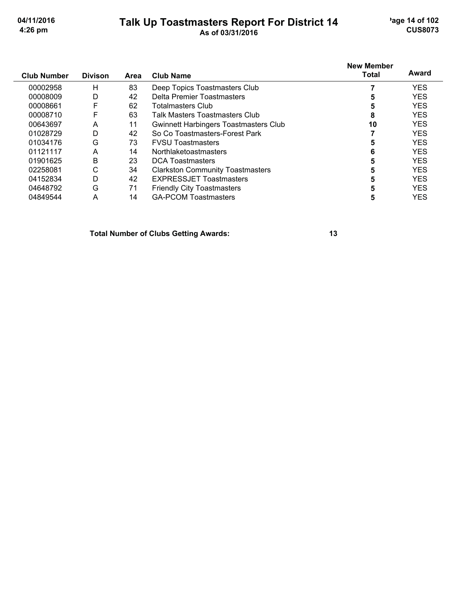#### Talk Up Toastmasters Report For District 14<br>As of 03/31/2016

'age 14 of 102 **CUS8073** 

| <b>Club Number</b> | <b>Divison</b> | Area | <b>Club Name</b>                             | <b>New Member</b><br><b>Total</b> | Award      |
|--------------------|----------------|------|----------------------------------------------|-----------------------------------|------------|
| 00002958           | Н              | 83   | Deep Topics Toastmasters Club                |                                   | <b>YES</b> |
| 00008009           | D              | 42   | Delta Premier Toastmasters                   | 5                                 | <b>YES</b> |
| 00008661           | F              | 62   | Totalmasters Club                            |                                   | <b>YES</b> |
| 00008710           | F              | 63   | Talk Masters Toastmasters Club               | 8                                 | <b>YES</b> |
| 00643697           | A              | 11   | <b>Gwinnett Harbingers Toastmasters Club</b> | 10                                | <b>YES</b> |
| 01028729           | D              | 42   | So Co Toastmasters-Forest Park               |                                   | <b>YES</b> |
| 01034176           | G              | 73   | <b>FVSU Toastmasters</b>                     | 5                                 | <b>YES</b> |
| 01121117           | A              | 14   | Northlaketoastmasters                        | 6                                 | <b>YES</b> |
| 01901625           | B              | 23   | <b>DCA Toastmasters</b>                      | 5                                 | <b>YES</b> |
| 02258081           | С              | 34   | <b>Clarkston Community Toastmasters</b>      |                                   | <b>YES</b> |
| 04152834           | D              | 42   | <b>EXPRESSJET Toastmasters</b>               |                                   | <b>YES</b> |
| 04648792           | G              | 71   | <b>Friendly City Toastmasters</b>            | 5                                 | <b>YES</b> |
| 04849544           | A              | 14   | <b>GA-PCOM Toastmasters</b>                  | 5                                 | <b>YES</b> |

**Total Number of Clubs Getting Awards:**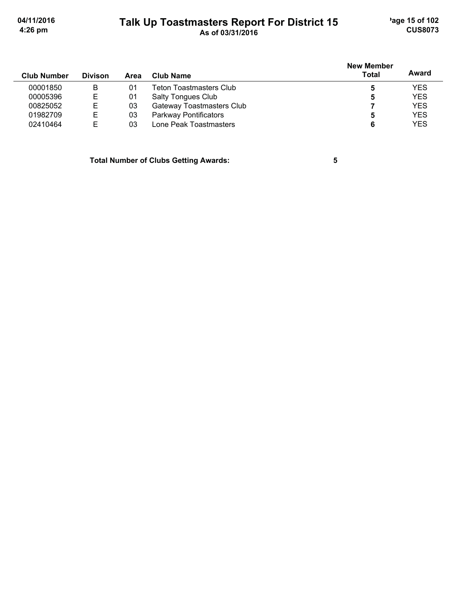'age 15 of 102 **CUS8073** 

04/11/2016 4:26 pm

#### Talk Up Toastmasters Report For District 15<br>As of 03/31/2016

| <b>Club Number</b> | <b>Divison</b> | Area | <b>Club Name</b>               | <b>New Member</b><br>Total | Award      |
|--------------------|----------------|------|--------------------------------|----------------------------|------------|
| 00001850           | B              | 01   | <b>Teton Toastmasters Club</b> | b                          | <b>YES</b> |
| 00005396           | Е              | 01   | <b>Salty Tongues Club</b>      | 5                          | <b>YES</b> |
| 00825052           | Е              | 03   | Gateway Toastmasters Club      |                            | <b>YES</b> |
| 01982709           | Е              | 03   | Parkway Pontificators          | b                          | <b>YES</b> |
| 02410464           | E              | 03   | Lone Peak Toastmasters         | 6                          | <b>YES</b> |

**Total Number of Clubs Getting Awards:** 

 $\overline{\mathbf{5}}$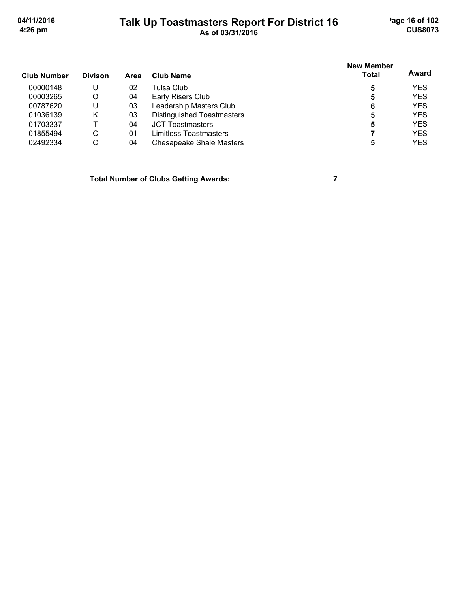# Talk Up Toastmasters Report For District 16<br>As of 03/31/2016

'age 16 of 102 **CUS8073** 

| <b>Club Number</b> | <b>Divison</b> | Area | Club Name                       | <b>New Member</b><br>Total | Award      |
|--------------------|----------------|------|---------------------------------|----------------------------|------------|
| 00000148           | U              | 02   | Tulsa Club.                     | 5                          | <b>YES</b> |
| 00003265           | O              | 04   | Early Risers Club               | 5                          | <b>YES</b> |
| 00787620           | U              | 03   | Leadership Masters Club         | 6                          | <b>YES</b> |
| 01036139           | Κ              | 03   | Distinguished Toastmasters      | 5                          | <b>YES</b> |
| 01703337           |                | 04   | <b>JCT Toastmasters</b>         | 5                          | <b>YES</b> |
| 01855494           | C              | 01   | Limitless Toastmasters          |                            | <b>YES</b> |
| 02492334           | С              | 04   | <b>Chesapeake Shale Masters</b> | 5                          | <b>YES</b> |

**Total Number of Clubs Getting Awards:** 

 $\overline{7}$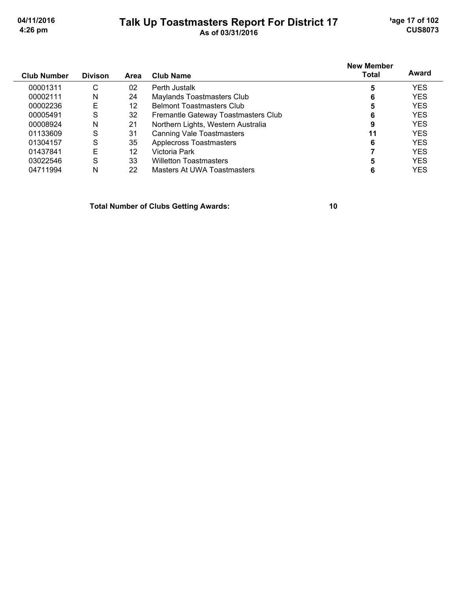#### $D_{total}$  $\mathbf{u}$  and  $\mathbf{u}$  $\mathbf{r}$  $\overline{a}$  $\overline{\phantom{0}}$ ٠

'age 17 of 102 **CUS8073** 

| Talk Up Toastmasters Report For District 17 |  |
|---------------------------------------------|--|
| As of 03/31/2016                            |  |

| <b>Club Number</b> | <b>Divison</b> | Area | Club Name                           | <b>New Member</b><br>Total | Award      |
|--------------------|----------------|------|-------------------------------------|----------------------------|------------|
| 00001311           | С              | 02   | Perth Justalk                       | 5                          | <b>YES</b> |
| 00002111           | N              | 24   | <b>Maylands Toastmasters Club</b>   | 6                          | <b>YES</b> |
| 00002236           | Е              | 12   | <b>Belmont Toastmasters Club</b>    | 5                          | <b>YES</b> |
| 00005491           | S              | 32   | Fremantle Gateway Toastmasters Club | 6                          | <b>YES</b> |
| 00008924           | N              | 21   | Northern Lights, Western Australia  | 9                          | <b>YES</b> |
| 01133609           | S              | 31   | <b>Canning Vale Toastmasters</b>    | 11                         | <b>YES</b> |
| 01304157           | S              | 35   | <b>Applecross Toastmasters</b>      | 6                          | <b>YES</b> |
| 01437841           | Е              | 12   | Victoria Park                       |                            | <b>YES</b> |
| 03022546           | S              | 33   | <b>Willetton Toastmasters</b>       |                            | <b>YES</b> |
| 04711994           | N              | 22   | Masters At UWA Toastmasters         | 6                          | YES        |

**Total Number of Clubs Getting Awards:**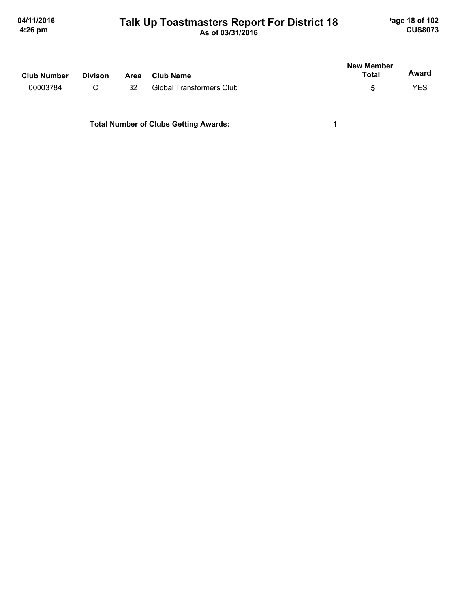# Talk Up Toastmasters Report For District 18<br>As of 03/31/2016

'age 18 of 102 **CUS8073** 

 $\mathbf 1$ 

| <b>Club Number</b> | <b>Divison</b> | <b>Area</b> | <b>Club Name</b>         | <b>New Member</b><br><b>Total</b> | Award |
|--------------------|----------------|-------------|--------------------------|-----------------------------------|-------|
| 00003784           |                | 32          | Global Transformers Club | b                                 | YES   |
|                    |                |             |                          |                                   |       |

**Total Number of Clubs Getting Awards:**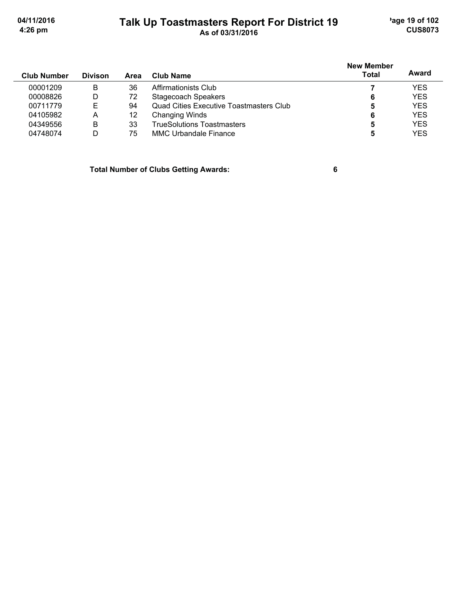'age 19 of 102 **CUS8073** 

04/11/2016 4:26 pm

#### Talk Up Toastmasters Report For District 19<br>As of 03/31/2016

|                    |                |      |                                                | <b>New Member</b> |            |
|--------------------|----------------|------|------------------------------------------------|-------------------|------------|
| <b>Club Number</b> | <b>Divison</b> | Area | Club Name                                      | <b>Total</b>      | Award      |
| 00001209           | B              | 36   | Affirmationists Club                           |                   | <b>YES</b> |
| 00008826           | D              | 72   | Stagecoach Speakers                            | 6                 | <b>YES</b> |
| 00711779           | Е              | 94   | <b>Quad Cities Executive Toastmasters Club</b> | 5                 | <b>YES</b> |
| 04105982           | A              | 12   | Changing Winds                                 | 6                 | <b>YES</b> |
| 04349556           | B              | 33   | <b>TrueSolutions Toastmasters</b>              | 5                 | <b>YES</b> |
| 04748074           | D              | 75   | <b>MMC Urbandale Finance</b>                   |                   | <b>YES</b> |
|                    |                |      |                                                |                   |            |

**Total Number of Clubs Getting Awards:** 

 $6\phantom{a}$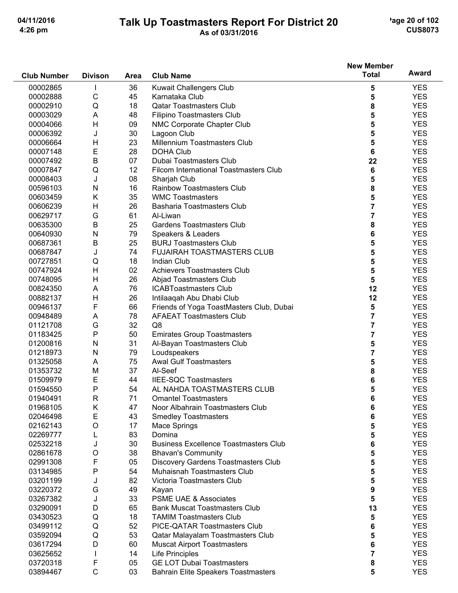# Talk Up Toastmasters Report For District 20<br>As of 03/31/2016

'age 20 of 102 **CUS8073** 

|                    |                |             |                                                         | <b>New Member</b> |            |
|--------------------|----------------|-------------|---------------------------------------------------------|-------------------|------------|
| <b>Club Number</b> | <b>Divison</b> | <b>Area</b> | <b>Club Name</b>                                        | <b>Total</b>      | Award      |
| 00002865           | L              | 36          | <b>Kuwait Challengers Club</b>                          | 5                 | <b>YES</b> |
| 00002888           | C              | 45          | Karnataka Club                                          | 5                 | <b>YES</b> |
| 00002910           | Q              | 18          | <b>Qatar Toastmasters Club</b>                          | 8                 | <b>YES</b> |
| 00003029           | A              | 48          | Filipino Toastmasters Club                              | 5                 | <b>YES</b> |
| 00004066           | H              | 09          | NMC Corporate Chapter Club                              | 5                 | <b>YES</b> |
| 00006392           | J              | 30          | Lagoon Club                                             | 5                 | <b>YES</b> |
| 00006664           | H              | 23          | Millennium Toastmasters Club                            | 5                 | <b>YES</b> |
| 00007148           | E              | 28          | <b>DOHA Club</b>                                        | 6                 | <b>YES</b> |
| 00007492           | B              | 07          | Dubai Toastmasters Club                                 | 22                | <b>YES</b> |
| 00007847           | Q              | 12          | Filcom International Toastmasters Club                  | 6                 | <b>YES</b> |
| 00008403           | J              | 08          | Sharjah Club                                            | 5                 | <b>YES</b> |
| 00596103           | N              | 16          | <b>Rainbow Toastmasters Club</b>                        | 8                 | <b>YES</b> |
| 00603459           | Κ              | 35          | <b>WMC Toastmasters</b>                                 | 5                 | <b>YES</b> |
| 00606239           | H              | 26          | <b>Basharia Toastmasters Club</b>                       | $\overline{7}$    | <b>YES</b> |
| 00629717           | G              | 61          | Al-Liwan                                                | 7                 | <b>YES</b> |
| 00635300           | B              | 25          | <b>Gardens Toastmasters Club</b>                        | 8                 | <b>YES</b> |
| 00640930           | N              | 79          | Speakers & Leaders                                      | 6                 | <b>YES</b> |
| 00687361           | B              | 25          | <b>BURJ Toastmasters Club</b>                           | 5                 | <b>YES</b> |
| 00687847           | J              | 74          | <b>FUJAIRAH TOASTMASTERS CLUB</b>                       | 5                 | <b>YES</b> |
| 00727851           | Q              | 18          | Indian Club                                             | 5                 | <b>YES</b> |
| 00747924           | H              | 02          | <b>Achievers Toastmasters Club</b>                      | 5                 | <b>YES</b> |
| 00748095           | H              | 26          |                                                         | 5                 | <b>YES</b> |
|                    |                | 76          | Abjad Toastmasters Club<br><b>ICABToastmasters Club</b> | 12                | <b>YES</b> |
| 00824350           | A              |             |                                                         |                   |            |
| 00882137           | H              | 26          | Intilaaqah Abu Dhabi Club                               | 12                | <b>YES</b> |
| 00946137           | F              | 66          | Friends of Yoga ToastMasters Club, Dubai                | 5                 | <b>YES</b> |
| 00948489           | A              | 78          | <b>AFAEAT Toastmasters Club</b>                         | 7                 | <b>YES</b> |
| 01121708           | G              | 32          | Q8                                                      | 7                 | <b>YES</b> |
| 01183425           | P              | 50          | <b>Emirates Group Toastmasters</b>                      | 7                 | <b>YES</b> |
| 01200816           | $\mathsf{N}$   | 31          | Al-Bayan Toastmasters Club                              | 5                 | <b>YES</b> |
| 01218973           | $\mathsf{N}$   | 79          | Loudspeakers                                            | 7                 | <b>YES</b> |
| 01325058           | A              | 75          | <b>Awal Gulf Toastmasters</b>                           | 5                 | <b>YES</b> |
| 01353732           | M              | 37          | Al-Seef                                                 | 8                 | <b>YES</b> |
| 01509979           | Ε              | 44          | <b>IIEE-SQC Toastmasters</b>                            | 6                 | <b>YES</b> |
| 01594550           | P              | 54          | AL NAHDA TOASTMASTERS CLUB                              | 5                 | <b>YES</b> |
| 01940491           | R              | 71          | <b>Omantel Toastmasters</b>                             | 6                 | <b>YES</b> |
| 01968105           | Κ              | 47          | Noor Albahrain Toastmasters Club                        | 6                 | <b>YES</b> |
| 02046498           | E              | 43          | <b>Smedley Toastmasters</b>                             | 6                 | <b>YES</b> |
| 02162143           | $\circ$        | 17          | Mace Springs                                            | 5                 | <b>YES</b> |
| 02269777           | L              | 83          | Domina                                                  | 5                 | <b>YES</b> |
| 02532218           | J              | 30          | <b>Business Excellence Toastmasters Club</b>            | 6                 | <b>YES</b> |
| 02861678           | $\circ$        | 38          | <b>Bhavan's Community</b>                               | 5                 | <b>YES</b> |
| 02991308           | F              | 05          | Discovery Gardens Toastmasters Club                     | 5                 | <b>YES</b> |
| 03134985           | P              | 54          | <b>Muhaisnah Toastmasters Club</b>                      | 5                 | <b>YES</b> |
| 03201199           | J              | 82          | Victoria Toastmasters Club                              | 5                 | <b>YES</b> |
| 03220372           | G              | 49          | Kayan                                                   | 9                 | <b>YES</b> |
| 03267382           | J              | 33          | <b>PSME UAE &amp; Associates</b>                        | 5                 | <b>YES</b> |
| 03290091           | D              | 65          | <b>Bank Muscat Toastmasters Club</b>                    | 13                | <b>YES</b> |
| 03430523           | Q              | 18          | <b>TAMIM Toastmasters Club</b>                          | 5                 | <b>YES</b> |
| 03499112           | Q              | 52          | PICE-QATAR Toastmasters Club                            | 6                 | <b>YES</b> |
| 03592094           | Q              | 53          | Qatar Malayalam Toastmasters Club                       | 5                 | <b>YES</b> |
| 03617294           | D              | 60          | <b>Muscat Airport Toastmasters</b>                      | 6                 | <b>YES</b> |
| 03625652           |                | 14          | <b>Life Principles</b>                                  | 7                 | <b>YES</b> |
| 03720318           | F              | 05          | <b>GE LOT Dubai Toastmasters</b>                        | 8                 | <b>YES</b> |
| 03894467           | C              | 03          | <b>Bahrain Elite Speakers Toastmasters</b>              | 5                 | <b>YES</b> |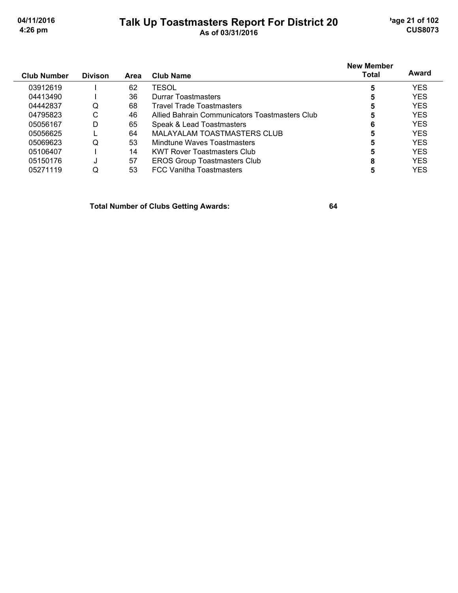# Talk Up Toastmasters Report For District 20<br>As of 03/31/2016

'age 21 of 102 **CUS8073** 

| <b>Club Number</b> | <b>Divison</b> | Area | Club Name                                      | <b>New Member</b><br>Total | Award      |
|--------------------|----------------|------|------------------------------------------------|----------------------------|------------|
| 03912619           |                | 62   | TESOL                                          | 5                          | <b>YES</b> |
| 04413490           |                | 36   | Durrar Toastmasters                            | Ð                          | <b>YES</b> |
| 04442837           | Q              | 68   | Travel Trade Toastmasters                      | 5                          | <b>YES</b> |
| 04795823           | С              | 46   | Allied Bahrain Communicators Toastmasters Club | 5                          | <b>YES</b> |
| 05056167           | D              | 65   | Speak & Lead Toastmasters                      | 6                          | <b>YES</b> |
| 05056625           |                | 64   | MALAYALAM TOASTMASTERS CLUB                    | 5                          | <b>YES</b> |
| 05069623           | Q              | 53   | Mindtune Waves Toastmasters                    | 5                          | <b>YES</b> |
| 05106407           |                | 14   | <b>KWT Rover Toastmasters Club</b>             | 5                          | <b>YES</b> |
| 05150176           |                | 57   | <b>EROS Group Toastmasters Club</b>            |                            | <b>YES</b> |
| 05271119           | Q              | 53   | <b>FCC Vanitha Toastmasters</b>                |                            | YES        |

**Total Number of Clubs Getting Awards:**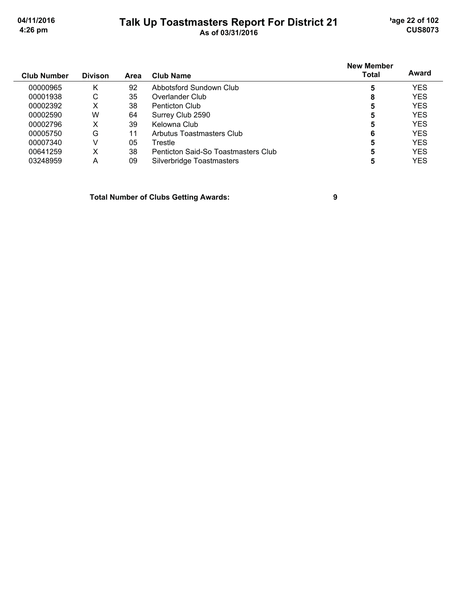#### Talk Up Toastmasters Report For District 21<br>As of 03/31/2016

'age 22 of 102 **CUS8073** 

|                    | <b>Divison</b> |      | <b>Club Name</b>                    | <b>New Member</b><br><b>Total</b> | Award      |
|--------------------|----------------|------|-------------------------------------|-----------------------------------|------------|
| <b>Club Number</b> |                | Area |                                     |                                   |            |
| 00000965           | Κ              | 92   | Abbotsford Sundown Club             | 5                                 | <b>YES</b> |
| 00001938           | С              | 35   | Overlander Club                     | 8                                 | <b>YES</b> |
| 00002392           | х              | 38   | Penticton Club                      | 5                                 | <b>YES</b> |
| 00002590           | W              | 64   | Surrey Club 2590                    | 5                                 | <b>YES</b> |
| 00002796           | х              | 39   | Kelowna Club                        | 5                                 | <b>YES</b> |
| 00005750           | G              | 11   | Arbutus Toastmasters Club           | 6                                 | <b>YES</b> |
| 00007340           | V              | 05   | Trestle                             | 5                                 | <b>YES</b> |
| 00641259           | х              | 38   | Penticton Said-So Toastmasters Club | 5                                 | YES        |
| 03248959           | А              | 09   | Silverbridge Toastmasters           |                                   | YES        |

**Total Number of Clubs Getting Awards:** 

 $\boldsymbol{9}$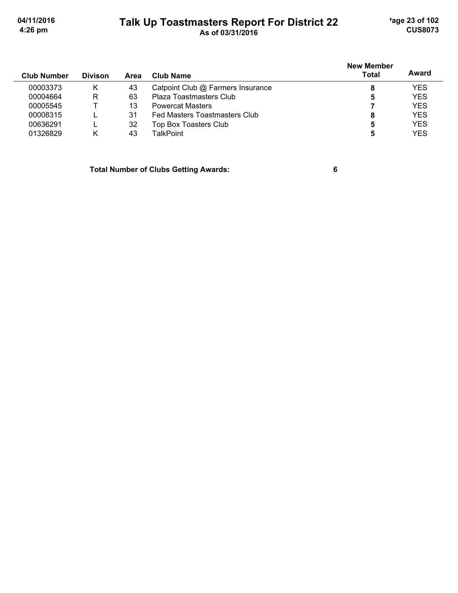'age 23 of 102 **CUS8073** 

04/11/2016 4:26 pm

#### Talk Up Toastmasters Report For District 22

| <b>Club Number</b> | <b>Divison</b> | Area | Club Name                            | <b>New Member</b><br><b>Total</b> | Award      |
|--------------------|----------------|------|--------------------------------------|-----------------------------------|------------|
| 00003373           | κ              | 43   | Catpoint Club @ Farmers Insurance    | 8                                 | YES        |
| 00004664           | R              | 63   | Plaza Toastmasters Club              | 5                                 | <b>YES</b> |
| 00005545           |                | 13   | <b>Powercat Masters</b>              |                                   | <b>YES</b> |
| 00008315           |                | 31   | <b>Fed Masters Toastmasters Club</b> | 8                                 | <b>YES</b> |
| 00636291           |                | 32   | Top Box Toasters Club                | 5                                 | <b>YES</b> |
| 01326829           | K              | 43   | TalkPoint                            | 5                                 | YES        |

**Total Number of Clubs Getting Awards:** 

 $6\phantom{a}$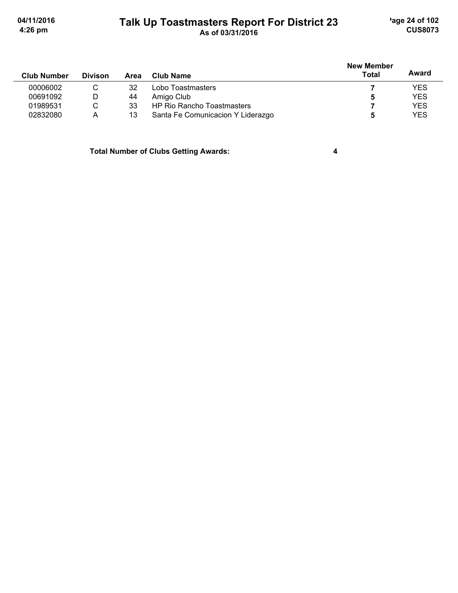# Talk Up Toastmasters Report For District 23<br>As of 03/31/2016

'age 24 of 102 **CUS8073** 

 $\overline{\mathbf{4}}$ 

| <b>Club Number</b> | <b>Divison</b> | Area | Club Name                         | <b>New Member</b><br>Total | Award      |
|--------------------|----------------|------|-----------------------------------|----------------------------|------------|
| 00006002           |                | 32   | Lobo Toastmasters                 |                            | <b>YES</b> |
| 00691092           | D              | 44   | Amigo Club                        |                            | <b>YES</b> |
| 01989531           | C.             | 33   | <b>HP Rio Rancho Toastmasters</b> |                            | <b>YES</b> |
| 02832080           | A              | 13   | Santa Fe Comunicacion Y Liderazgo |                            | <b>YES</b> |

**Total Number of Clubs Getting Awards:**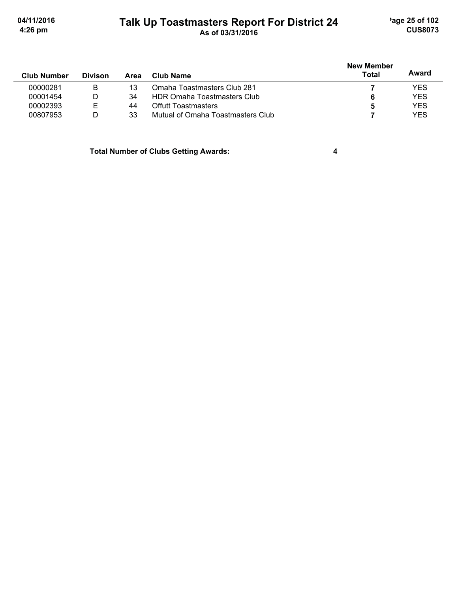#### Talk Up Toastmasters Report For District 24

'age 25 of 102 **CUS8073** 

| <b>Club Number</b> | <b>Divison</b> | Area | Club Name                          | New Member<br><b>Total</b> | Award      |
|--------------------|----------------|------|------------------------------------|----------------------------|------------|
| 00000281           | в              | 13   | Omaha Toastmasters Club 281        |                            | <b>YES</b> |
| 00001454           | D              | 34   | <b>HDR Omaha Toastmasters Club</b> | 6                          | <b>YES</b> |
| 00002393           | Ε              | 44   | <b>Offutt Toastmasters</b>         | 5                          | <b>YES</b> |
| 00807953           | D              | 33   | Mutual of Omaha Toastmasters Club  |                            | <b>YES</b> |

**Total Number of Clubs Getting Awards:** 

 $\overline{\mathbf{4}}$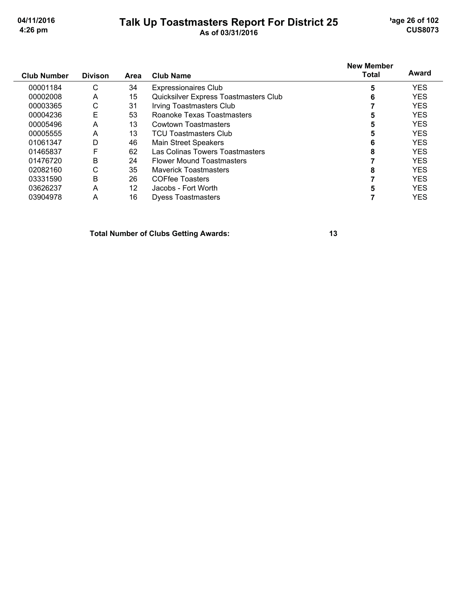#### Talk Up Toastmasters Report For District 25<br>As of 03/31/2016

'age 26 of 102 **CUS8073** 

| <b>Club Number</b> | <b>Divison</b> | Area              | <b>Club Name</b>                      | <b>New Member</b><br>Total | Award      |
|--------------------|----------------|-------------------|---------------------------------------|----------------------------|------------|
| 00001184           | C              | 34                | <b>Expressionaires Club</b>           | 5                          | <b>YES</b> |
| 00002008           | A              | 15                | Quicksilver Express Toastmasters Club | 6                          | <b>YES</b> |
| 00003365           | С              | 31                | <b>Irving Toastmasters Club</b>       |                            | <b>YES</b> |
| 00004236           | E              | 53                | Roanoke Texas Toastmasters            | 5                          | <b>YES</b> |
| 00005496           | A              | 13                | Cowtown Toastmasters                  | 5                          | <b>YES</b> |
| 00005555           | A              | 13                | <b>TCU Toastmasters Club</b>          | 5                          | <b>YES</b> |
| 01061347           | D              | 46                | <b>Main Street Speakers</b>           | 6                          | <b>YES</b> |
| 01465837           | F              | 62                | Las Colinas Towers Toastmasters       | 8                          | <b>YES</b> |
| 01476720           | B              | 24                | <b>Flower Mound Toastmasters</b>      |                            | <b>YES</b> |
| 02082160           | С              | 35                | <b>Maverick Toastmasters</b>          | 8                          | <b>YES</b> |
| 03331590           | B              | 26                | <b>COFfee Toasters</b>                |                            | <b>YES</b> |
| 03626237           | A              | $12 \overline{ }$ | Jacobs - Fort Worth                   |                            | <b>YES</b> |
| 03904978           | A              | 16                | <b>Dyess Toastmasters</b>             |                            | <b>YES</b> |

**Total Number of Clubs Getting Awards:**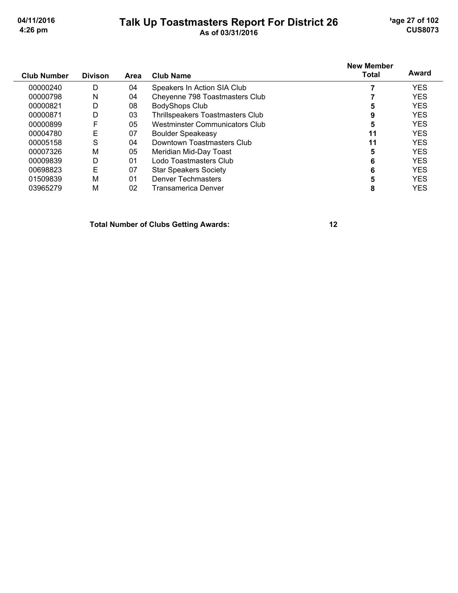# Talk Up Toastmasters Report For District 26<br>As of 03/31/2016

'age 27 of 102 **CUS8073** 

| <b>Club Number</b> | <b>Divison</b> | <b>Area</b> | Club Name                               | New Member<br><b>Total</b> | Award      |
|--------------------|----------------|-------------|-----------------------------------------|----------------------------|------------|
| 00000240           | D              | 04          | Speakers In Action SIA Club             |                            | <b>YES</b> |
| 00000798           | N              | 04          | Cheyenne 798 Toastmasters Club          |                            | <b>YES</b> |
| 00000821           | D              | 08          | <b>BodyShops Club</b>                   | 5                          | <b>YES</b> |
| 00000871           | D              | 03          | <b>Thrillspeakers Toastmasters Club</b> | 9                          | <b>YES</b> |
| 00000899           | F              | 05          | Westminster Communicators Club          | 5                          | <b>YES</b> |
| 00004780           | Е              | 07          | <b>Boulder Speakeasy</b>                | 11                         | <b>YES</b> |
| 00005158           | S              | 04          | Downtown Toastmasters Club              | 11                         | <b>YES</b> |
| 00007326           | М              | 05          | Meridian Mid-Day Toast                  | 5                          | <b>YES</b> |
| 00009839           | D              | 01          | Lodo Toastmasters Club                  | 6                          | <b>YES</b> |
| 00698823           | E              | 07          | <b>Star Speakers Society</b>            | 6                          | <b>YES</b> |
| 01509839           | М              | 01          | <b>Denver Techmasters</b>               |                            | <b>YES</b> |
| 03965279           | M              | 02          | Transamerica Denver                     | 8                          | <b>YES</b> |

**Total Number of Clubs Getting Awards:**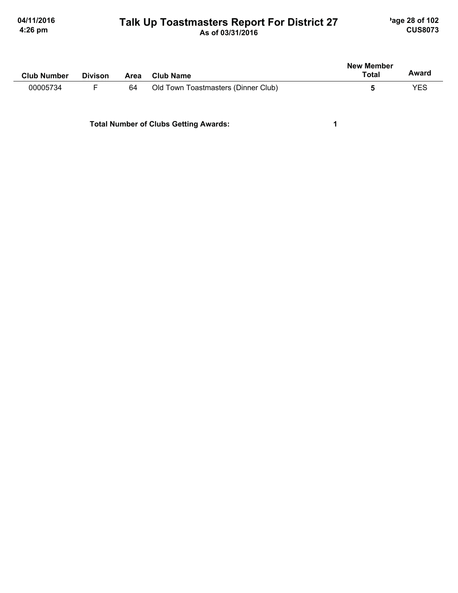# Talk Up Toastmasters Report For District 27<br>As of 03/31/2016

'age 28 of 102 **CUS8073** 

| <b>Club Number</b> | <b>Divison</b> | Area | Club Name                           | <b>New Member</b><br>Total | Award |
|--------------------|----------------|------|-------------------------------------|----------------------------|-------|
| 00005734           |                | 64   | Old Town Toastmasters (Dinner Club) |                            | YES   |

**Total Number of Clubs Getting Awards:** 

 $\mathbf 1$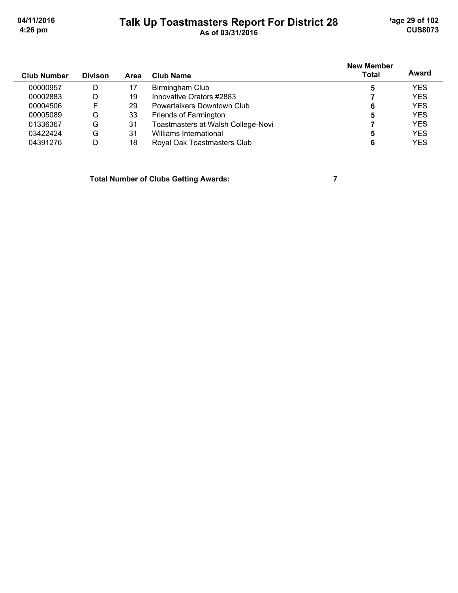# Talk Up Toastmasters Report For District 28<br>As of 03/31/2016

'age 29 of 102 **CUS8073** 

| <b>Club Number</b> | <b>Divison</b> | <b>Area</b> | Club Name                          | <b>New Member</b><br><b>Total</b> | Award      |
|--------------------|----------------|-------------|------------------------------------|-----------------------------------|------------|
| 00000957           | D              |             | Birmingham Club                    | 5                                 | <b>YES</b> |
| 00002883           | D              | 19          | Innovative Orators #2883           |                                   | <b>YES</b> |
| 00004506           | F              | 29          | Powertalkers Downtown Club         | 6                                 | <b>YES</b> |
| 00005089           | G              | 33          | Friends of Farmington              | 5                                 | <b>YES</b> |
| 01336367           | G              | -31         | Toastmasters at Walsh College-Novi |                                   | <b>YES</b> |
| 03422424           | G              | 31          | Williams International             |                                   | <b>YES</b> |
| 04391276           | D              | 18          | Royal Oak Toastmasters Club        |                                   | <b>YES</b> |

**Total Number of Clubs Getting Awards:** 

 $\overline{7}$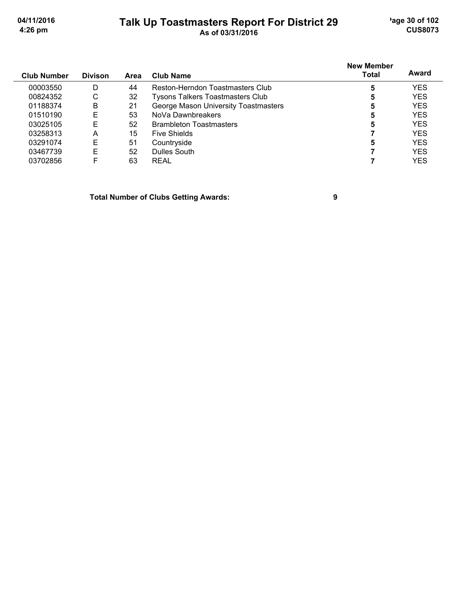'age 30 of 102 **CUS8073** 

04/11/2016 4:26 pm

# Talk Up Toastmasters Report For District 29<br>As of 03/31/2016

| Club Number | <b>Divison</b> | Area | Club Name                               | <b>New Member</b><br><b>Total</b> | Award      |
|-------------|----------------|------|-----------------------------------------|-----------------------------------|------------|
| 00003550    | D              | 44   | Reston-Herndon Toastmasters Club        | 5                                 | <b>YES</b> |
| 00824352    | C              | 32   | <b>Tysons Talkers Toastmasters Club</b> | 5                                 | <b>YES</b> |
| 01188374    | B              | 21   | George Mason University Toastmasters    | 5                                 | <b>YES</b> |
| 01510190    | E              | 53   | NoVa Dawnbreakers                       | 5                                 | <b>YES</b> |
| 03025105    | Е              | 52   | <b>Brambleton Toastmasters</b>          | 5                                 | <b>YES</b> |
| 03258313    | A              | 15   | <b>Five Shields</b>                     |                                   | <b>YES</b> |
| 03291074    | Е              | 51   | Countryside                             | 5                                 | <b>YES</b> |
| 03467739    | Е              | 52   | Dulles South                            |                                   | <b>YES</b> |
| 03702856    | F              | 63   | <b>REAL</b>                             |                                   | <b>YES</b> |

**Total Number of Clubs Getting Awards:** 

 $\boldsymbol{9}$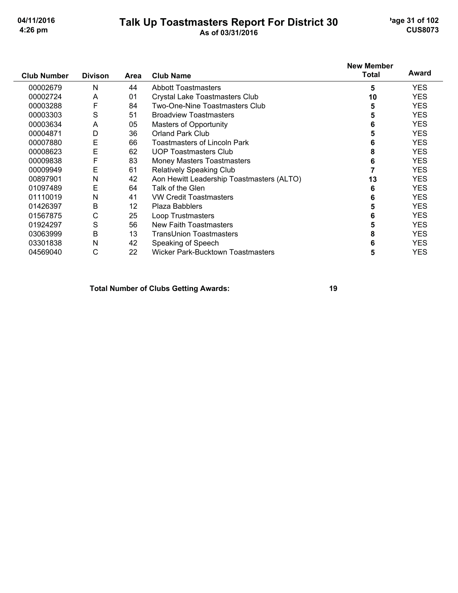# Talk Up Toastmasters Report For District 30<br>As of 03/31/2016

'age 31 of 102 **CUS8073** 

| <b>Club Number</b> | <b>Divison</b> | Area | <b>Club Name</b>                          | <b>New Member</b><br><b>Total</b> | Award      |
|--------------------|----------------|------|-------------------------------------------|-----------------------------------|------------|
| 00002679           | N              | 44   | <b>Abbott Toastmasters</b>                | 5                                 | <b>YES</b> |
| 00002724           | Α              | 01   | Crystal Lake Toastmasters Club            | 10                                | <b>YES</b> |
| 00003288           | F              | 84   | Two-One-Nine Toastmasters Club            | 5                                 | <b>YES</b> |
| 00003303           | S              | 51   | <b>Broadview Toastmasters</b>             | 5                                 | <b>YES</b> |
| 00003634           | A              | 05   | <b>Masters of Opportunity</b>             | 6                                 | <b>YES</b> |
| 00004871           | D              | 36   | <b>Orland Park Club</b>                   | 5                                 | <b>YES</b> |
| 00007880           | E              | 66   | <b>Toastmasters of Lincoln Park</b>       | 6                                 | <b>YES</b> |
| 00008623           | E              | 62   | <b>UOP Toastmasters Club</b>              | 8                                 | <b>YES</b> |
| 00009838           | F              | 83   | <b>Money Masters Toastmasters</b>         | 6                                 | <b>YES</b> |
| 00009949           | E              | 61   | Relatively Speaking Club                  |                                   | <b>YES</b> |
| 00897901           | Ν              | 42   | Aon Hewitt Leadership Toastmasters (ALTO) | 13                                | <b>YES</b> |
| 01097489           | Е              | 64   | Talk of the Glen                          | 6                                 | <b>YES</b> |
| 01110019           | Ν              | 41   | <b>VW Credit Toastmasters</b>             | 6                                 | <b>YES</b> |
| 01426397           | B              | 12   | <b>Plaza Babblers</b>                     | 5                                 | <b>YES</b> |
| 01567875           | С              | 25   | Loop Trustmasters                         | 6                                 | <b>YES</b> |
| 01924297           | S              | 56   | <b>New Faith Toastmasters</b>             | 5                                 | <b>YES</b> |
| 03063999           | Β              | 13   | <b>TransUnion Toastmasters</b>            | 8                                 | <b>YES</b> |
| 03301838           | N              | 42   | Speaking of Speech                        | 6                                 | <b>YES</b> |
| 04569040           | С              | 22   | Wicker Park-Bucktown Toastmasters         | 5                                 | <b>YES</b> |

**Total Number of Clubs Getting Awards:**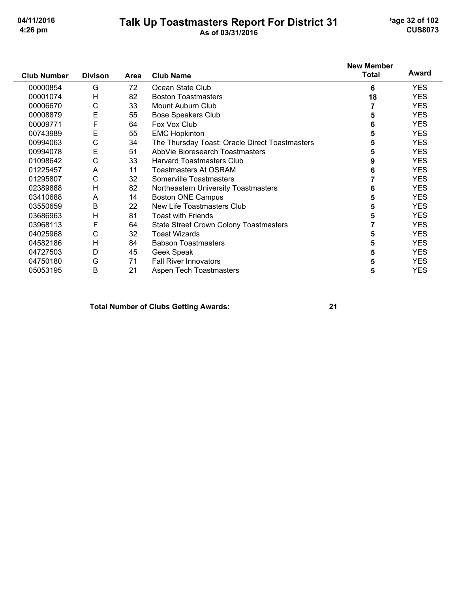#### **Talk Up Toastmasters Report For District 31** As of 03/31/2016

'age 32 of 102 **CUS8073** 

#### **New Member Award Total Club Number Divison** Area **Club Name** Ġ 72 Ocean State Club 00000854 6 **YES** 00001074  $H$ 82 **Boston Toastmasters** 18 **YES** 00006670  $\mathsf C$ 33 Mount Auburn Club **YES**  $\overline{7}$ 00008879 E 55 **Bose Speakers Club** 5 **YES** F 6 64 Fox Vox Club **YES** 00009771 E 00743989 55 **EMC Hopkinton** 5 **YES** 00994063 C 34 The Thursday Toast: Oracle Direct Toastmasters 5 **YES** 00994078 E 51 AbbVie Bioresearch Toastmasters 5 **YES**  $\mathsf{C}$ 33 **Harvard Toastmasters Club** 9 01098642 **YES** A  $11$ **Toastmasters At OSRAM**  $6\phantom{a}$ **YES** 01225457  $\mathsf{C}$ 32  $\overline{7}$ 01295807 Somerville Toastmasters **YES**  $H$ 82 Northeastern University Toastmasters  $6\phantom{a}$ **YES** 02389888  $14$ 03410688 A **Boston ONE Campus** 5 **YES**  $\overline{B}$ 22 New Life Toastmasters Club 03550659 5 **YES YES**

03686963  $H$ 81 **Toast with Friends** 5 F 64 State Street Crown Colony Toastmasters  $\overline{7}$ **YES** 03968113 04025968  $\mathsf{C}$ 32 **Toast Wizards** 5 **YES**  $H$ 84 **Babson Toastmasters** 5 **YES** 04582186 D 45 5 **YES** 04727503 Geek Speak 04750180 G 71 **Fall River Innovators** 5 **YES**  $\mathsf{B}$  $21$ Aspen Tech Toastmasters 05053195 5 **YES** 

#### **Total Number of Clubs Getting Awards:**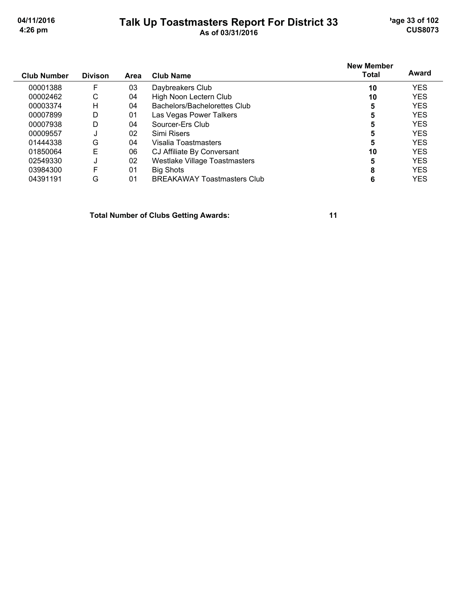#### Talk Up Toastmasters Report For District 33

'age 33 of 102 **CUS8073** 

| <b>Club Number</b> | <b>Divison</b> | <b>Area</b> | <b>Club Name</b>                     | <b>New Member</b><br><b>Total</b> | Award      |
|--------------------|----------------|-------------|--------------------------------------|-----------------------------------|------------|
| 00001388           | F              | 03          | Daybreakers Club                     | 10                                | <b>YES</b> |
| 00002462           | С              | 04          | High Noon Lectern Club               | 10                                | <b>YES</b> |
| 00003374           | Н              | 04          | Bachelors/Bachelorettes Club         | 5                                 | <b>YES</b> |
| 00007899           | D              | 01          | Las Vegas Power Talkers              | 5                                 | <b>YES</b> |
| 00007938           | D              | 04          | Sourcer-Ers Club                     | 5                                 | <b>YES</b> |
| 00009557           |                | 02          | Simi Risers                          | 5                                 | <b>YES</b> |
| 01444338           | G              | 04          | Visalia Toastmasters                 | 5                                 | <b>YES</b> |
| 01850064           | E              | 06          | CJ Affiliate By Conversant           | 10                                | <b>YES</b> |
| 02549330           | J              | 02          | <b>Westlake Village Toastmasters</b> | 5                                 | <b>YES</b> |
| 03984300           | F              | 01          | Big Shots                            | 8                                 | <b>YES</b> |
| 04391191           | G              | 01          | <b>BREAKAWAY Toastmasters Club</b>   | 6                                 | <b>YES</b> |

**Total Number of Clubs Getting Awards:**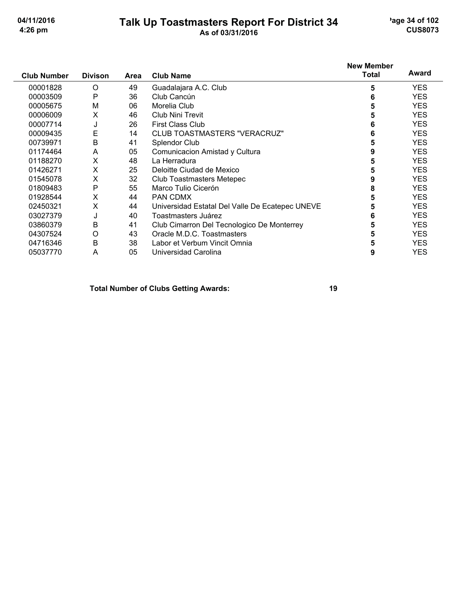# Talk Up Toastmasters Report For District 34

'age 34 of 102 **CUS8073** 

| <b>Club Number</b> | <b>Divison</b> | Area | <b>Club Name</b>                                | <b>New Member</b><br><b>Total</b> | Award      |
|--------------------|----------------|------|-------------------------------------------------|-----------------------------------|------------|
| 00001828           | O              | 49   | Guadalajara A.C. Club                           | 5                                 | <b>YES</b> |
| 00003509           | P              | 36   | Club Cancún                                     | 6                                 | <b>YES</b> |
| 00005675           | M              | 06   | Morelia Club                                    | 5                                 | <b>YES</b> |
| 00006009           | Х              | 46   | <b>Club Nini Trevit</b>                         | 5                                 | <b>YES</b> |
| 00007714           | J              | 26   | <b>First Class Club</b>                         | 6                                 | <b>YES</b> |
| 00009435           | E              | 14   | CLUB TOASTMASTERS "VERACRUZ"                    | 6                                 | <b>YES</b> |
| 00739971           | B              | 41   | Splendor Club                                   | 5                                 | <b>YES</b> |
| 01174464           | A              | 05   | Comunicacion Amistad y Cultura                  | 9                                 | <b>YES</b> |
| 01188270           | X              | 48   | La Herradura                                    | 5                                 | <b>YES</b> |
| 01426271           | X              | 25   | Deloitte Ciudad de Mexico                       | 5                                 | <b>YES</b> |
| 01545078           | X              | 32   | Club Toastmasters Metepec                       | 9                                 | <b>YES</b> |
| 01809483           | P              | 55   | Marco Tulio Cicerón                             | 8                                 | <b>YES</b> |
| 01928544           | X              | 44   | PAN CDMX                                        | 5                                 | <b>YES</b> |
| 02450321           | X              | 44   | Universidad Estatal Del Valle De Ecatepec UNEVE | 5                                 | <b>YES</b> |
| 03027379           | J              | 40   | Toastmasters Juárez                             | 6                                 | <b>YES</b> |
| 03860379           | B              | 41   | Club Cimarron Del Tecnologico De Monterrey      | 5                                 | <b>YES</b> |
| 04307524           | O              | 43   | Oracle M.D.C. Toastmasters                      | 5                                 | <b>YES</b> |
| 04716346           | B              | 38   | Labor et Verbum Vincit Omnia                    | 5                                 | <b>YES</b> |
| 05037770           | A              | 05   | Universidad Carolina                            | 9                                 | YES        |

**Total Number of Clubs Getting Awards:**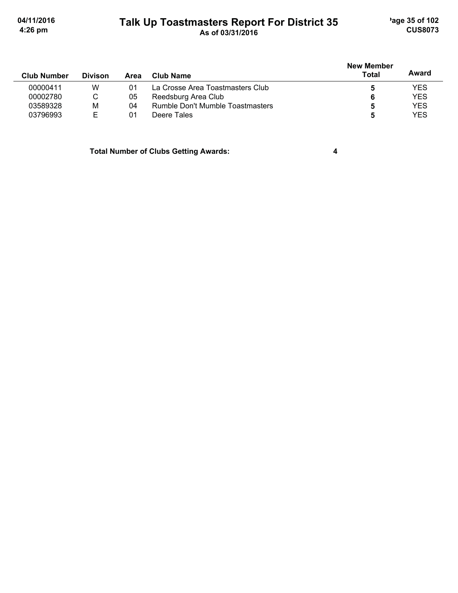'age 35 of 102 **CUS8073** 

04/11/2016 4:26 pm

# Talk Up Toastmasters Report For District 35<br>As of 03/31/2016

| <b>Club Number</b> | <b>Divison</b> | Area | Club Name                        | <b>New Member</b><br>Total | Award      |
|--------------------|----------------|------|----------------------------------|----------------------------|------------|
| 00000411           | W              | 01   | La Crosse Area Toastmasters Club |                            | <b>YES</b> |
| 00002780           | C              | 05   | Reedsburg Area Club              | 6                          | <b>YES</b> |
| 03589328           | M              | 04   | Rumble Don't Mumble Toastmasters |                            | <b>YES</b> |
| 03796993           | F              | 01   | Deere Tales                      | 5                          | <b>YES</b> |

**Total Number of Clubs Getting Awards:** 

 $\overline{\mathbf{4}}$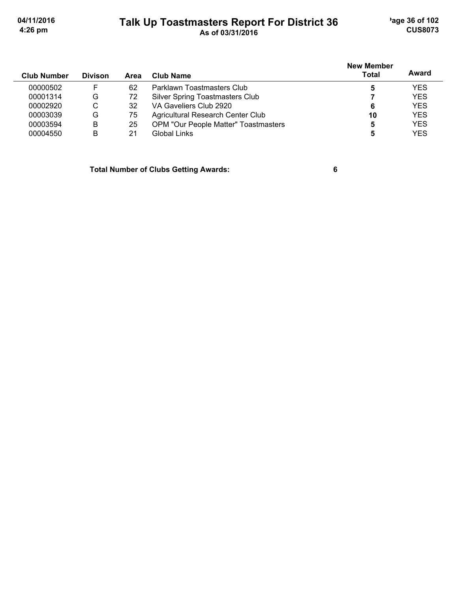'age 36 of 102 **CUS8073** 

04/11/2016 4:26 pm

#### Talk Up Toastmasters Report For District 36<br>As of 03/31/2016

| <b>Club Number</b> | <b>Divison</b> | Area | Club Name                              | <b>New Member</b><br><b>Total</b> | Award      |
|--------------------|----------------|------|----------------------------------------|-----------------------------------|------------|
| 00000502           | F              | 62   | Parklawn Toastmasters Club             |                                   | <b>YES</b> |
| 00001314           | G              | 72   | <b>Silver Spring Toastmasters Club</b> |                                   | <b>YES</b> |
| 00002920           | C              | 32   | VA Gaveliers Club 2920                 | 6                                 | <b>YES</b> |
| 00003039           | G              | 75   | Agricultural Research Center Club      | 10                                | <b>YES</b> |
| 00003594           | B              | 25   | OPM "Our People Matter" Toastmasters   | 5                                 | <b>YES</b> |
| 00004550           | B              | 21   | Global Links                           |                                   | <b>YES</b> |

**Total Number of Clubs Getting Awards:** 

 $6\phantom{a}$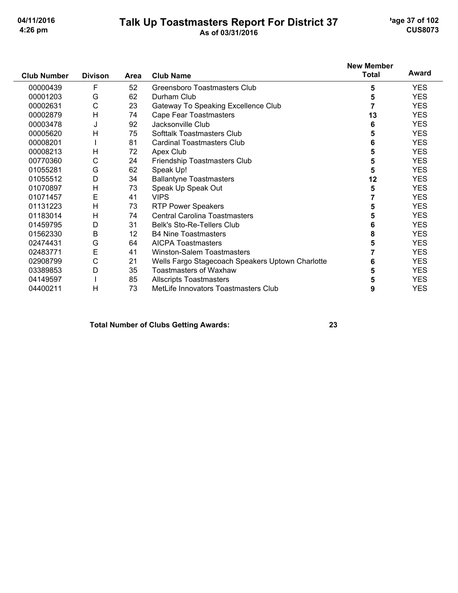# Talk Up Toastmasters Report For District 37<br>As of 03/31/2016

'age 37 of 102 **CUS8073** 

|                    |                |      |                                                  | <b>New Member</b> |            |
|--------------------|----------------|------|--------------------------------------------------|-------------------|------------|
| <b>Club Number</b> | <b>Divison</b> | Area | <b>Club Name</b>                                 | <b>Total</b>      | Award      |
| 00000439           | F              | 52   | Greensboro Toastmasters Club                     | 5                 | <b>YES</b> |
| 00001203           | G              | 62   | Durham Club                                      | 5                 | <b>YES</b> |
| 00002631           | С              | 23   | Gateway To Speaking Excellence Club              | 7                 | <b>YES</b> |
| 00002879           | H              | 74   | Cape Fear Toastmasters                           | 13                | <b>YES</b> |
| 00003478           | J              | 92   | Jacksonville Club                                | 6                 | <b>YES</b> |
| 00005620           | н              | 75   | Softtalk Toastmasters Club                       | 5                 | <b>YES</b> |
| 00008201           |                | 81   | <b>Cardinal Toastmasters Club</b>                | 6                 | <b>YES</b> |
| 00008213           | Н              | 72   | Apex Club                                        | 5                 | <b>YES</b> |
| 00770360           | С              | 24   | Friendship Toastmasters Club                     | 5                 | <b>YES</b> |
| 01055281           | G              | 62   | Speak Up!                                        | 5                 | <b>YES</b> |
| 01055512           | D              | 34   | <b>Ballantyne Toastmasters</b>                   | 12                | <b>YES</b> |
| 01070897           | Н              | 73   | Speak Up Speak Out                               | 5                 | <b>YES</b> |
| 01071457           | Ε              | 41   | <b>VIPS</b>                                      |                   | <b>YES</b> |
| 01131223           | H              | 73   | <b>RTP Power Speakers</b>                        | 5                 | <b>YES</b> |
| 01183014           | H              | 74   | <b>Central Carolina Toastmasters</b>             | 5                 | <b>YES</b> |
| 01459795           | D              | 31   | <b>Belk's Sto-Re-Tellers Club</b>                | 6                 | <b>YES</b> |
| 01562330           | B              | 12   | <b>B4 Nine Toastmasters</b>                      | 8                 | <b>YES</b> |
| 02474431           | G              | 64   | <b>AICPA Toastmasters</b>                        | 5                 | <b>YES</b> |
| 02483771           | E              | 41   | <b>Winston-Salem Toastmasters</b>                |                   | <b>YES</b> |
| 02908799           | С              | 21   | Wells Fargo Stagecoach Speakers Uptown Charlotte | 6                 | <b>YES</b> |
| 03389853           | D              | 35   | <b>Toastmasters of Waxhaw</b>                    | 5                 | <b>YES</b> |
| 04149597           |                | 85   | <b>Allscripts Toastmasters</b>                   | 5                 | <b>YES</b> |
| 04400211           | н              | 73   | MetLife Innovators Toastmasters Club             | 9                 | <b>YES</b> |

#### **Total Number of Clubs Getting Awards:**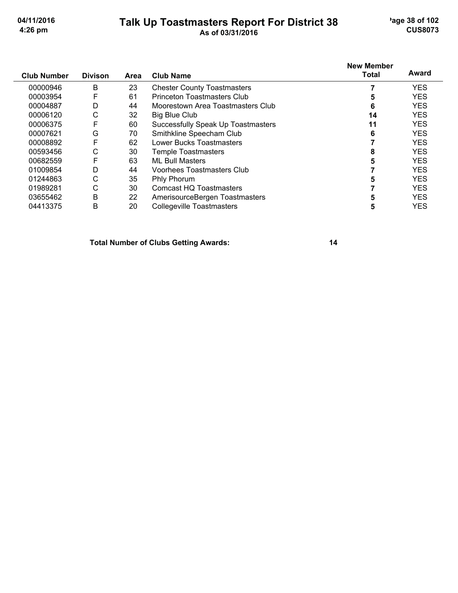## Talk Up Toastmasters Report For District 38<br>As of 03/31/2016

'age 38 of 102 **CUS8073** 

|                    |                |      |                                    | <b>New Member</b> |            |
|--------------------|----------------|------|------------------------------------|-------------------|------------|
| <b>Club Number</b> | <b>Divison</b> | Area | <b>Club Name</b>                   | <b>Total</b>      | Award      |
| 00000946           | B              | 23   | <b>Chester County Toastmasters</b> |                   | <b>YES</b> |
| 00003954           | F              | 61   | <b>Princeton Toastmasters Club</b> | 5                 | <b>YES</b> |
| 00004887           | D              | 44   | Moorestown Area Toastmasters Club  | 6                 | <b>YES</b> |
| 00006120           | С              | 32   | <b>Big Blue Club</b>               | 14                | <b>YES</b> |
| 00006375           | F              | 60   | Successfully Speak Up Toastmasters | 11                | <b>YES</b> |
| 00007621           | G              | 70   | Smithkline Speecham Club           | 6                 | <b>YES</b> |
| 00008892           | F              | 62   | <b>Lower Bucks Toastmasters</b>    |                   | <b>YES</b> |
| 00593456           | С              | 30   | Temple Toastmasters                | 8                 | <b>YES</b> |
| 00682559           | F              | 63   | <b>ML Bull Masters</b>             |                   | <b>YES</b> |
| 01009854           | D              | 44   | Voorhees Toastmasters Club         |                   | <b>YES</b> |
| 01244863           | С              | 35   | <b>Phly Phorum</b>                 | 5                 | <b>YES</b> |
| 01989281           | С              | 30   | <b>Comcast HQ Toastmasters</b>     |                   | <b>YES</b> |
| 03655462           | B              | 22   | AmerisourceBergen Toastmasters     | 5                 | <b>YES</b> |
| 04413375           | B              | 20   | <b>Collegeville Toastmasters</b>   | 5                 | <b>YES</b> |

**Total Number of Clubs Getting Awards:**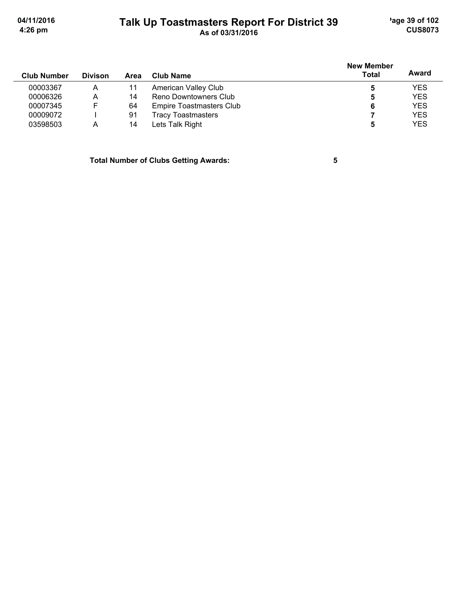'age 39 of 102 **CUS8073** 

04/11/2016 4:26 pm

## Talk Up Toastmasters Report For District 39<br>As of 03/31/2016

| <b>Club Number</b> | <b>Divison</b> | Area | Club Name                       | <b>New Member</b><br><b>Total</b> | Award      |
|--------------------|----------------|------|---------------------------------|-----------------------------------|------------|
| 00003367           | A              |      | American Valley Club            | 5                                 | <b>YES</b> |
| 00006326           | Α              | 14   | Reno Downtowners Club           | 5                                 | <b>YES</b> |
| 00007345           | F              | 64   | <b>Empire Toastmasters Club</b> | 6                                 | <b>YES</b> |
| 00009072           |                | 91   | <b>Tracy Toastmasters</b>       |                                   | <b>YES</b> |
| 03598503           | А              | 14   | Lets Talk Right                 | 5                                 | <b>YES</b> |

**Total Number of Clubs Getting Awards:** 

 $\overline{\mathbf{5}}$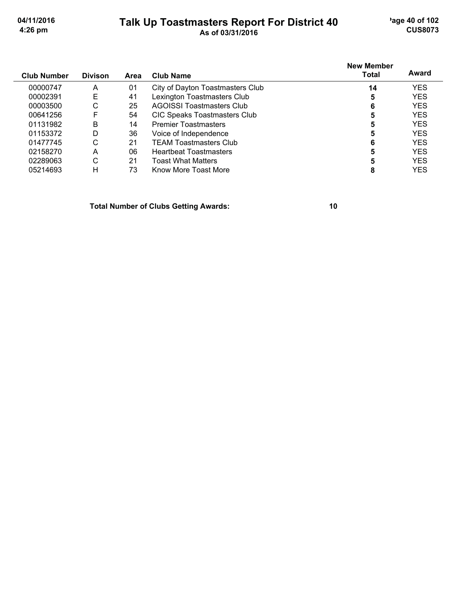# Talk Up Toastmasters Report For District 40

'age 40 of 102 **CUS8073** 

| Club Number | <b>Divison</b> | Area | <b>Club Name</b>                 | <b>New Member</b><br>Total | Award      |
|-------------|----------------|------|----------------------------------|----------------------------|------------|
| 00000747    | A              | 01   | City of Dayton Toastmasters Club | 14                         | <b>YES</b> |
| 00002391    | Е              | 41   | Lexington Toastmasters Club      | 5                          | <b>YES</b> |
| 00003500    | С              | 25   | AGOISSI Toastmasters Club        | 6                          | <b>YES</b> |
| 00641256    | F              | 54   | CIC Speaks Toastmasters Club     | 5                          | <b>YES</b> |
| 01131982    | B              | 14   | <b>Premier Toastmasters</b>      | 5                          | <b>YES</b> |
| 01153372    | D              | 36   | Voice of Independence            | 5                          | <b>YES</b> |
| 01477745    | С              | 21   | TEAM Toastmasters Club           | 6                          | <b>YES</b> |
| 02158270    | A              | 06   | <b>Heartbeat Toastmasters</b>    |                            | <b>YES</b> |
| 02289063    | С              | 21   | Toast What Matters               |                            | <b>YES</b> |
| 05214693    | н              | 73   | Know More Toast More             | 8                          | <b>YES</b> |

**Total Number of Clubs Getting Awards:**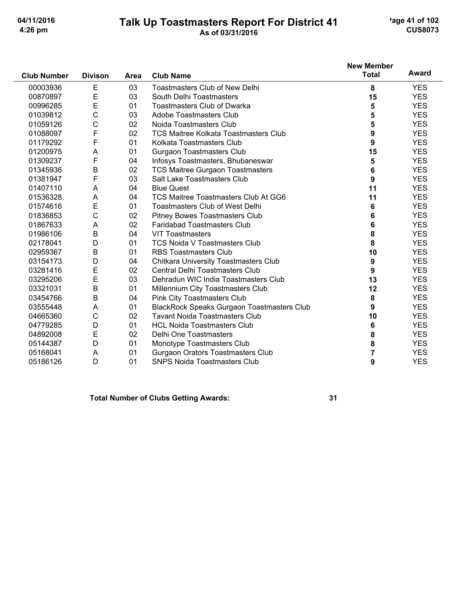# Talk Up Toastmasters Report For District 41

'age 41 of 102 **CUS8073** 

|                    |                |      |                                                   | <b>New Member</b> | Award      |
|--------------------|----------------|------|---------------------------------------------------|-------------------|------------|
| <b>Club Number</b> | <b>Divison</b> | Area | <b>Club Name</b>                                  | <b>Total</b>      |            |
| 00003936           | E              | 03   | <b>Toastmasters Club of New Delhi</b>             | 8                 | <b>YES</b> |
| 00870897           | E              | 03   | South Delhi Toastmasters                          | 15                | <b>YES</b> |
| 00996285           | E              | 01   | <b>Toastmasters Club of Dwarka</b>                | 5                 | <b>YES</b> |
| 01039812           | С              | 03   | Adobe Toastmasters Club                           | 5                 | <b>YES</b> |
| 01059126           | $\mathsf C$    | 02   | Noida Toastmasters Club                           | 5                 | <b>YES</b> |
| 01088097           | F              | 02   | <b>TCS Maitree Kolkata Toastmasters Club</b>      | 9                 | <b>YES</b> |
| 01179292           | F              | 01   | Kolkata Toastmasters Club                         | 9                 | <b>YES</b> |
| 01200975           | A              | 01   | <b>Gurgaon Toastmasters Club</b>                  | 15                | <b>YES</b> |
| 01309237           | F              | 04   | Infosys Toastmasters, Bhubaneswar                 | 5                 | <b>YES</b> |
| 01345936           | $\sf B$        | 02   | <b>TCS Maitree Gurgaon Toastmasters</b>           | 6                 | <b>YES</b> |
| 01381947           | F              | 03   | Salt Lake Toastmasters Club                       | 9                 | <b>YES</b> |
| 01407110           | A              | 04   | <b>Blue Quest</b>                                 | 11                | <b>YES</b> |
| 01536328           | A              | 04   | TCS Maitree Toastmasters Club At GG6              | 11                | <b>YES</b> |
| 01574616           | E              | 01   | <b>Toastmasters Club of West Delhi</b>            | 6                 | <b>YES</b> |
| 01836853           | $\mathsf C$    | 02   | Pitney Bowes Toastmasters Club                    | 6                 | <b>YES</b> |
| 01867633           | A              | 02   | <b>Faridabad Toastmasters Club</b>                | 6                 | <b>YES</b> |
| 01986106           | B              | 04   | <b>VIT Toastmasters</b>                           | 8                 | <b>YES</b> |
| 02178041           | D              | 01   | <b>TCS Noida V Toastmasters Club</b>              | 8                 | <b>YES</b> |
| 02959367           | B              | 01   | <b>RBS Toastmasters Club</b>                      | 10                | <b>YES</b> |
| 03154173           | D              | 04   | <b>Chitkara University Toastmasters Club</b>      | 9                 | <b>YES</b> |
| 03281416           | E              | 02   | Central Delhi Toastmasters Club                   | 9                 | <b>YES</b> |
| 03295206           | E              | 03   | Dehradun WIC India Toastmasters Club              | 13                | <b>YES</b> |
| 03321031           | B              | 01   | Millennium City Toastmasters Club                 | 12                | <b>YES</b> |
| 03454766           | В              | 04   | Pink City Toastmasters Club                       | 8                 | <b>YES</b> |
| 03555448           | A              | 01   | <b>BlackRock Speaks Gurgaon Toastmasters Club</b> | 9                 | <b>YES</b> |
| 04665360           | C              | 02   | <b>Tavant Noida Toastmasters Club</b>             | 10                | <b>YES</b> |
| 04779285           | D              | 01   | <b>HCL Noida Toastmasters Club</b>                | 6                 | <b>YES</b> |
| 04892008           | E              | 02   | Delhi One Toastmasters                            | 8                 | <b>YES</b> |
| 05144387           | D              | 01   | Monotype Toastmasters Club                        | 8                 | <b>YES</b> |
| 05168041           | A              | 01   | Gurgaon Orators Toastmasters Club                 | 7                 | <b>YES</b> |
| 05186126           | D              | 01   | <b>SNPS Noida Toastmasters Club</b>               | 9                 | <b>YES</b> |

**Total Number of Clubs Getting Awards:**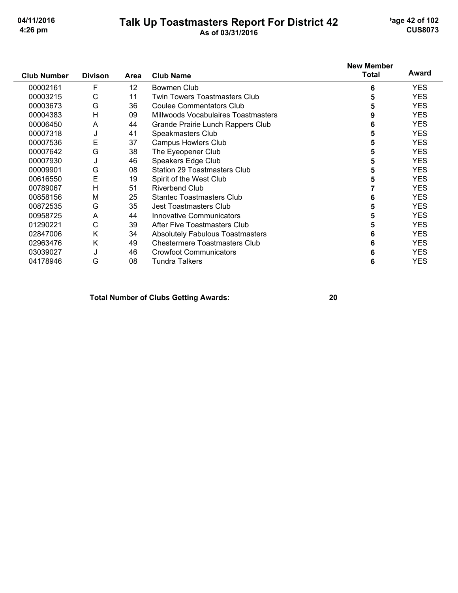## Talk Up Toastmasters Report For District 42

'age 42 of 102 **CUS8073** 

|                    |                |      |                                         | <b>New Member</b> | Award      |
|--------------------|----------------|------|-----------------------------------------|-------------------|------------|
| <b>Club Number</b> | <b>Divison</b> | Area | <b>Club Name</b>                        | <b>Total</b>      |            |
| 00002161           | F              | 12   | Bowmen Club                             | 6                 | <b>YES</b> |
| 00003215           | C              | 11   | <b>Twin Towers Toastmasters Club</b>    | 5                 | <b>YES</b> |
| 00003673           | G              | 36   | <b>Coulee Commentators Club</b>         | 5                 | <b>YES</b> |
| 00004383           | н              | 09   | Millwoods Vocabulaires Toastmasters     | 9                 | <b>YES</b> |
| 00006450           | A              | 44   | Grande Prairie Lunch Rappers Club       | 6                 | <b>YES</b> |
| 00007318           | J              | 41   | Speakmasters Club                       | 5                 | <b>YES</b> |
| 00007536           | E              | 37   | <b>Campus Howlers Club</b>              | 5                 | <b>YES</b> |
| 00007642           | G              | 38   | The Eyeopener Club                      | 5                 | <b>YES</b> |
| 00007930           | J              | 46   | Speakers Edge Club                      | 5                 | <b>YES</b> |
| 00009901           | G              | 08   | <b>Station 29 Toastmasters Club</b>     | 5                 | <b>YES</b> |
| 00616550           | E              | 19   | Spirit of the West Club                 | 5                 | <b>YES</b> |
| 00789067           | Н              | 51   | <b>Riverbend Club</b>                   |                   | <b>YES</b> |
| 00858156           | M              | 25   | <b>Stantec Toastmasters Club</b>        | 6                 | <b>YES</b> |
| 00872535           | G              | 35   | Jest Toastmasters Club                  | 5                 | <b>YES</b> |
| 00958725           | A              | 44   | Innovative Communicators                | 5                 | <b>YES</b> |
| 01290221           | С              | 39   | After Five Toastmasters Club            | 5                 | <b>YES</b> |
| 02847006           | Κ              | 34   | <b>Absolutely Fabulous Toastmasters</b> | 6                 | <b>YES</b> |
| 02963476           | Κ              | 49   | <b>Chestermere Toastmasters Club</b>    | 6                 | <b>YES</b> |
| 03039027           | J              | 46   | <b>Crowfoot Communicators</b>           | 6                 | <b>YES</b> |
| 04178946           | G              | 08   | <b>Tundra Talkers</b>                   | 6                 | <b>YES</b> |

**Total Number of Clubs Getting Awards:**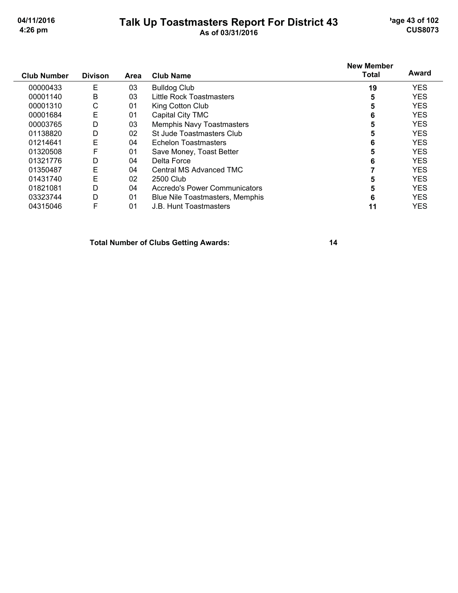## Talk Up Toastmasters Report For District 43<br>As of 03/31/2016

'age 43 of 102 **CUS8073** 

| <b>Club Number</b> | <b>Divison</b> | Area | <b>Club Name</b>                | <b>New Member</b><br><b>Total</b> | Award      |
|--------------------|----------------|------|---------------------------------|-----------------------------------|------------|
| 00000433           | Е              | 03   | <b>Bulldog Club</b>             | 19                                | <b>YES</b> |
| 00001140           | B              | 03   | Little Rock Toastmasters        | 5                                 | <b>YES</b> |
| 00001310           | С              | 01   | King Cotton Club                | 5                                 | <b>YES</b> |
| 00001684           | E              | 01   | Capital City TMC                | 6                                 | <b>YES</b> |
| 00003765           | D              | 03   | Memphis Navy Toastmasters       | 5                                 | <b>YES</b> |
| 01138820           | D              | 02   | St Jude Toastmasters Club       | 5                                 | <b>YES</b> |
| 01214641           | E              | 04   | Echelon Toastmasters            | 6                                 | <b>YES</b> |
| 01320508           | F              | 01   | Save Money, Toast Better        | 5                                 | <b>YES</b> |
| 01321776           | D              | 04   | Delta Force                     | 6                                 | <b>YES</b> |
| 01350487           | E              | 04   | Central MS Advanced TMC         |                                   | <b>YES</b> |
| 01431740           | E              | 02   | 2500 Club                       | 5                                 | <b>YES</b> |
| 01821081           | D              | 04   | Accredo's Power Communicators   | 5                                 | <b>YES</b> |
| 03323744           | D              | 01   | Blue Nile Toastmasters, Memphis | 6                                 | <b>YES</b> |
| 04315046           | F              | 01   | J.B. Hunt Toastmasters          | 11                                | <b>YES</b> |

**Total Number of Clubs Getting Awards:**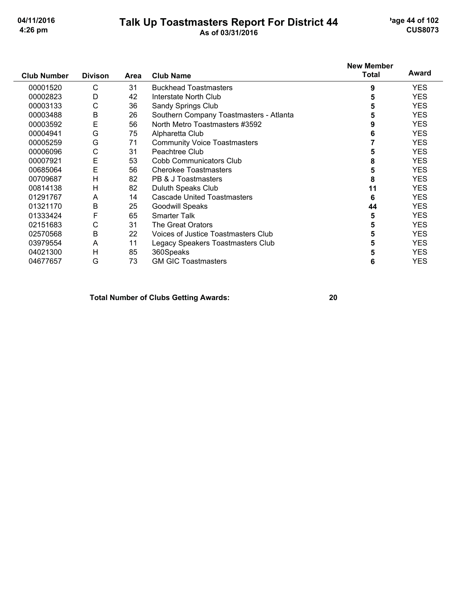## Talk Up Toastmasters Report For District 44

'age 44 of 102 **CUS8073** 

|                    |                |      |                                         | <b>New Member</b> |            |
|--------------------|----------------|------|-----------------------------------------|-------------------|------------|
| <b>Club Number</b> | <b>Divison</b> | Area | <b>Club Name</b>                        | <b>Total</b>      | Award      |
| 00001520           | C              | 31   | <b>Buckhead Toastmasters</b>            | 9                 | YES.       |
| 00002823           | D              | 42   | Interstate North Club                   | 5                 | <b>YES</b> |
| 00003133           | С              | 36   | Sandy Springs Club                      | 5                 | <b>YES</b> |
| 00003488           | B              | 26   | Southern Company Toastmasters - Atlanta | 5                 | <b>YES</b> |
| 00003592           | E              | 56   | North Metro Toastmasters #3592          | 9                 | <b>YES</b> |
| 00004941           | G              | 75   | Alpharetta Club                         | 6                 | <b>YES</b> |
| 00005259           | G              | 71   | <b>Community Voice Toastmasters</b>     |                   | <b>YES</b> |
| 00006096           | С              | 31   | Peachtree Club                          | 5                 | <b>YES</b> |
| 00007921           | E              | 53   | <b>Cobb Communicators Club</b>          | 8                 | <b>YES</b> |
| 00685064           | E              | 56   | <b>Cherokee Toastmasters</b>            | 5                 | <b>YES</b> |
| 00709687           | Η              | 82   | PB & J Toastmasters                     | 8                 | <b>YES</b> |
| 00814138           | Η              | 82   | Duluth Speaks Club                      | 11                | <b>YES</b> |
| 01291767           | A              | 14   | <b>Cascade United Toastmasters</b>      | 6                 | <b>YES</b> |
| 01321170           | Β              | 25   | <b>Goodwill Speaks</b>                  | 44                | <b>YES</b> |
| 01333424           | F              | 65   | <b>Smarter Talk</b>                     | 5                 | YES.       |
| 02151683           | С              | 31   | The Great Orators                       | 5                 | <b>YES</b> |
| 02570568           | Β              | 22   | Voices of Justice Toastmasters Club     | 5                 | <b>YES</b> |
| 03979554           | A              | 11   | Legacy Speakers Toastmasters Club       | 5                 | <b>YES</b> |
| 04021300           | Н              | 85   | 360Speaks                               | 5                 | <b>YES</b> |
| 04677657           | G              | 73   | <b>GM GIC Toastmasters</b>              | 6                 | <b>YES</b> |

**Total Number of Clubs Getting Awards:**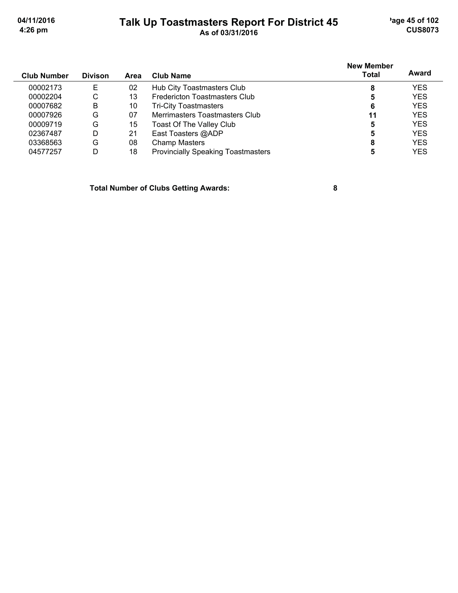## Talk Up Toastmasters Report For District 45<br>As of 03/31/2016

'age 45 of 102 **CUS8073** 

| <b>Club Number</b> | <b>Divison</b> | <b>Area</b> | Club Name                                 | <b>New Member</b><br><b>Total</b> | Award      |
|--------------------|----------------|-------------|-------------------------------------------|-----------------------------------|------------|
|                    |                |             |                                           |                                   |            |
| 00002173           | E              | 02          | Hub City Toastmasters Club                | 8                                 | YES        |
| 00002204           | С              | 13          | <b>Fredericton Toastmasters Club</b>      | 5                                 | <b>YES</b> |
| 00007682           | B              | 10          | <b>Tri-City Toastmasters</b>              | 6                                 | <b>YES</b> |
| 00007926           | G              | 07          | Merrimasters Toastmasters Club            | 11                                | <b>YES</b> |
| 00009719           | G              | 15          | <b>Toast Of The Valley Club</b>           | 5                                 | <b>YES</b> |
| 02367487           | D              | 21          | East Toasters @ADP                        | 5                                 | <b>YES</b> |
| 03368563           | G              | 08          | <b>Champ Masters</b>                      | 8                                 | <b>YES</b> |
| 04577257           | D              | 18          | <b>Provincially Speaking Toastmasters</b> | 5                                 | YES        |

**Total Number of Clubs Getting Awards:**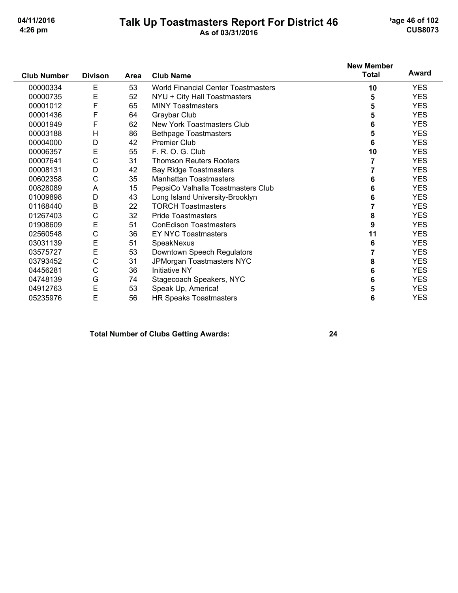## Talk Up Toastmasters Report For District 46<br>As of 03/31/2016

'age 46 of 102 **CUS8073** 

|                    |                |      |                                            | <b>New Member</b> |            |
|--------------------|----------------|------|--------------------------------------------|-------------------|------------|
| <b>Club Number</b> | <b>Divison</b> | Area | <b>Club Name</b>                           | <b>Total</b>      | Award      |
| 00000334           | Е              | 53   | <b>World Financial Center Toastmasters</b> | 10                | <b>YES</b> |
| 00000735           | E              | 52   | NYU + City Hall Toastmasters               | 5                 | <b>YES</b> |
| 00001012           | F              | 65   | <b>MINY Toastmasters</b>                   | 5                 | <b>YES</b> |
| 00001436           | F              | 64   | Graybar Club                               | 5                 | <b>YES</b> |
| 00001949           | F              | 62   | New York Toastmasters Club                 | 6                 | <b>YES</b> |
| 00003188           | H              | 86   | <b>Bethpage Toastmasters</b>               | 5                 | <b>YES</b> |
| 00004000           | D              | 42   | <b>Premier Club</b>                        | 6                 | <b>YES</b> |
| 00006357           | E              | 55   | F. R. O. G. Club                           | 10                | <b>YES</b> |
| 00007641           | C              | 31   | <b>Thomson Reuters Rooters</b>             | 7                 | <b>YES</b> |
| 00008131           | D              | 42   | <b>Bay Ridge Toastmasters</b>              |                   | <b>YES</b> |
| 00602358           | C              | 35   | <b>Manhattan Toastmasters</b>              | 6                 | <b>YES</b> |
| 00828089           | A              | 15   | PepsiCo Valhalla Toastmasters Club         | 6                 | <b>YES</b> |
| 01009898           | D              | 43   | Long Island University-Brooklyn            | 6                 | <b>YES</b> |
| 01168440           | B              | 22   | <b>TORCH Toastmasters</b>                  | 7                 | <b>YES</b> |
| 01267403           | C              | 32   | <b>Pride Toastmasters</b>                  | 8                 | <b>YES</b> |
| 01908609           | E              | 51   | <b>ConEdison Toastmasters</b>              | 9                 | <b>YES</b> |
| 02560548           | C              | 36   | <b>EY NYC Toastmasters</b>                 | 11                | <b>YES</b> |
| 03031139           | Ε              | 51   | SpeakNexus                                 | 6                 | <b>YES</b> |
| 03575727           | E              | 53   | Downtown Speech Regulators                 |                   | <b>YES</b> |
| 03793452           | C              | 31   | JPMorgan Toastmasters NYC                  | 8                 | <b>YES</b> |
| 04456281           | C              | 36   | <b>Initiative NY</b>                       | 6                 | <b>YES</b> |
| 04748139           | G              | 74   | Stagecoach Speakers, NYC                   | 6                 | <b>YES</b> |
| 04912763           | E              | 53   | Speak Up, America!                         | 5                 | <b>YES</b> |
| 05235976           | E              | 56   | <b>HR Speaks Toastmasters</b>              | 6                 | <b>YES</b> |

#### **Total Number of Clubs Getting Awards:**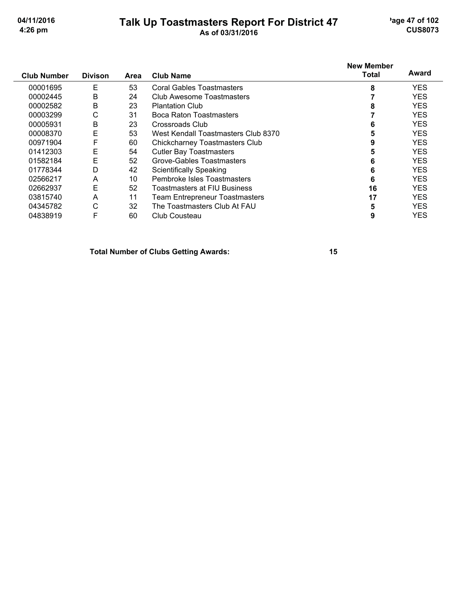## Talk Up Toastmasters Report For District 47<br>As of 03/31/2016

'age 47 of 102 **CUS8073** 

| <b>Club Number</b> | <b>Divison</b> | Area | <b>Club Name</b>                      | <b>New Member</b><br>Total | Award      |
|--------------------|----------------|------|---------------------------------------|----------------------------|------------|
| 00001695           | Е              | 53   | Coral Gables Toastmasters             | 8                          | <b>YES</b> |
| 00002445           | B              | 24   | Club Awesome Toastmasters             |                            | <b>YES</b> |
| 00002582           | B              | 23   | <b>Plantation Club</b>                |                            | <b>YES</b> |
| 00003299           | С              | 31   | Boca Raton Toastmasters               |                            | <b>YES</b> |
| 00005931           | B              | 23   | Crossroads Club                       | 6                          | <b>YES</b> |
| 00008370           | E              | 53   | West Kendall Toastmasters Club 8370   | 5                          | <b>YES</b> |
| 00971904           | F              | 60   | <b>Chickcharney Toastmasters Club</b> | 9                          | <b>YES</b> |
| 01412303           | Е              | 54   | <b>Cutler Bay Toastmasters</b>        | 5                          | <b>YES</b> |
| 01582184           | E              | 52   | Grove-Gables Toastmasters             | 6                          | <b>YES</b> |
| 01778344           | D              | 42   | <b>Scientifically Speaking</b>        | 6                          | <b>YES</b> |
| 02566217           | A              | 10   | Pembroke Isles Toastmasters           | 6                          | <b>YES</b> |
| 02662937           | E              | 52   | Toastmasters at FIU Business          | 16                         | <b>YES</b> |
| 03815740           | A              | 11   | Team Entrepreneur Toastmasters        | 17                         | <b>YES</b> |
| 04345782           | С              | 32   | The Toastmasters Club At FAU          | 5                          | <b>YES</b> |
| 04838919           | F              | 60   | Club Cousteau                         | 9                          | <b>YES</b> |

**Total Number of Clubs Getting Awards:**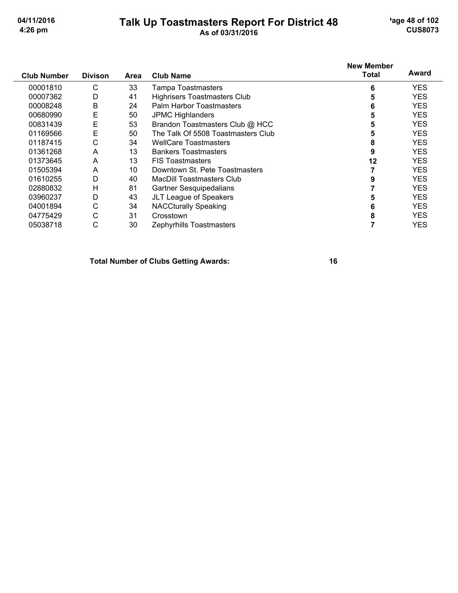# Talk Up Toastmasters Report For District 48<br>As of 03/31/2016

'age 48 of 102 **CUS8073** 

| <b>Club Number</b> | <b>Divison</b> | Area | <b>Club Name</b>                    | <b>New Member</b><br>Total | Award      |
|--------------------|----------------|------|-------------------------------------|----------------------------|------------|
| 00001810           | С              | 33   | <b>Tampa Toastmasters</b>           | 6                          | <b>YES</b> |
| 00007362           | D              | 41   | <b>Highrisers Toastmasters Club</b> | 5                          | YES        |
| 00008248           | Β              | 24   | Palm Harbor Toastmasters            | 6                          | <b>YES</b> |
| 00680990           | E              | 50   | <b>JPMC Highlanders</b>             |                            | <b>YES</b> |
| 00831439           | E              | 53   | Brandon Toastmasters Club @ HCC     |                            | <b>YES</b> |
| 01169566           | Е              | 50   | The Talk Of 5508 Toastmasters Club  |                            | <b>YES</b> |
| 01187415           | С              | 34   | <b>WellCare Toastmasters</b>        | 8                          | <b>YES</b> |
| 01361268           | A              | 13   | <b>Bankers Toastmasters</b>         | 9                          | <b>YES</b> |
| 01373645           | A              | 13   | <b>FIS Toastmasters</b>             | 12                         | <b>YES</b> |
| 01505394           | A              | 10   | Downtown St. Pete Toastmasters      |                            | <b>YES</b> |
| 01610255           | D              | 40   | <b>MacDill Toastmasters Club</b>    |                            | <b>YES</b> |
| 02880832           | н              | 81   | Gartner Sesquipedalians             |                            | <b>YES</b> |
| 03960237           | D              | 43   | JLT League of Speakers              |                            | <b>YES</b> |
| 04001894           | С              | 34   | <b>NACCturally Speaking</b>         | 6                          | <b>YES</b> |
| 04775429           | С              | 31   | Crosstown                           | 8                          | <b>YES</b> |
| 05038718           | С              | 30   | Zephyrhills Toastmasters            |                            | <b>YES</b> |

**Total Number of Clubs Getting Awards:**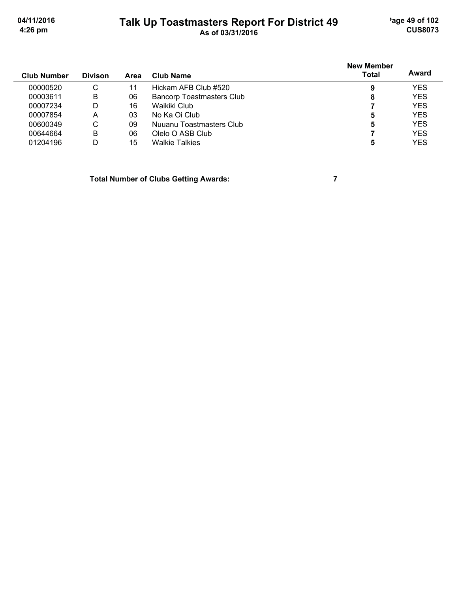'age 49 of 102 **CUS8073** 

04/11/2016 4:26 pm

## Talk Up Toastmasters Report For District 49

|                    |                |      |                                  | <b>New Member</b> | Award      |
|--------------------|----------------|------|----------------------------------|-------------------|------------|
| <b>Club Number</b> | <b>Divison</b> | Area | <b>Club Name</b>                 | <b>Total</b>      |            |
| 00000520           | C              | 11   | Hickam AFB Club #520             | 9                 | <b>YES</b> |
| 00003611           | B              | 06   | <b>Bancorp Toastmasters Club</b> | 8                 | <b>YES</b> |
| 00007234           | D              | 16   | Waikiki Club                     |                   | <b>YES</b> |
| 00007854           | А              | 03   | No Ka Oi Club                    | 5                 | <b>YES</b> |
| 00600349           | C              | 09   | Nuuanu Toastmasters Club         | 5                 | <b>YES</b> |
| 00644664           | B              | 06   | Olelo O ASB Club                 |                   | <b>YES</b> |
| 01204196           | D              | 15   | <b>Walkie Talkies</b>            | 5                 | <b>YES</b> |

**Total Number of Clubs Getting Awards:** 

 $\overline{7}$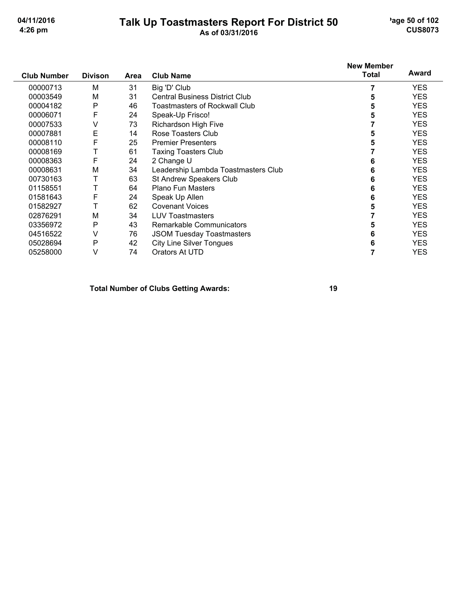# Talk Up Toastmasters Report For District 50<br>As of 03/31/2016

'age 50 of 102 **CUS8073** 

| <b>Club Number</b> | <b>Divison</b> | Area | <b>Club Name</b>                      | <b>New Member</b><br><b>Total</b> | Award      |
|--------------------|----------------|------|---------------------------------------|-----------------------------------|------------|
| 00000713           | M              | 31   | Big 'D' Club                          |                                   | <b>YES</b> |
| 00003549           | M              | 31   | <b>Central Business District Club</b> | 5                                 | <b>YES</b> |
| 00004182           | P              | 46   | Toastmasters of Rockwall Club         | 5                                 | <b>YES</b> |
| 00006071           | F              | 24   | Speak-Up Frisco!                      | 5                                 | <b>YES</b> |
| 00007533           | ٧              | 73   | Richardson High Five                  |                                   | <b>YES</b> |
| 00007881           | E              | 14   | Rose Toasters Club                    | 5                                 | <b>YES</b> |
| 00008110           | F              | 25   | <b>Premier Presenters</b>             | 5                                 | <b>YES</b> |
| 00008169           | Т              | 61   | <b>Taxing Toasters Club</b>           |                                   | <b>YES</b> |
| 00008363           | F              | 24   | 2 Change U                            | 6                                 | <b>YES</b> |
| 00008631           | M              | 34   | Leadership Lambda Toastmasters Club   | 6                                 | <b>YES</b> |
| 00730163           |                | 63   | St Andrew Speakers Club               | 6                                 | <b>YES</b> |
| 01158551           |                | 64   | <b>Plano Fun Masters</b>              | 6                                 | <b>YES</b> |
| 01581643           | F              | 24   | Speak Up Allen                        | 6                                 | <b>YES</b> |
| 01582927           |                | 62   | <b>Covenant Voices</b>                | 5                                 | <b>YES</b> |
| 02876291           | M              | 34   | <b>LUV Toastmasters</b>               |                                   | <b>YES</b> |
| 03356972           | P              | 43   | Remarkable Communicators              | 5                                 | <b>YES</b> |
| 04516522           | ٧              | 76   | <b>JSOM Tuesday Toastmasters</b>      | 6                                 | <b>YES</b> |
| 05028694           | P              | 42   | <b>City Line Silver Tongues</b>       | 6                                 | <b>YES</b> |
| 05258000           | v              | 74   | Orators At UTD                        |                                   | <b>YES</b> |

#### **Total Number of Clubs Getting Awards:**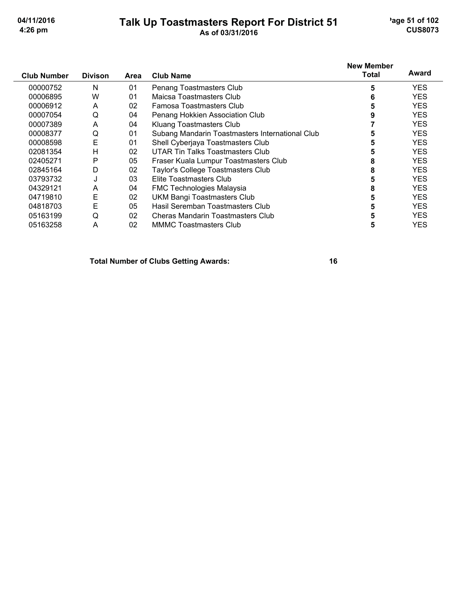05163258

# Talk Up Toastmasters Report For District 51<br>As of 03/31/2016

'age 51 of 102 **CUS8073** 

**YES** 

| <b>Club Number</b> | <b>Divison</b> | Area | <b>Club Name</b>                                | <b>New Member</b><br><b>Total</b> | Award      |
|--------------------|----------------|------|-------------------------------------------------|-----------------------------------|------------|
| 00000752           | N              | 01   | Penang Toastmasters Club                        | 5                                 | <b>YES</b> |
| 00006895           | W              | 01   | Maicsa Toastmasters Club                        | 6                                 | <b>YES</b> |
| 00006912           | A              | 02   | Famosa Toastmasters Club                        | 5                                 | <b>YES</b> |
| 00007054           | Q              | 04   | Penang Hokkien Association Club                 | 9                                 | <b>YES</b> |
| 00007389           | A              | 04   | Kluang Toastmasters Club                        |                                   | <b>YES</b> |
| 00008377           | Q              | 01   | Subang Mandarin Toastmasters International Club | 5                                 | <b>YES</b> |
| 00008598           | E              | 01   | Shell Cyberjaya Toastmasters Club               | 5                                 | <b>YES</b> |
| 02081354           | н              | 02   | UTAR Tin Talks Toastmasters Club                |                                   | <b>YES</b> |
| 02405271           | P              | 05   | Fraser Kuala Lumpur Toastmasters Club           | 8                                 | <b>YES</b> |
| 02845164           | D              | 02   | <b>Taylor's College Toastmasters Club</b>       | 8                                 | <b>YES</b> |
| 03793732           | J              | 03   | Elite Toastmasters Club                         | 5                                 | <b>YES</b> |
| 04329121           | A              | 04   | <b>FMC Technologies Malaysia</b>                | 8                                 | <b>YES</b> |
| 04719810           | Ε              | 02   | <b>UKM Bangi Toastmasters Club</b>              | 5                                 | <b>YES</b> |
| 04818703           | E              | 05   | Hasil Seremban Toastmasters Club                | 5                                 | <b>YES</b> |
| 05163199           | Q              | 02   | Cheras Mandarin Toastmasters Club               | 5                                 | <b>YES</b> |

**Total Number of Clubs Getting Awards:** 

**MMMC Toastmasters Club** 

 $02\,$ 

 $\overline{A}$ 

16

 $5\phantom{a}$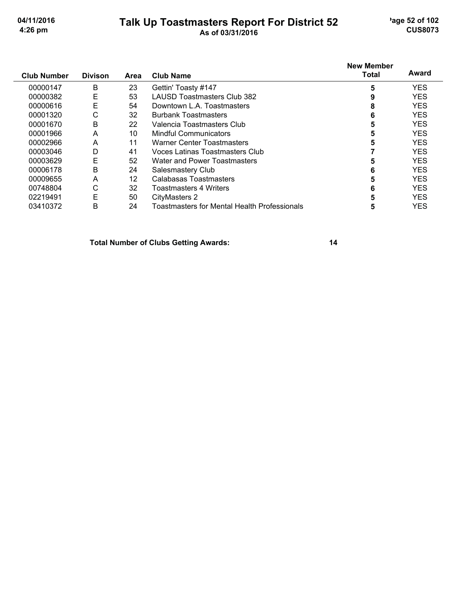## Talk Up Toastmasters Report For District 52<br>As of 03/31/2016

'age 52 of 102 **CUS8073** 

| <b>Club Number</b> | <b>Divison</b> | Area | <b>Club Name</b>                             | <b>New Member</b><br><b>Total</b> | Award      |
|--------------------|----------------|------|----------------------------------------------|-----------------------------------|------------|
| 00000147           | B              | 23   | Gettin' Toasty #147                          | 5                                 | <b>YES</b> |
| 00000382           | E              | 53   | LAUSD Toastmasters Club 382                  | 9                                 | <b>YES</b> |
| 00000616           | E              | 54   | Downtown L.A. Toastmasters                   | 8                                 | <b>YES</b> |
| 00001320           | С              | 32   | <b>Burbank Toastmasters</b>                  | 6                                 | <b>YES</b> |
| 00001670           | B              | 22   | Valencia Toastmasters Club                   | 5                                 | <b>YES</b> |
| 00001966           | A              | 10   | Mindful Communicators                        | 5                                 | <b>YES</b> |
| 00002966           | A              | 11   | Warner Center Toastmasters                   | 5                                 | <b>YES</b> |
| 00003046           | D              | 41   | Voces Latinas Toastmasters Club              |                                   | <b>YES</b> |
| 00003629           | E              | 52   | Water and Power Toastmasters                 |                                   | <b>YES</b> |
| 00006178           | B              | 24   | Salesmastery Club                            | 6                                 | <b>YES</b> |
| 00009655           | A              | 12   | Calabasas Toastmasters                       | 5                                 | <b>YES</b> |
| 00748804           | С              | 32   | <b>Toastmasters 4 Writers</b>                | 6                                 | <b>YES</b> |
| 02219491           | E              | 50   | CityMasters 2                                |                                   | <b>YES</b> |
| 03410372           | B              | 24   | Toastmasters for Mental Health Professionals | 5                                 | <b>YES</b> |

**Total Number of Clubs Getting Awards:**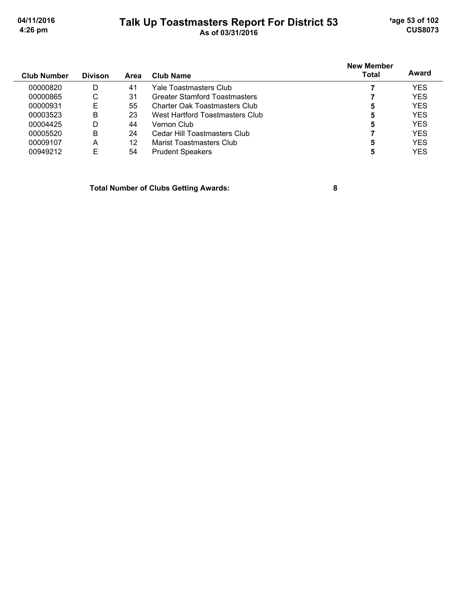## Talk Up Toastmasters Report For District 53<br>As of 03/31/2016

'age 53 of 102 **CUS8073** 

|                    |                |      |                                 | <b>New Member</b> |            |
|--------------------|----------------|------|---------------------------------|-------------------|------------|
| <b>Club Number</b> | <b>Divison</b> | Area | Club Name                       | Total             | Award      |
| 00000820           | D              | 41   | Yale Toastmasters Club          |                   | <b>YES</b> |
| 00000865           | C              | 31   | Greater Stamford Toastmasters   |                   | <b>YES</b> |
| 00000931           | E              | 55   | Charter Oak Toastmasters Club   | 5                 | <b>YES</b> |
| 00003523           | B              | 23   | West Hartford Toastmasters Club | 5                 | <b>YES</b> |
| 00004425           | D              | 44   | Vernon Club                     | 5                 | <b>YES</b> |
| 00005520           | B              | 24   | Cedar Hill Toastmasters Club    |                   | <b>YES</b> |
| 00009107           | A              | 12   | Marist Toastmasters Club        | 5                 | <b>YES</b> |
| 00949212           | E              | 54   | <b>Prudent Speakers</b>         |                   | <b>YES</b> |

**Total Number of Clubs Getting Awards:**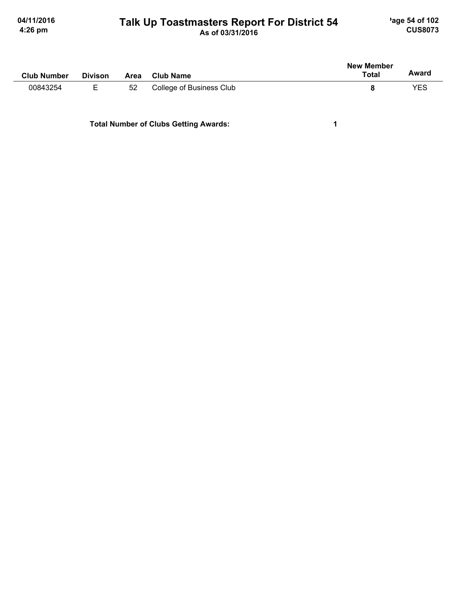# Talk Up Toastmasters Report For District 54

'age 54 of 102 **CUS8073** 

| <b>Club Number</b> | <b>Divison</b> | Area | <b>Club Name</b>         | <b>New Member</b><br><b>Total</b> | Award |
|--------------------|----------------|------|--------------------------|-----------------------------------|-------|
| 00843254           | Е              | 52   | College of Business Club | 8                                 | YES   |
|                    |                |      |                          |                                   |       |

**Total Number of Clubs Getting Awards:** 

 $\mathbf{1}$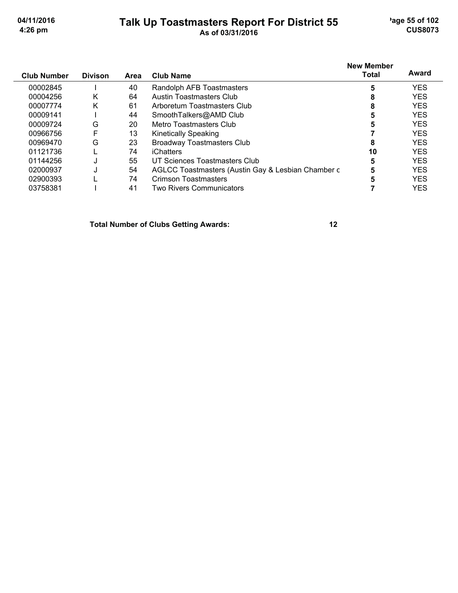$\overline{a}$ 

# Talk Up Toastmasters Report For District 55<br>As of 03/31/2016

'age 55 of 102 **CUS8073** 

| <b>Club Number</b> | <b>Divison</b> | Area | <b>Club Name</b>                                   | <b>New Member</b><br><b>Total</b> | Award      |
|--------------------|----------------|------|----------------------------------------------------|-----------------------------------|------------|
| 00002845           |                | 40   | Randolph AFB Toastmasters                          | 5                                 | <b>YES</b> |
| 00004256           | K              | 64   | Austin Toastmasters Club                           | 8                                 | <b>YES</b> |
| 00007774           | K              | 61   | Arboretum Toastmasters Club                        | 8                                 | <b>YES</b> |
| 00009141           |                | 44   | SmoothTalkers@AMD Club                             | 5                                 | <b>YES</b> |
| 00009724           | G              | 20   | Metro Toastmasters Club                            | 5                                 | <b>YES</b> |
| 00966756           | F              | 13   | <b>Kinetically Speaking</b>                        |                                   | <b>YES</b> |
| 00969470           | G              | 23   | <b>Broadway Toastmasters Club</b>                  | 8                                 | <b>YES</b> |
| 01121736           |                | 74   | iChatters                                          | 10                                | <b>YES</b> |
| 01144256           |                | 55   | UT Sciences Toastmasters Club                      | 5                                 | <b>YES</b> |
| 02000937           |                | 54   | AGLCC Toastmasters (Austin Gay & Lesbian Chamber c | 5                                 | <b>YES</b> |
| 02900393           |                | 74   | <b>Crimson Toastmasters</b>                        | 5                                 | <b>YES</b> |
| 03758381           |                | 41   | <b>Two Rivers Communicators</b>                    |                                   | <b>YES</b> |

**Total Number of Clubs Getting Awards:**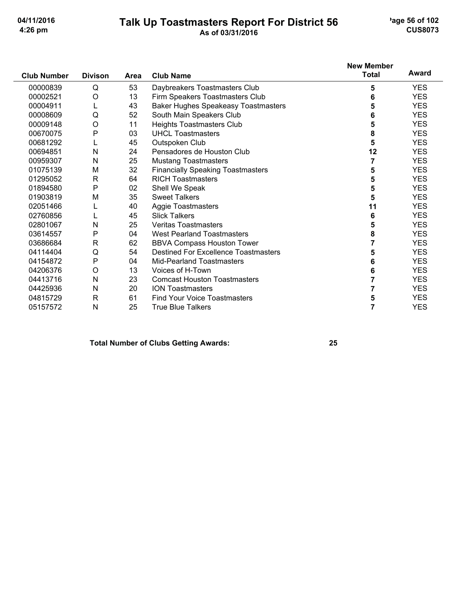## Talk Up Toastmasters Report For District 56<br>As of 03/31/2016

'age 56 of 102 **CUS8073** 

|                    |                |      |                                             | <b>New Member</b> | Award      |
|--------------------|----------------|------|---------------------------------------------|-------------------|------------|
| <b>Club Number</b> | <b>Divison</b> | Area | <b>Club Name</b>                            | <b>Total</b>      |            |
| 00000839           | Q              | 53   | Daybreakers Toastmasters Club               | 5                 | <b>YES</b> |
| 00002521           | O              | 13   | Firm Speakers Toastmasters Club             | 6                 | <b>YES</b> |
| 00004911           | L              | 43   | <b>Baker Hughes Speakeasy Toastmasters</b>  | 5                 | <b>YES</b> |
| 00008609           | Q              | 52   | South Main Speakers Club                    | 6                 | <b>YES</b> |
| 00009148           | O              | 11   | <b>Heights Toastmasters Club</b>            | 5                 | <b>YES</b> |
| 00670075           | P              | 03   | <b>UHCL Toastmasters</b>                    | 8                 | <b>YES</b> |
| 00681292           | L              | 45   | Outspoken Club                              | 5                 | <b>YES</b> |
| 00694851           | N              | 24   | Pensadores de Houston Club                  | 12                | <b>YES</b> |
| 00959307           | N              | 25   | <b>Mustang Toastmasters</b>                 | 7                 | <b>YES</b> |
| 01075139           | M              | 32   | <b>Financially Speaking Toastmasters</b>    | 5                 | <b>YES</b> |
| 01295052           | R              | 64   | <b>RICH Toastmasters</b>                    | 5                 | <b>YES</b> |
| 01894580           | P              | 02   | Shell We Speak                              | 5                 | <b>YES</b> |
| 01903819           | M              | 35   | <b>Sweet Talkers</b>                        | 5                 | <b>YES</b> |
| 02051466           | L              | 40   | <b>Aggie Toastmasters</b>                   | 11                | <b>YES</b> |
| 02760856           |                | 45   | <b>Slick Talkers</b>                        | 6                 | <b>YES</b> |
| 02801067           | N              | 25   | <b>Veritas Toastmasters</b>                 | 5                 | <b>YES</b> |
| 03614557           | P              | 04   | <b>West Pearland Toastmasters</b>           | 8                 | <b>YES</b> |
| 03686684           | $\mathsf{R}$   | 62   | <b>BBVA Compass Houston Tower</b>           | 7                 | <b>YES</b> |
| 04114404           | Q              | 54   | <b>Destined For Excellence Toastmasters</b> | 5                 | <b>YES</b> |
| 04154872           | P              | 04   | <b>Mid-Pearland Toastmasters</b>            | 6                 | <b>YES</b> |
| 04206376           | $\circ$        | 13   | Voices of H-Town                            | 6                 | <b>YES</b> |
| 04413716           | Ν              | 23   | <b>Comcast Houston Toastmasters</b>         | 7                 | <b>YES</b> |
| 04425936           | Ν              | 20   | <b>ION Toastmasters</b>                     |                   | <b>YES</b> |
| 04815729           | $\mathsf{R}$   | 61   | <b>Find Your Voice Toastmasters</b>         | 5                 | <b>YES</b> |
| 05157572           | N              | 25   | <b>True Blue Talkers</b>                    | $\overline{7}$    | <b>YES</b> |

### **Total Number of Clubs Getting Awards:**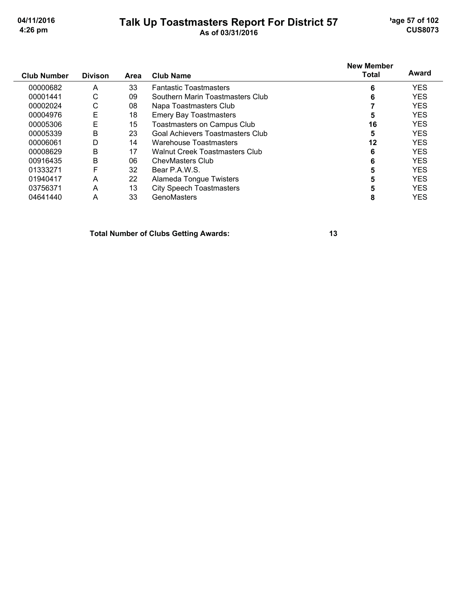## Talk Up Toastmasters Report For District 57<br>As of 03/31/2016

'age 57 of 102 **CUS8073** 

| <b>Club Number</b> | <b>Divison</b> | Area | <b>Club Name</b>                      | <b>New Member</b><br><b>Total</b> | Award      |
|--------------------|----------------|------|---------------------------------------|-----------------------------------|------------|
| 00000682           | A              | 33   | <b>Fantastic Toastmasters</b>         | 6                                 | <b>YES</b> |
| 00001441           | С              | 09   | Southern Marin Toastmasters Club      | 6                                 | <b>YES</b> |
| 00002024           | С              | 08   | Napa Toastmasters Club                |                                   | <b>YES</b> |
| 00004976           | E              | 18   | <b>Emery Bay Toastmasters</b>         | 5                                 | <b>YES</b> |
| 00005306           | Ε              | 15   | Toastmasters on Campus Club           | 16                                | <b>YES</b> |
| 00005339           | B              | 23   | Goal Achievers Toastmasters Club      | 5                                 | <b>YES</b> |
| 00006061           | D              | 14   | Warehouse Toastmasters                | $12 \,$                           | <b>YES</b> |
| 00008629           | B              | 17   | <b>Walnut Creek Toastmasters Club</b> | 6                                 | <b>YES</b> |
| 00916435           | B              | 06   | <b>ChevMasters Club</b>               | 6                                 | <b>YES</b> |
| 01333271           | F              | 32   | Bear P.A.W.S.                         |                                   | <b>YES</b> |
| 01940417           | A              | 22   | Alameda Tongue Twisters               |                                   | <b>YES</b> |
| 03756371           | A              | 13   | <b>City Speech Toastmasters</b>       |                                   | <b>YES</b> |
| 04641440           | A              | 33   | GenoMasters                           | 8                                 | <b>YES</b> |

**Total Number of Clubs Getting Awards:**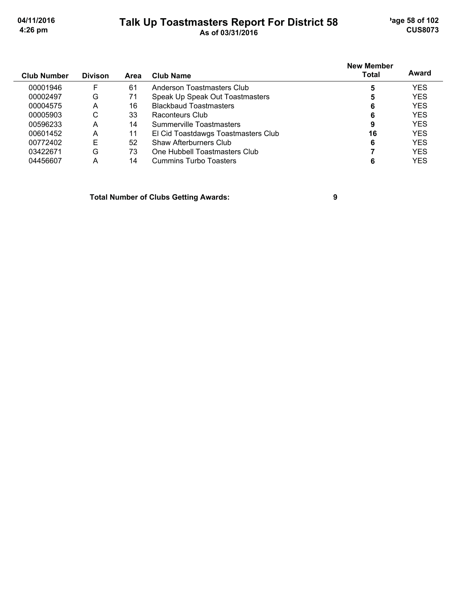# Talk Up Toastmasters Report For District 58<br>As of 03/31/2016

'age 58 of 102 **CUS8073** 

| <b>Club Number</b> | <b>Divison</b> | <b>Area</b> | <b>Club Name</b>                    | <b>New Member</b><br><b>Total</b> | Award      |
|--------------------|----------------|-------------|-------------------------------------|-----------------------------------|------------|
|                    |                |             |                                     |                                   |            |
| 00001946           | F              | 61          | Anderson Toastmasters Club          | 5                                 | <b>YES</b> |
| 00002497           | G              | 71          | Speak Up Speak Out Toastmasters     | 5                                 | <b>YES</b> |
| 00004575           | A              | 16          | <b>Blackbaud Toastmasters</b>       | 6                                 | <b>YES</b> |
| 00005903           | С              | 33          | Raconteurs Club                     | 6                                 | <b>YES</b> |
| 00596233           | A              | 14          | Summerville Toastmasters            | 9                                 | <b>YES</b> |
| 00601452           | A              | 11          | El Cid Toastdawgs Toastmasters Club | 16                                | <b>YES</b> |
| 00772402           | E              | 52          | Shaw Afterburners Club              | 6                                 | <b>YES</b> |
| 03422671           | G              | 73          | One Hubbell Toastmasters Club       |                                   | <b>YES</b> |
| 04456607           | А              | 14          | <b>Cummins Turbo Toasters</b>       |                                   | YES        |

**Total Number of Clubs Getting Awards:** 

 $\boldsymbol{9}$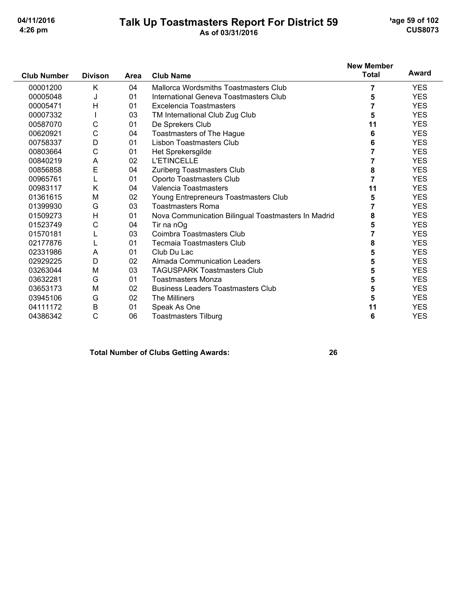# Talk Up Toastmasters Report For District 59<br>As of 03/31/2016

'age 59 of 102 **CUS8073** 

|                    |                |             |                                                     | <b>New Member</b> |            |
|--------------------|----------------|-------------|-----------------------------------------------------|-------------------|------------|
| <b>Club Number</b> | <b>Divison</b> | <b>Area</b> | <b>Club Name</b>                                    | <b>Total</b>      | Award      |
| 00001200           | Κ              | 04          | Mallorca Wordsmiths Toastmasters Club               | 7                 | <b>YES</b> |
| 00005048           | J              | 01          | International Geneva Toastmasters Club              | 5                 | <b>YES</b> |
| 00005471           | H              | 01          | Excelencia Toastmasters                             | 7                 | <b>YES</b> |
| 00007332           |                | 03          | TM International Club Zug Club                      | 5                 | <b>YES</b> |
| 00587070           | C              | 01          | De Sprekers Club                                    | 11                | <b>YES</b> |
| 00620921           | C              | 04          | Toastmasters of The Hague                           | 6                 | <b>YES</b> |
| 00758337           | D              | 01          | <b>Lisbon Toastmasters Club</b>                     | 6                 | <b>YES</b> |
| 00803664           | C              | 01          | Het Sprekersgilde                                   |                   | <b>YES</b> |
| 00840219           | Α              | 02          | <b>L'ETINCELLE</b>                                  | 7                 | <b>YES</b> |
| 00856858           | E              | 04          | Zuriberg Toastmasters Club                          | 8                 | <b>YES</b> |
| 00965761           | L              | 01          | Oporto Toastmasters Club                            | 7                 | <b>YES</b> |
| 00983117           | Κ              | 04          | Valencia Toastmasters                               | 11                | <b>YES</b> |
| 01361615           | M              | 02          | Young Entrepreneurs Toastmasters Club               | 5                 | <b>YES</b> |
| 01399930           | G              | 03          | <b>Toastmasters Roma</b>                            |                   | <b>YES</b> |
| 01509273           | H              | 01          | Nova Communication Bilingual Toastmasters In Madrid | 8                 | <b>YES</b> |
| 01523749           | C              | 04          | Tir na nOg                                          | 5                 | <b>YES</b> |
| 01570181           |                | 03          | Coimbra Toastmasters Club                           | 7                 | <b>YES</b> |
| 02177876           |                | 01          | <b>Tecmaia Toastmasters Club</b>                    | 8                 | <b>YES</b> |
| 02331986           | A              | 01          | Club Du Lac                                         | 5                 | <b>YES</b> |
| 02929225           | D              | 02          | <b>Almada Communication Leaders</b>                 | 5                 | <b>YES</b> |
| 03263044           | M              | 03          | <b>TAGUSPARK Toastmasters Club</b>                  | 5                 | <b>YES</b> |
| 03632281           | G              | 01          | <b>Toastmasters Monza</b>                           | 5                 | <b>YES</b> |
| 03653173           | M              | 02          | <b>Business Leaders Toastmasters Club</b>           | 5                 | <b>YES</b> |
| 03945106           | G              | 02          | <b>The Milliners</b>                                | 5                 | <b>YES</b> |
| 04111172           | B              | 01          | Speak As One                                        | 11                | <b>YES</b> |
| 04386342           | C              | 06          | Toastmasters Tilburg                                | 6                 | <b>YES</b> |

**Total Number of Clubs Getting Awards:**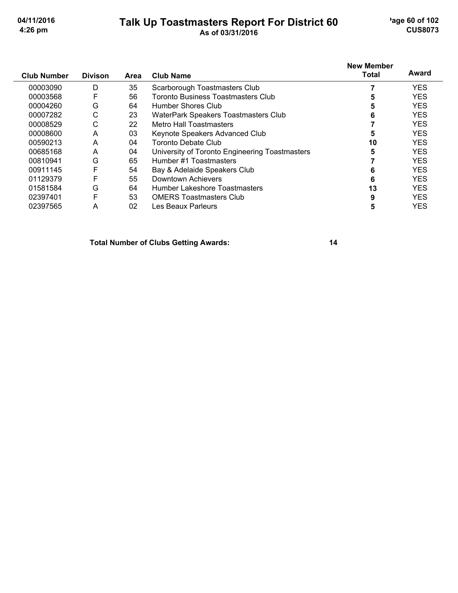## Talk Up Toastmasters Report For District 60

'age 60 of 102 **CUS8073** 

|                    |                |      |                                                | <b>New Member</b> | Award      |
|--------------------|----------------|------|------------------------------------------------|-------------------|------------|
| <b>Club Number</b> | <b>Divison</b> | Area | <b>Club Name</b>                               | <b>Total</b>      |            |
| 00003090           | D              | 35   | Scarborough Toastmasters Club                  |                   | <b>YES</b> |
| 00003568           | F              | 56   | Toronto Business Toastmasters Club             | 5                 | <b>YES</b> |
| 00004260           | G              | 64   | Humber Shores Club                             |                   | <b>YES</b> |
| 00007282           | C              | 23   | WaterPark Speakers Toastmasters Club           | 6                 | <b>YES</b> |
| 00008529           | С              | 22   | Metro Hall Toastmasters                        |                   | <b>YES</b> |
| 00008600           | A              | 03   | Keynote Speakers Advanced Club                 | 5                 | <b>YES</b> |
| 00590213           | A              | 04   | Toronto Debate Club                            | 10                | <b>YES</b> |
| 00685168           | A              | 04   | University of Toronto Engineering Toastmasters | 5                 | <b>YES</b> |
| 00810941           | G              | 65   | Humber #1 Toastmasters                         |                   | <b>YES</b> |
| 00911145           | F              | 54   | Bay & Adelaide Speakers Club                   | 6                 | <b>YES</b> |
| 01129379           | F              | 55   | Downtown Achievers                             | 6                 | <b>YES</b> |
| 01581584           | G              | 64   | Humber Lakeshore Toastmasters                  | 13                | <b>YES</b> |
| 02397401           | F              | 53   | <b>OMERS Toastmasters Club</b>                 | 9                 | <b>YES</b> |
| 02397565           | А              | 02   | Les Beaux Parleurs                             | 5                 | <b>YES</b> |

**Total Number of Clubs Getting Awards:**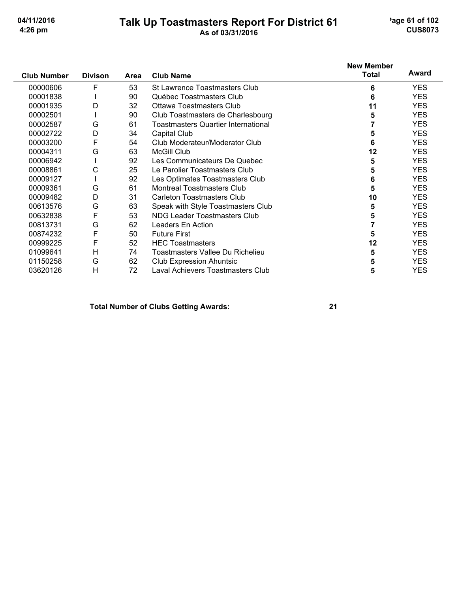## Talk Up Toastmasters Report For District 61<br>As of 03/31/2016

'age 61 of 102 **CUS8073** 

|                    |                |      |                                            | <b>New Member</b> |            |
|--------------------|----------------|------|--------------------------------------------|-------------------|------------|
| <b>Club Number</b> | <b>Divison</b> | Area | <b>Club Name</b>                           | <b>Total</b>      | Award      |
| 00000606           | F              | 53   | <b>St Lawrence Toastmasters Club</b>       | 6                 | <b>YES</b> |
| 00001838           |                | 90   | Québec Toastmasters Club                   | 6                 | <b>YES</b> |
| 00001935           | D              | 32   | <b>Ottawa Toastmasters Club</b>            | 11                | <b>YES</b> |
| 00002501           |                | 90   | Club Toastmasters de Charlesbourg          | 5                 | <b>YES</b> |
| 00002587           | G              | 61   | <b>Toastmasters Quartier International</b> |                   | <b>YES</b> |
| 00002722           | D              | 34   | Capital Club                               | 5                 | <b>YES</b> |
| 00003200           | F              | 54   | Club Moderateur/Moderator Club             | 6                 | <b>YES</b> |
| 00004311           | G              | 63   | <b>McGill Club</b>                         | 12                | <b>YES</b> |
| 00006942           |                | 92   | Les Communicateurs De Quebec               | 5                 | <b>YES</b> |
| 00008861           | С              | 25   | Le Parolier Toastmasters Club              | 5                 | <b>YES</b> |
| 00009127           |                | 92   | Les Optimates Toastmasters Club            | 6                 | <b>YES</b> |
| 00009361           | G              | 61   | Montreal Toastmasters Club                 | 5                 | <b>YES</b> |
| 00009482           | D              | 31   | <b>Carleton Toastmasters Club</b>          | 10                | <b>YES</b> |
| 00613576           | G              | 63   | Speak with Style Toastmasters Club         | 5                 | <b>YES</b> |
| 00632838           | F              | 53   | NDG Leader Toastmasters Club               | 5                 | <b>YES</b> |
| 00813731           | G              | 62   | Leaders En Action                          |                   | <b>YES</b> |
| 00874232           | F              | 50   | <b>Future First</b>                        | 5                 | <b>YES</b> |
| 00999225           | F              | 52   | <b>HEC Toastmasters</b>                    | 12                | <b>YES</b> |
| 01099641           | H              | 74   | Toastmasters Vallee Du Richelieu           | 5                 | <b>YES</b> |
| 01150258           | G              | 62   | <b>Club Expression Ahuntsic</b>            | 5                 | <b>YES</b> |
| 03620126           | H              | 72   | Laval Achievers Toastmasters Club          | 5                 | <b>YES</b> |

#### **Total Number of Clubs Getting Awards:**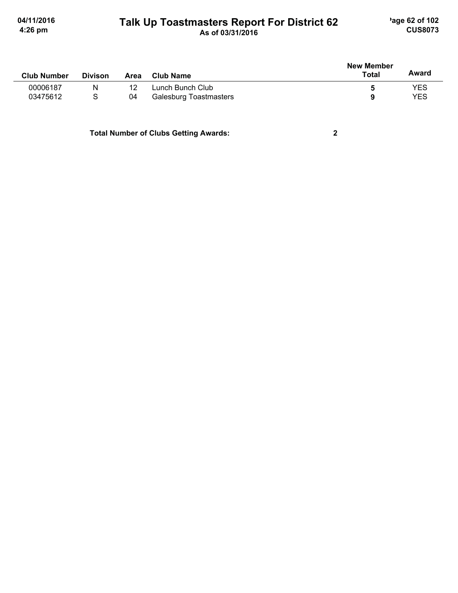# Talk Up Toastmasters Report For District 62

 $\mathbf{2}$ 

| <b>Club Number</b> | <b>Divison</b> | Area | <b>Club Name</b>              | <b>New Member</b><br>Total | Award |
|--------------------|----------------|------|-------------------------------|----------------------------|-------|
|                    |                |      |                               |                            |       |
| 00006187           | N              |      | Lunch Bunch Club              | b                          | YES   |
| 03475612           | S              | 04   | <b>Galesburg Toastmasters</b> | q                          | YES   |
|                    |                |      |                               |                            |       |

**Total Number of Clubs Getting Awards:**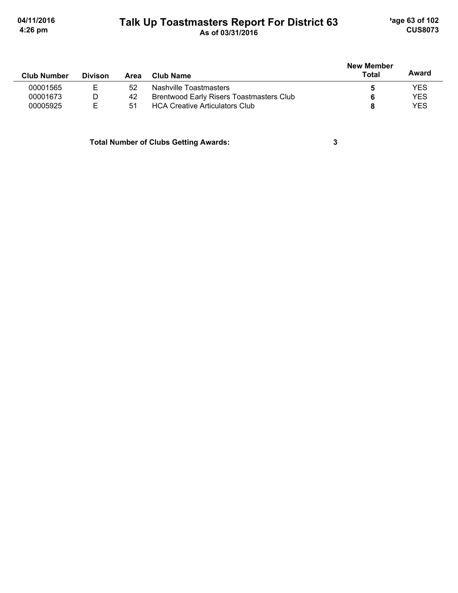# Talk Up Toastmasters Report For District 63

'age 63 of 102 **CUS8073** 

|                    |                |      |                                          |              |            |  | <b>New Member</b> |  |  |
|--------------------|----------------|------|------------------------------------------|--------------|------------|--|-------------------|--|--|
| <b>Club Number</b> | <b>Divison</b> | Area | Club Name                                | <b>Total</b> | Award      |  |                   |  |  |
| 00001565           |                | 52   | Nashville Toastmasters                   |              | YES        |  |                   |  |  |
| 00001673           | D              | 42   | Brentwood Early Risers Toastmasters Club |              | <b>YES</b> |  |                   |  |  |
| 00005925           | F              | 51   | <b>HCA Creative Articulators Club</b>    |              | <b>YES</b> |  |                   |  |  |

**Total Number of Clubs Getting Awards:** 

 $\mathbf{3}$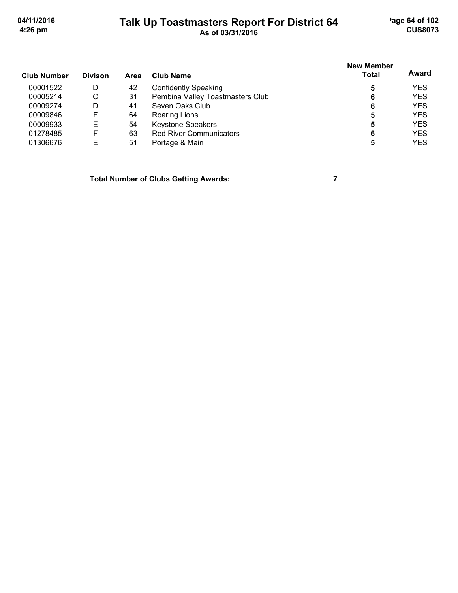'age 64 of 102 **CUS8073** 

04/11/2016 4:26 pm

# Talk Up Toastmasters Report For District 64

| <b>Club Number</b> | <b>Divison</b> | Area | Club Name                        | <b>New Member</b><br><b>Total</b> | Award      |
|--------------------|----------------|------|----------------------------------|-----------------------------------|------------|
| 00001522           | D              | 42   | <b>Confidently Speaking</b>      | 5                                 | <b>YES</b> |
| 00005214           | С              | -31  | Pembina Valley Toastmasters Club | 6                                 | <b>YES</b> |
| 00009274           | D              | 41   | Seven Oaks Club                  | 6                                 | <b>YES</b> |
| 00009846           | F              | 64   | Roaring Lions                    | 5                                 | <b>YES</b> |
| 00009933           | Е              | 54   | <b>Keystone Speakers</b>         | 5                                 | <b>YES</b> |
| 01278485           | F              | 63   | <b>Red River Communicators</b>   | 6                                 | <b>YES</b> |
| 01306676           | Е              | 51   | Portage & Main                   | 5                                 | <b>YES</b> |

**Total Number of Clubs Getting Awards:** 

 $\overline{7}$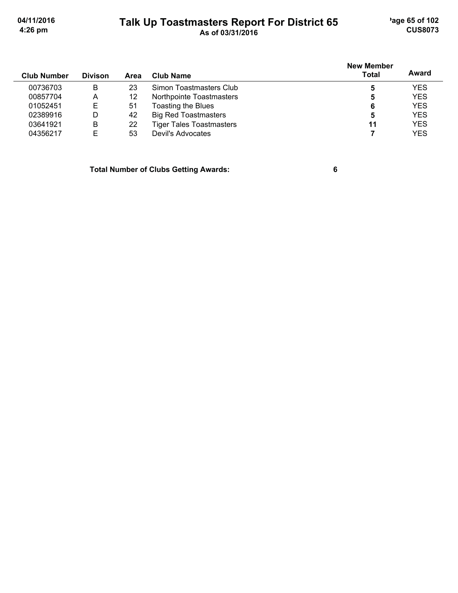'age 65 of 102 **CUS8073** 

04/11/2016 4:26 pm

## Talk Up Toastmasters Report For District 65<br>As of 03/31/2016

| <b>Divison</b> | Area | <b>Club Name</b>                | Total | Award             |
|----------------|------|---------------------------------|-------|-------------------|
| B              | 23   | Simon Toastmasters Club         | 5     | <b>YES</b>        |
| Α              | 12   | Northpointe Toastmasters        | 5     | <b>YES</b>        |
| E              | 51   | Toasting the Blues              | 6     | <b>YES</b>        |
| D              | 42   | <b>Big Red Toastmasters</b>     | 5     | <b>YES</b>        |
| В              | 22   | <b>Tiger Tales Toastmasters</b> | 11    | <b>YES</b>        |
| F              | 53   | Devil's Advocates               |       | <b>YES</b>        |
|                |      |                                 |       | <b>New Member</b> |

**Total Number of Clubs Getting Awards:** 

 $6\phantom{a}$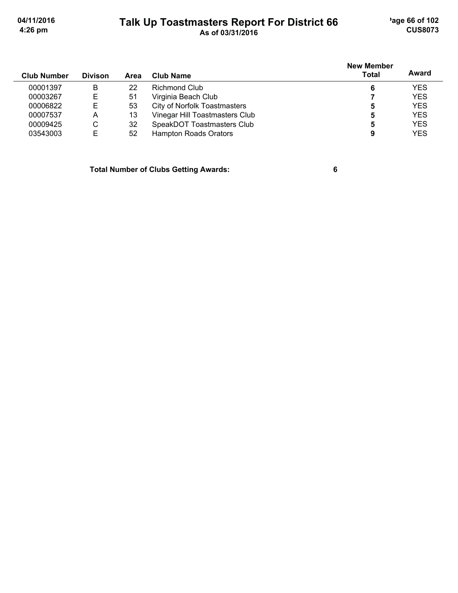'age 66 of 102 **CUS8073** 

04/11/2016 4:26 pm

## Talk Up Toastmasters Report For District 66<br>As of 03/31/2016

| <b>Club Number</b> | <b>Divison</b> | Area | Club Name                           | <b>New Member</b><br><b>Total</b> | Award      |
|--------------------|----------------|------|-------------------------------------|-----------------------------------|------------|
| 00001397           | B              | 22   | Richmond Club                       | 6                                 | <b>YES</b> |
| 00003267           | E              | 51   | Virginia Beach Club                 |                                   | <b>YES</b> |
| 00006822           | Е              | 53   | <b>City of Norfolk Toastmasters</b> | 5                                 | <b>YES</b> |
| 00007537           | A              | 13   | Vinegar Hill Toastmasters Club      | 5                                 | <b>YES</b> |
| 00009425           | C              | 32   | SpeakDOT Toastmasters Club          | 5                                 | <b>YES</b> |
| 03543003           | E              | 52   | <b>Hampton Roads Orators</b>        | 9                                 | <b>YES</b> |

**Total Number of Clubs Getting Awards:** 

 $6\phantom{a}$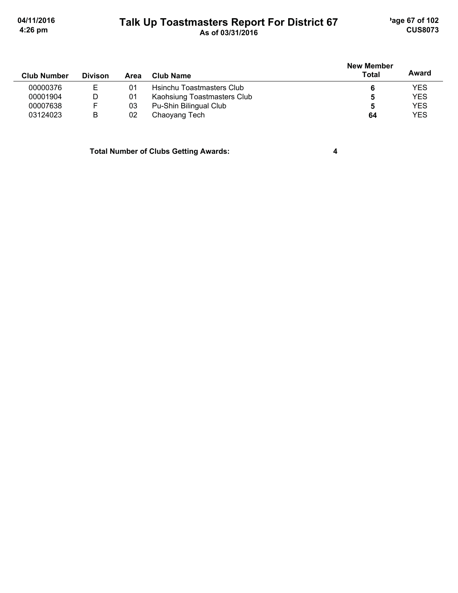'age 67 of 102 **CUS8073** 

 $\overline{\mathbf{4}}$ 

04/11/2016 4:26 pm

## Talk Up Toastmasters Report For District 67<br>As of 03/31/2016

| <b>Club Number</b> | <b>Divison</b> | Area | Club Name                   | <b>New Member</b><br>Total | Award      |
|--------------------|----------------|------|-----------------------------|----------------------------|------------|
| 00000376           |                | 01   | Hsinchu Toastmasters Club   |                            | <b>YES</b> |
| 00001904           | D              | 01   | Kaohsiung Toastmasters Club | 5                          | <b>YES</b> |
| 00007638           | F              | 03   | Pu-Shin Bilingual Club      | 5                          | <b>YES</b> |
| 03124023           | B              | 02   | Chaoyang Tech               | 64                         | <b>YES</b> |

**Total Number of Clubs Getting Awards:**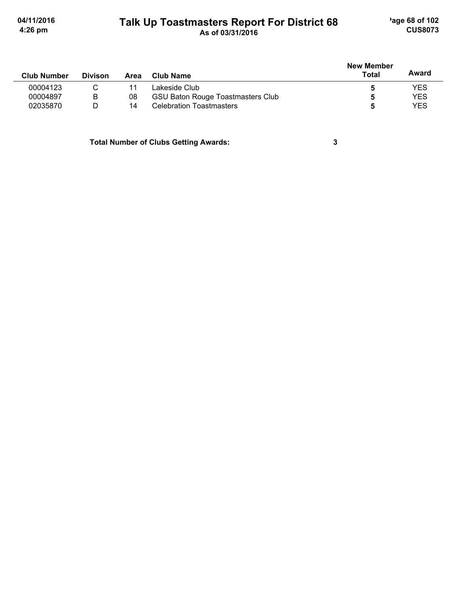## Talk Up Toastmasters Report For District 68

'age 68 of 102 **CUS8073** 

|                    |                |      |                                          | <b>New Member</b> |            |
|--------------------|----------------|------|------------------------------------------|-------------------|------------|
| <b>Club Number</b> | <b>Divison</b> | Area | Club Name                                | Total             | Award      |
| 00004123           | С              |      | Lakeside Club                            | 5                 | YES        |
| 00004897           | B              | 08   | <b>GSU Baton Rouge Toastmasters Club</b> | 5                 | <b>YES</b> |
| 02035870           | D              | 14   | <b>Celebration Toastmasters</b>          | 5                 | <b>YES</b> |
|                    |                |      |                                          |                   |            |

**Total Number of Clubs Getting Awards:** 

 $\mathbf{3}$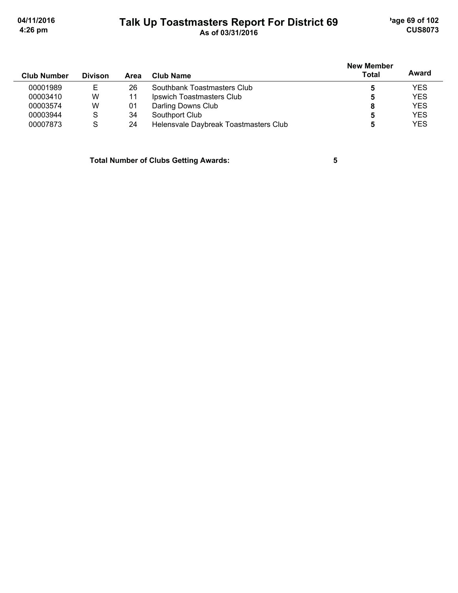'age 69 of 102 **CUS8073** 

04/11/2016 4:26 pm

## Talk Up Toastmasters Report For District 69<br>As of 03/31/2016

|                    |                |      |                                       | <b>New Member</b> |            |
|--------------------|----------------|------|---------------------------------------|-------------------|------------|
| <b>Club Number</b> | <b>Divison</b> | Area | Club Name                             | Total             | Award      |
| 00001989           | Е              | 26   | Southbank Toastmasters Club           | 5                 | <b>YES</b> |
| 00003410           | W              |      | Ipswich Toastmasters Club             | 5                 | <b>YES</b> |
| 00003574           | W              | 01   | Darling Downs Club                    | 8                 | <b>YES</b> |
| 00003944           | S              | 34   | Southport Club                        | 5                 | <b>YES</b> |
| 00007873           | S              | 24   | Helensvale Daybreak Toastmasters Club | 5                 | <b>YES</b> |

**Total Number of Clubs Getting Awards:** 

 $\overline{\mathbf{5}}$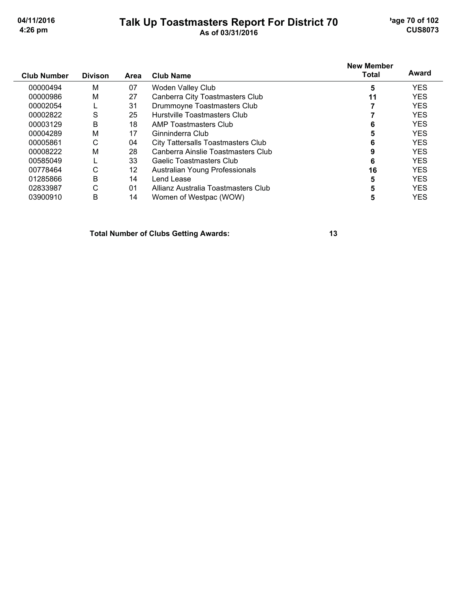## Talk Up Toastmasters Report For District 70<br>As of 03/31/2016

'age 70 of 102 **CUS8073** 

| <b>Club Number</b> | <b>Divison</b> | Area | <b>Club Name</b>                    | <b>New Member</b><br>Total | Award      |
|--------------------|----------------|------|-------------------------------------|----------------------------|------------|
| 00000494           | M              | 07   | <b>Woden Valley Club</b>            | 5                          | <b>YES</b> |
| 00000986           | М              | 27   | Canberra City Toastmasters Club     | 11                         | <b>YES</b> |
| 00002054           |                | 31   | Drummoyne Toastmasters Club         |                            | <b>YES</b> |
| 00002822           | S              | 25   | <b>Hurstville Toastmasters Club</b> |                            | <b>YES</b> |
| 00003129           | B              | 18   | AMP Toastmasters Club               | 6                          | <b>YES</b> |
| 00004289           | М              | 17   | Ginninderra Club                    |                            | <b>YES</b> |
| 00005861           | С              | 04   | City Tattersalls Toastmasters Club  | 6                          | <b>YES</b> |
| 00008222           | M              | 28   | Canberra Ainslie Toastmasters Club  |                            | <b>YES</b> |
| 00585049           |                | 33   | Gaelic Toastmasters Club            | 6                          | <b>YES</b> |
| 00778464           | С              | 12   | Australian Young Professionals      | 16                         | <b>YES</b> |
| 01285866           | Β              | 14   | Lend Lease                          | 5                          | <b>YES</b> |
| 02833987           | С              | 01   | Allianz Australia Toastmasters Club | 5                          | <b>YES</b> |
| 03900910           | B              | 14   | Women of Westpac (WOW)              | 5                          | <b>YES</b> |

**Total Number of Clubs Getting Awards:**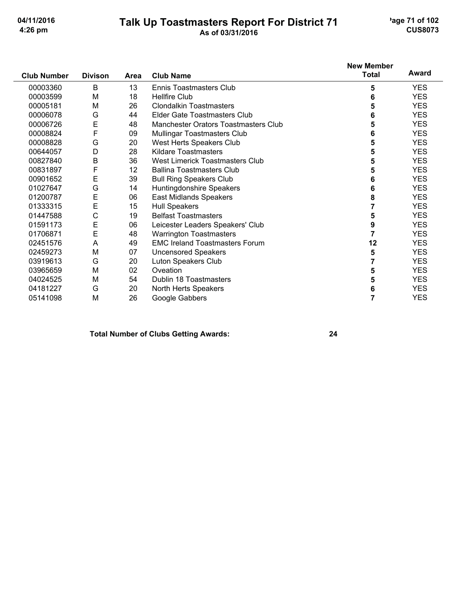## Talk Up Toastmasters Report For District 71<br>As of 03/31/2016

'age 71 of 102 **CUS8073** 

|                    |                |             |                                       | <b>New Member</b> |            |
|--------------------|----------------|-------------|---------------------------------------|-------------------|------------|
| <b>Club Number</b> | <b>Divison</b> | <b>Area</b> | <b>Club Name</b>                      | <b>Total</b>      | Award      |
| 00003360           | B              | 13          | Ennis Toastmasters Club               | 5                 | <b>YES</b> |
| 00003599           | M              | 18          | <b>Hellfire Club</b>                  | 6                 | <b>YES</b> |
| 00005181           | M              | 26          | <b>Clondalkin Toastmasters</b>        | 5                 | <b>YES</b> |
| 00006078           | G              | 44          | Elder Gate Toastmasters Club          | 6                 | <b>YES</b> |
| 00006726           | E              | 48          | Manchester Orators Toastmasters Club  | 5                 | <b>YES</b> |
| 00008824           | F              | 09          | Mullingar Toastmasters Club           | 6                 | <b>YES</b> |
| 00008828           | G              | 20          | West Herts Speakers Club              | 5                 | <b>YES</b> |
| 00644057           | D              | 28          | <b>Kildare Toastmasters</b>           | 5                 | <b>YES</b> |
| 00827840           | B              | 36          | West Limerick Toastmasters Club       | 5                 | <b>YES</b> |
| 00831897           | F              | 12          | <b>Ballina Toastmasters Club</b>      | 5                 | <b>YES</b> |
| 00901652           | E              | 39          | <b>Bull Ring Speakers Club</b>        | 6                 | <b>YES</b> |
| 01027647           | G              | 14          | Huntingdonshire Speakers              | 6                 | <b>YES</b> |
| 01200787           | E              | 06          | East Midlands Speakers                | 8                 | <b>YES</b> |
| 01333315           | E              | 15          | <b>Hull Speakers</b>                  | 7                 | <b>YES</b> |
| 01447588           | $\mathsf C$    | 19          | <b>Belfast Toastmasters</b>           | 5                 | <b>YES</b> |
| 01591173           | E              | 06          | Leicester Leaders Speakers' Club      | 9                 | <b>YES</b> |
| 01706871           | E              | 48          | <b>Warrington Toastmasters</b>        | $\overline{7}$    | <b>YES</b> |
| 02451576           | Α              | 49          | <b>EMC Ireland Toastmasters Forum</b> | 12                | <b>YES</b> |
| 02459273           | M              | 07          | <b>Uncensored Speakers</b>            | 5                 | <b>YES</b> |
| 03919613           | G              | 20          | Luton Speakers Club                   | 7                 | <b>YES</b> |
| 03965659           | M              | 02          | Oveation                              | 5                 | <b>YES</b> |
| 04024525           | M              | 54          | Dublin 18 Toastmasters                | 5                 | <b>YES</b> |
| 04181227           | G              | 20          | North Herts Speakers                  | 6                 | <b>YES</b> |
| 05141098           | M              | 26          | Google Gabbers                        | 7                 | <b>YES</b> |

#### **Total Number of Clubs Getting Awards:**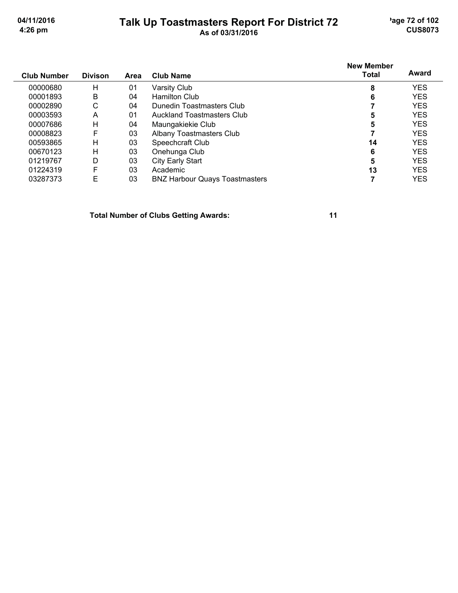## Talk Up Toastmasters Report For District 72<br>As of 03/31/2016

'age 72 of 102 **CUS8073** 

| <b>Club Number</b> | <b>Divison</b> | Area | <b>Club Name</b>                      | <b>New Member</b><br>Total | Award      |
|--------------------|----------------|------|---------------------------------------|----------------------------|------------|
| 00000680           | Η              | 01   | Varsity Club                          | 8                          | <b>YES</b> |
| 00001893           | Β              | 04   | <b>Hamilton Club</b>                  | 6                          | YES        |
| 00002890           | С              | 04   | Dunedin Toastmasters Club             |                            | <b>YES</b> |
| 00003593           | Α              | 01   | Auckland Toastmasters Club            | 5                          | YES        |
| 00007686           | Η              | 04   | Maungakiekie Club                     | 5                          | <b>YES</b> |
| 00008823           | F              | 03   | <b>Albany Toastmasters Club</b>       |                            | <b>YES</b> |
| 00593865           | Η              | 03   | Speechcraft Club                      | 14                         | <b>YES</b> |
| 00670123           | н              | 03   | Onehunga Club                         | 6                          | <b>YES</b> |
| 01219767           | D              | 03   | <b>City Early Start</b>               | 5                          | <b>YES</b> |
| 01224319           | F              | 03   | Academic                              | 13                         | <b>YES</b> |
| 03287373           | E              | 03   | <b>BNZ Harbour Quays Toastmasters</b> |                            | <b>YES</b> |

**Total Number of Clubs Getting Awards:**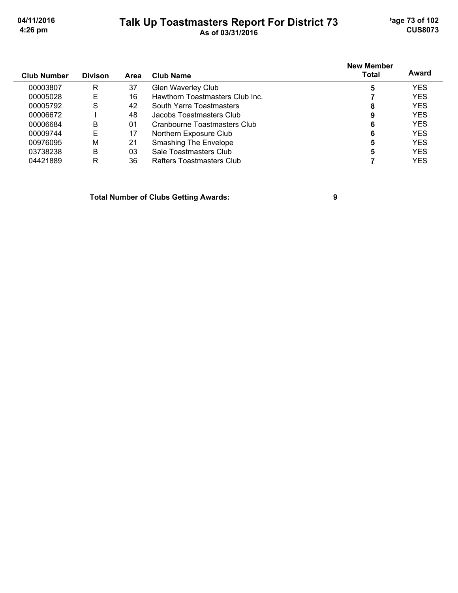# Talk Up Toastmasters Report For District 73<br>As of 03/31/2016

'age 73 of 102 **CUS8073** 

| <b>Club Number</b> | <b>Divison</b> | Area | <b>Club Name</b>                | <b>New Member</b><br><b>Total</b> | Award      |
|--------------------|----------------|------|---------------------------------|-----------------------------------|------------|
| 00003807           | R              | 37   | <b>Glen Waverley Club</b>       | 5                                 | <b>YES</b> |
| 00005028           | E              | 16   | Hawthorn Toastmasters Club Inc. |                                   | <b>YES</b> |
| 00005792           | S              | 42   | South Yarra Toastmasters        | 8                                 | <b>YES</b> |
| 00006672           |                | 48   | Jacobs Toastmasters Club        | 9                                 | <b>YES</b> |
| 00006684           | B              | 01   | Cranbourne Toastmasters Club    | 6                                 | <b>YES</b> |
| 00009744           | E              | 17   | Northern Exposure Club          | 6                                 | <b>YES</b> |
| 00976095           | M              | 21   | <b>Smashing The Envelope</b>    | 5                                 | <b>YES</b> |
| 03738238           | B              | 03   | Sale Toastmasters Club          | 5                                 | <b>YES</b> |
| 04421889           | R              | 36   | Rafters Toastmasters Club       |                                   | YES        |

**Total Number of Clubs Getting Awards:** 

 $\boldsymbol{9}$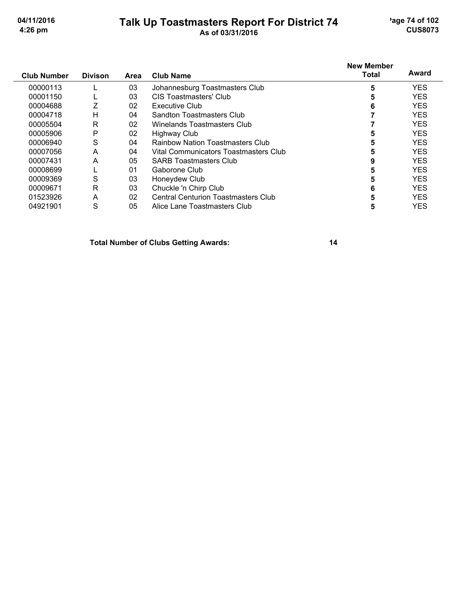## Talk Up Toastmasters Report For District 74<br>As of 03/31/2016

'age 74 of 102 **CUS8073** 

| <b>Club Number</b> | <b>Divison</b> | Area | <b>Club Name</b>                           | <b>New Member</b><br>Total | Award      |
|--------------------|----------------|------|--------------------------------------------|----------------------------|------------|
| 00000113           |                | 03   | Johannesburg Toastmasters Club             |                            | <b>YES</b> |
| 00001150           |                | 03   | CIS Toastmasters' Club                     |                            | <b>YES</b> |
| 00004688           |                | 02   | <b>Executive Club</b>                      |                            | <b>YES</b> |
| 00004718           | н              | 04   | Sandton Toastmasters Club                  |                            | <b>YES</b> |
| 00005504           | R              | 02   | Winelands Toastmasters Club                |                            | <b>YES</b> |
| 00005906           | P              | 02   | <b>Highway Club</b>                        |                            | <b>YES</b> |
| 00006940           | S              | 04   | <b>Rainbow Nation Toastmasters Club</b>    |                            | <b>YES</b> |
| 00007056           | A              | 04   | Vital Communicators Toastmasters Club      | 5                          | <b>YES</b> |
| 00007431           | A              | 05   | <b>SARB Toastmasters Club</b>              |                            | <b>YES</b> |
| 00008699           |                | 01   | Gaborone Club                              |                            | <b>YES</b> |
| 00009369           | S              | 03   | Honeydew Club                              |                            | <b>YES</b> |
| 00009671           | R              | 03   | Chuckle 'n Chirp Club                      | 6                          | <b>YES</b> |
| 01523926           | A              | 02   | <b>Central Centurion Toastmasters Club</b> |                            | <b>YES</b> |
| 04921901           | S              | 05   | Alice Lane Toastmasters Club               | C                          | <b>YES</b> |

**Total Number of Clubs Getting Awards:**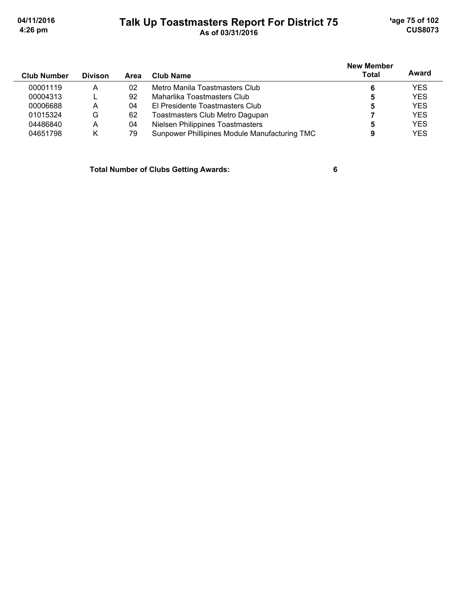## Talk Up Toastmasters Report For District 75<br>As of 03/31/2016

'age 75 of 102 **CUS8073** 

| <b>Club Number</b> | <b>Divison</b> | Area | Club Name                                     | <b>New Member</b><br>Total | Award      |
|--------------------|----------------|------|-----------------------------------------------|----------------------------|------------|
| 00001119           | A              | 02   | Metro Manila Toastmasters Club                | 6                          | <b>YES</b> |
| 00004313           |                | 92   | Maharlika Toastmasters Club                   | 5                          | <b>YES</b> |
| 00006688           | А              | 04   | El Presidente Toastmasters Club               | 5                          | <b>YES</b> |
| 01015324           | G              | 62   | Toastmasters Club Metro Dagupan               |                            | <b>YES</b> |
| 04486840           | A              | 04   | Nielsen Philippines Toastmasters              | 5                          | <b>YES</b> |
| 04651798           | Κ              | 79   | Sunpower Phillipines Module Manufacturing TMC | 9                          | <b>YES</b> |

**Total Number of Clubs Getting Awards:**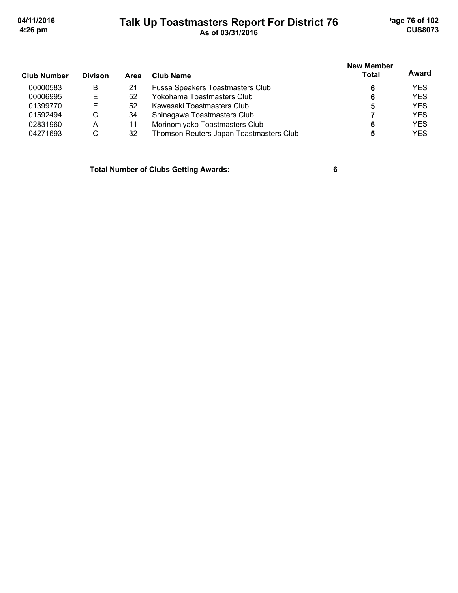'age 76 of 102 **CUS8073** 

04/11/2016 4:26 pm

## Talk Up Toastmasters Report For District 76<br>As of 03/31/2016

| <b>Club Number</b> | <b>Divison</b> | Area | Club Name                               | <b>New Member</b><br><b>Total</b> | Award      |
|--------------------|----------------|------|-----------------------------------------|-----------------------------------|------------|
| 00000583           | B              | 21   | Fussa Speakers Toastmasters Club        |                                   | <b>YES</b> |
| 00006995           | Е              | 52   | Yokohama Toastmasters Club              | 6                                 | <b>YES</b> |
| 01399770           | E              | 52   | Kawasaki Toastmasters Club              | 5                                 | <b>YES</b> |
| 01592494           | C              | 34   | Shinagawa Toastmasters Club             |                                   | <b>YES</b> |
| 02831960           | A              | 11   | Morinomiyako Toastmasters Club          |                                   | <b>YES</b> |
| 04271693           | С              | 32   | Thomson Reuters Japan Toastmasters Club |                                   | <b>YES</b> |

**Total Number of Clubs Getting Awards:**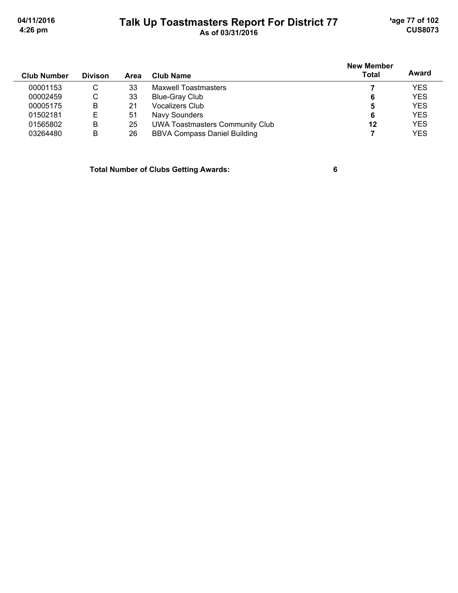'age 77 of 102 **CUS8073** 

04/11/2016 4:26 pm

## Talk Up Toastmasters Report For District 77<br>As of 03/31/2016

| <b>Club Number</b> | <b>Divison</b> | Area | <b>Club Name</b>                       | <b>New Member</b><br>Total | Award      |
|--------------------|----------------|------|----------------------------------------|----------------------------|------------|
| 00001153           | С              | 33   | <b>Maxwell Toastmasters</b>            |                            | <b>YES</b> |
| 00002459           | С              | 33   | Blue-Gray Club                         | 6                          | <b>YES</b> |
| 00005175           | B              | 21   | <b>Vocalizers Club</b>                 | 5                          | <b>YES</b> |
| 01502181           | Ε              | 51   | Navy Sounders                          | 6                          | <b>YES</b> |
| 01565802           | B              | 25   | <b>UWA Toastmasters Community Club</b> | 12                         | <b>YES</b> |
| 03264480           | В              | 26   | <b>BBVA Compass Daniel Building</b>    |                            | <b>YES</b> |

**Total Number of Clubs Getting Awards:**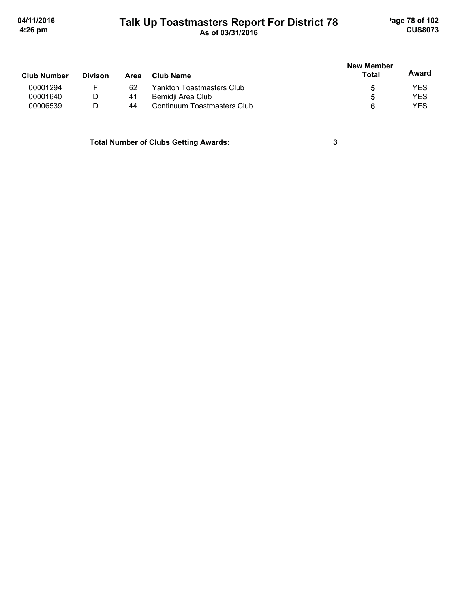# Talk Up Toastmasters Report For District 78<br>As of 03/31/2016

'age 78 of 102 **CUS8073** 

 $\mathbf{3}$ 

| <b>Club Number</b> | <b>Divison</b> | Area | Club Name                   | <b>New Member</b><br><b>Total</b> | Award      |
|--------------------|----------------|------|-----------------------------|-----------------------------------|------------|
| 00001294           |                | 62   | Yankton Toastmasters Club   |                                   | YES        |
| 00001640           | D              | 41   | Bemidji Area Club           |                                   | <b>YES</b> |
| 00006539           |                | 44   | Continuum Toastmasters Club |                                   | YES        |

**Total Number of Clubs Getting Awards:**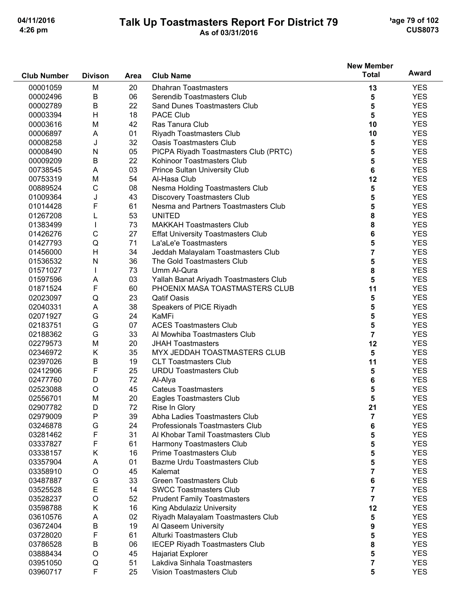# Talk Up Toastmasters Report For District 79<br>As of 03/31/2016

'age 79 of 102 **CUS8073** 

|                    |                |      |                                           | New Member              |            |
|--------------------|----------------|------|-------------------------------------------|-------------------------|------------|
| <b>Club Number</b> | <b>Divison</b> | Area | <b>Club Name</b>                          | <b>Total</b>            | Award      |
| 00001059           | M              | 20   | <b>Dhahran Toastmasters</b>               | 13                      | <b>YES</b> |
| 00002496           | B              | 06   | Serendib Toastmasters Club                | 5                       | <b>YES</b> |
| 00002789           | B              | 22   | Sand Dunes Toastmasters Club              | 5                       | <b>YES</b> |
| 00003394           | Н              | 18   | <b>PACE Club</b>                          | 5                       | <b>YES</b> |
| 00003616           | M              | 42   | Ras Tanura Club                           | 10                      | <b>YES</b> |
| 00006897           | A              | 01   | Riyadh Toastmasters Club                  | 10                      | <b>YES</b> |
| 00008258           | J              | 32   | <b>Oasis Toastmasters Club</b>            | 5                       | <b>YES</b> |
| 00008490           | N              | 05   | PICPA Riyadh Toastmasters Club (PRTC)     | 5                       | <b>YES</b> |
| 00009209           | B              | 22   | Kohinoor Toastmasters Club                | 5                       | <b>YES</b> |
| 00738545           | Α              | 03   | <b>Prince Sultan University Club</b>      | 6                       | <b>YES</b> |
| 00753319           | M              | 54   | Al-Hasa Club                              | 12                      | <b>YES</b> |
| 00889524           | $\mathsf C$    | 08   | Nesma Holding Toastmasters Club           | 5                       | <b>YES</b> |
| 01009364           | J              | 43   | <b>Discovery Toastmasters Club</b>        | 5                       | <b>YES</b> |
| 01014428           | F              | 61   | Nesma and Partners Toastmasters Club      | 5                       | <b>YES</b> |
| 01267208           | L              | 53   | <b>UNITED</b>                             | 8                       | <b>YES</b> |
| 01383499           |                | 73   | <b>MAKKAH Toastmasters Club</b>           | 8                       | <b>YES</b> |
| 01426276           | C              | 27   | <b>Effat University Toastmasters Club</b> | 6                       | <b>YES</b> |
| 01427793           | Q              | 71   | La'aLe'e Toastmasters                     | 5                       | <b>YES</b> |
| 01456000           | H              | 34   | Jeddah Malayalam Toastmasters Club        | 7                       | <b>YES</b> |
| 01536532           | N              | 36   | The Gold Toastmasters Club                | 5                       | <b>YES</b> |
| 01571027           | I.             | 73   | Umm Al-Qura                               | 8                       | <b>YES</b> |
| 01597596           | A              | 03   | Yallah Banat Ariyadh Toastmasters Club    | 5                       | <b>YES</b> |
| 01871524           | F              | 60   | PHOENIX MASA TOASTMASTERS CLUB            | 11                      | <b>YES</b> |
| 02023097           | Q              | 23   | <b>Qatif Oasis</b>                        | 5                       | <b>YES</b> |
| 02040331           | A              | 38   | Speakers of PICE Riyadh                   | 5                       | <b>YES</b> |
| 02071927           | G              | 24   | KaMFi                                     | 5                       | <b>YES</b> |
| 02183751           | G              | 07   | <b>ACES Toastmasters Club</b>             | 5                       | <b>YES</b> |
| 02188362           | G              | 33   | Al Mowhiba Toastmasters Club              | $\overline{7}$          | <b>YES</b> |
| 02279573           | M              | 20   | <b>JHAH Toastmasters</b>                  | 12                      | <b>YES</b> |
| 02346972           | Κ              | 35   | MYX JEDDAH TOASTMASTERS CLUB              | 5                       | <b>YES</b> |
| 02397026           | $\mathsf B$    | 19   | <b>CLT Toastmasters Club</b>              | 11                      | <b>YES</b> |
| 02412906           | F              | 25   | <b>URDU Toastmasters Club</b>             | 5                       | <b>YES</b> |
| 02477760           | D              | 72   | Al-Alya                                   | 6                       | <b>YES</b> |
| 02523088           | $\circ$        | 45   | <b>Cateus Toastmasters</b>                | 5                       | <b>YES</b> |
| 02556701           | M              | 20   | Eagles Toastmasters Club                  | 5                       | <b>YES</b> |
| 02907782           | D              | 72   | Rise In Glory                             | 21                      | <b>YES</b> |
| 02979009           | P              | 39   | Abha Ladies Toastmasters Club             | 7                       | <b>YES</b> |
| 03246878           | G              | 24   | Professionals Toastmasters Club           | 6                       | <b>YES</b> |
| 03281462           | F              | 31   | Al Khobar Tamil Toastmasters Club         | 5                       | <b>YES</b> |
| 03337827           | F              | 61   | Harmony Toastmasters Club                 | 5                       | <b>YES</b> |
| 03338157           | Κ              | 16   | <b>Prime Toastmasters Club</b>            | 5                       | <b>YES</b> |
| 03357904           | Α              | 01   | Bazme Urdu Toastmasters Club              | 5                       | <b>YES</b> |
| 03358910           | $\circ$        | 45   | Kalemat                                   | 7                       | <b>YES</b> |
| 03487887           | G              | 33   | <b>Green Toastmasters Club</b>            | 6                       | <b>YES</b> |
| 03525528           | Ε              | 14   | <b>SWCC Toastmasters Club</b>             | $\overline{7}$          | <b>YES</b> |
| 03528237           | O              | 52   | <b>Prudent Family Toastmasters</b>        | 7                       | <b>YES</b> |
| 03598788           | Κ              | 16   | King Abdulaziz University                 | 12                      | <b>YES</b> |
| 03610576           | A              | 02   | Riyadh Malayalam Toastmasters Club        | 5                       | <b>YES</b> |
| 03672404           | Β              | 19   | Al Qaseem University                      | 9                       | <b>YES</b> |
| 03728020           | F              | 61   | Alturki Toastmasters Club                 | 5                       | <b>YES</b> |
| 03786528           | B              | 06   | <b>IECEP Riyadh Toastmasters Club</b>     | 8                       | <b>YES</b> |
| 03888434           | $\circ$        | 45   | <b>Hajariat Explorer</b>                  | 5                       | <b>YES</b> |
| 03951050           | Q              | 51   | Lakdiva Sinhala Toastmasters              | $\overline{\mathbf{7}}$ | <b>YES</b> |
| 03960717           | F              | 25   | Vision Toastmasters Club                  | 5                       | <b>YES</b> |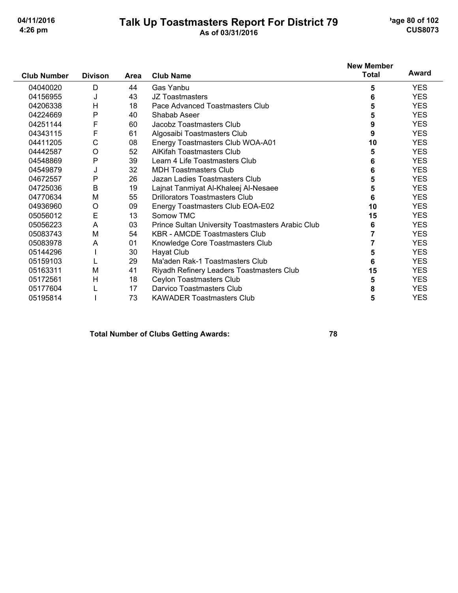## Talk Up Toastmasters Report For District 79<br>As of 03/31/2016

'age 80 of 102 **CUS8073** 

|                    |                |      |                                                   | <b>New Member</b> |            |
|--------------------|----------------|------|---------------------------------------------------|-------------------|------------|
| <b>Club Number</b> | <b>Divison</b> | Area | <b>Club Name</b>                                  | <b>Total</b>      | Award      |
| 04040020           | D              | 44   | Gas Yanbu                                         | 5                 | <b>YES</b> |
| 04156955           | J              | 43   | JZ Toastmasters                                   | 6                 | <b>YES</b> |
| 04206338           | H              | 18   | Pace Advanced Toastmasters Club                   | 5                 | <b>YES</b> |
| 04224669           | P              | 40   | Shabab Aseer                                      | 5                 | <b>YES</b> |
| 04251144           | F              | 60   | Jacobz Toastmasters Club                          | 9                 | <b>YES</b> |
| 04343115           | F              | 61   | Algosaibi Toastmasters Club                       | 9                 | <b>YES</b> |
| 04411205           | C              | 08   | Energy Toastmasters Club WOA-A01                  | 10                | <b>YES</b> |
| 04442587           | O              | 52   | <b>AlKifah Toastmasters Club</b>                  | 5                 | <b>YES</b> |
| 04548869           | P              | 39   | Learn 4 Life Toastmasters Club                    | 6                 | <b>YES</b> |
| 04549879           | J              | 32   | <b>MDH Toastmasters Club</b>                      | 6                 | <b>YES</b> |
| 04672557           | P              | 26   | Jazan Ladies Toastmasters Club                    | 5                 | <b>YES</b> |
| 04725036           | B              | 19   | Lajnat Tanmiyat Al-Khaleej Al-Nesaee              | 5                 | <b>YES</b> |
| 04770634           | M              | 55   | Drillorators Toastmasters Club                    | 6                 | <b>YES</b> |
| 04936960           | O              | 09   | Energy Toastmasters Club EOA-E02                  | 10                | <b>YES</b> |
| 05056012           | E              | 13   | Somow TMC                                         | 15                | <b>YES</b> |
| 05056223           | Α              | 03   | Prince Sultan University Toastmasters Arabic Club | 6                 | <b>YES</b> |
| 05083743           | M              | 54   | <b>KBR - AMCDE Toastmasters Club</b>              |                   | <b>YES</b> |
| 05083978           | A              | 01   | Knowledge Core Toastmasters Club                  | 7                 | <b>YES</b> |
| 05144296           |                | 30   | Hayat Club                                        | 5                 | <b>YES</b> |
| 05159103           |                | 29   | Ma'aden Rak-1 Toastmasters Club                   | 6                 | <b>YES</b> |
| 05163311           | M              | 41   | Riyadh Refinery Leaders Toastmasters Club         | 15                | <b>YES</b> |
| 05172561           | Н              | 18   | Ceylon Toastmasters Club                          | 5                 | <b>YES</b> |
| 05177604           |                | 17   | Darvico Toastmasters Club                         | 8                 | <b>YES</b> |
| 05195814           |                | 73   | <b>KAWADER Toastmasters Club</b>                  | 5                 | <b>YES</b> |

### **Total Number of Clubs Getting Awards:**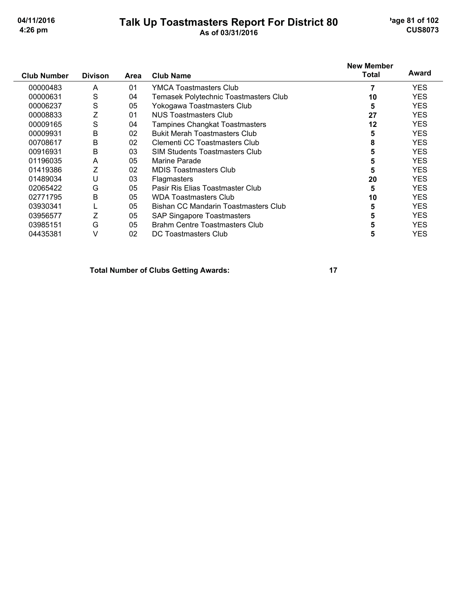## Talk Up Toastmasters Report For District 80

'age 81 of 102 **CUS8073** 

| <b>Club Number</b> | <b>Divison</b> | Area | <b>Club Name</b>                      | <b>New Member</b><br>Total | Award      |
|--------------------|----------------|------|---------------------------------------|----------------------------|------------|
|                    |                |      |                                       |                            |            |
| 00000483           | A              | 01   | <b>YMCA Toastmasters Club</b>         |                            | <b>YES</b> |
| 00000631           | S              | 04   | Temasek Polytechnic Toastmasters Club | 10                         | <b>YES</b> |
| 00006237           | S              | 05   | Yokogawa Toastmasters Club            | 5                          | <b>YES</b> |
| 00008833           | Z              | 01   | NUS Toastmasters Club                 | 27                         | <b>YES</b> |
| 00009165           | S              | 04   | <b>Tampines Changkat Toastmasters</b> | 12                         | <b>YES</b> |
| 00009931           | B              | 02   | <b>Bukit Merah Toastmasters Club</b>  | 5                          | <b>YES</b> |
| 00708617           | B              | 02   | Clementi CC Toastmasters Club         | 8                          | <b>YES</b> |
| 00916931           | B              | 03   | <b>SIM Students Toastmasters Club</b> |                            | <b>YES</b> |
| 01196035           | A              | 05   | Marine Parade                         | 5                          | <b>YES</b> |
| 01419386           | Z              | 02   | <b>MDIS Toastmasters Club</b>         | 5                          | <b>YES</b> |
| 01489034           | U              | 03   | <b>Flagmasters</b>                    | 20                         | <b>YES</b> |
| 02065422           | G              | 05   | Pasir Ris Elias Toastmaster Club      | 5                          | <b>YES</b> |
| 02771795           | B              | 05   | <b>WDA Toastmasters Club</b>          | 10                         | <b>YES</b> |
| 03930341           |                | 05   | Bishan CC Mandarin Toastmasters Club  | 5                          | <b>YES</b> |
| 03956577           |                | 05   | SAP Singapore Toastmasters            | 5                          | <b>YES</b> |
| 03985151           | G              | 05   | Brahm Centre Toastmasters Club        | 5                          | <b>YES</b> |
| 04435381           | ٧              | 02   | DC Toastmasters Club                  | 5                          | YES        |

**Total Number of Clubs Getting Awards:**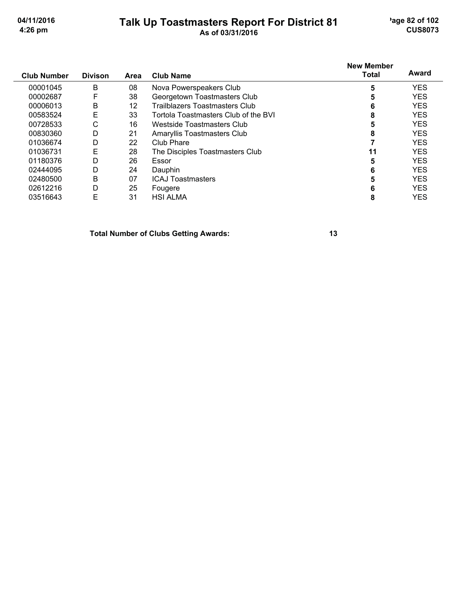## Talk Up Toastmasters Report For District 81<br>As of 03/31/2016

'age 82 of 102 **CUS8073** 

| <b>Club Number</b> | <b>Divison</b> | Area | <b>Club Name</b>                     | <b>New Member</b><br><b>Total</b> | Award      |
|--------------------|----------------|------|--------------------------------------|-----------------------------------|------------|
| 00001045           | B              | 08   | Nova Powerspeakers Club              | 5                                 | <b>YES</b> |
| 00002687           | F              | 38   | Georgetown Toastmasters Club         | 5                                 | <b>YES</b> |
| 00006013           | B              | 12   | Trailblazers Toastmasters Club       | 6                                 | <b>YES</b> |
| 00583524           | E              | 33   | Tortola Toastmasters Club of the BVI | 8                                 | <b>YES</b> |
| 00728533           | С              | 16   | Westside Toastmasters Club           | 5                                 | <b>YES</b> |
| 00830360           | D              | 21   | Amaryllis Toastmasters Club          | 8                                 | <b>YES</b> |
| 01036674           | D              | 22   | Club Phare                           |                                   | <b>YES</b> |
| 01036731           | E              | 28   | The Disciples Toastmasters Club      | 11                                | <b>YES</b> |
| 01180376           | D              | 26   | Essor                                | 5                                 | <b>YES</b> |
| 02444095           | D              | 24   | Dauphin                              | 6                                 | <b>YES</b> |
| 02480500           | B              | 07   | <b>ICAJ Toastmasters</b>             | 5                                 | <b>YES</b> |
| 02612216           | D              | 25   | Fougere                              | 6                                 | <b>YES</b> |
| 03516643           | E              | 31   | <b>HSI ALMA</b>                      | 8                                 | <b>YES</b> |

**Total Number of Clubs Getting Awards:**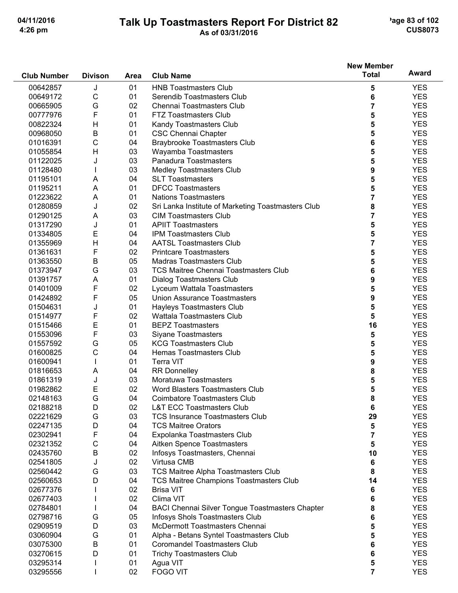**Club Number** 

**Divison** 

#### **Talk Up Toastmasters Report For District 82** As of 03/31/2016

**Club Name** 

Area

'age 83 of 102 **CUS8073** 

**Award** 

**New Member** 

**Total** 

#### J  $01$ 00642857 **HNB Toastmasters Club** 5 **YES**  $\mathsf{C}$ 00649172  $01$ Serendib Toastmasters Club 6 **YES** G  $02$  $\overline{7}$ **YES** 00665905 Chennai Toastmasters Club 00777976 F  $01$ **FTZ Toastmasters Club** 5 **YES** 5  $H$ 01 00822324 Kandy Toastmasters Club **YES** 00968050  $\overline{B}$  $01$ **CSC Chennai Chapter** 5 **YES** 01016391  $\mathsf{C}$ 04 **Braybrooke Toastmasters Club** 6 **YES**  $H$ 03 Wayamba Toastmasters 5 01055854 **YES** 01122025 J  $0<sub>3</sub>$ Panadura Toastmasters 5 **YES**  $\mathbf{I}$ 03 01128480 **Medley Toastmasters Club** 9 **YES**  $04$ 5 A **SLT Toastmasters YES** 01195101  $01$ 5 01195211 A **DFCC Toastmasters YES**  $\overline{7}$ A  $01$ **YES** 01223622 **Nations Toastmasters** 01280859 J  $02$ Sri Lanka Institute of Marketing Toastmasters Club 8 **YES** 01290125 A 03 **CIM Toastmasters Club**  $\overline{7}$ **YES** J  $01$ **APIIT Toastmasters** 5 01317290 **YES** 01334805 E  $04$ **IPM Toastmasters Club** 5 **YES**  $H$  $04$ 01355969 **AATSL Toastmasters Club**  $\overline{7}$ **YES** F 02 5 01361631 **Printcare Toastmasters YES**  $\overline{B}$  $0<sub>5</sub>$ Madras Toastmasters Club 5 01363550 **YES** G  $0.3$ 01373947 **TCS Maitree Chennai Toastmasters Club** 6 **YES** A  $01$ 9 **YFS** 01391757 **Dialog Toastmasters Club** F 01401009 02 Lyceum Wattala Toastmasters 5 **YES** F  $0<sub>5</sub>$ **Union Assurance Toastmasters** 9 01424892 **YES** J  $01$ 01504631 **Havleys Toastmasters Club** 5 **YFS** F 01514977 02 **Wattala Toastmasters Club** 5 **YES** E  $01$ 16 01515466 **BEPZ Toastmasters YES** F 03 **Siyane Toastmasters** 01553096 5 **YES** Ġ 05 **KCG Toastmasters Club YES** 5 01557592 C  $04$ Hemas Toastmasters Club 5 01600825 **YES** 01600941  $\mathbf{I}$  $01$ **Terra VIT** 9 **YES**  $\overline{A}$  $04$ **RR Donnelley** 8 **YES** 01816653 J 03 Moratuwa Toastmasters 01861319 5 **YES** E 02 5 01982862 Word Blasters Toastmasters Club **YES** 02148163 G  $\Omega$ **Coimbatore Toastmasters Club** 8 **YES** D  $0<sub>2</sub>$ **L&T ECC Toastmasters Club** 6 **YES** 02188218 G 29 03 **TCS Insurance Toastmasters Club YES** 02221629 02247135 D  $04$ **TCS Maitree Orators** 5 **YES** F  $\overline{7}$ 02302941  $04$ Expolanka Toastmasters Club **YES** 02321352  $\overline{C}$  $04$ Aitken Spence Toastmasters 5 **YES** B 02435760 02 Infosys Toastmasters, Chennai 10 **YES** 02 J Virtusa CMB 6 02541805 **YES** 02560442 G  $0<sub>3</sub>$ TCS Maitree Alpha Toastmasters Club 8 **YES**  $04$ 02560653 D **TCS Maitree Champions Toastmasters Club** 14 **YES** 02  $\mathbf{I}$ **Brisa VIT** 6 **YES** 02677376  $\mathbf{I}$  $02$ Clima VIT 6 **YES** 02677403 **BACI Chennai Silver Tongue Toastmasters Chapter** 02784801  $\mathbf{I}$ 04 8 **YES** G  $0<sub>5</sub>$ **Infosys Shols Toastmasters Club YES** 02798716 6 02909519 D 03 McDermott Toastmasters Chennai 5 **YES** G  $01$ 5 03060904 Alpha - Betans Syntel Toastmasters Club **YES** 03075300 <sub>R</sub>  $01$ **Coromandel Toastmasters Club**  $6\phantom{1}6$ **YES Trichy Toastmasters Club** D  $01$ **YES** 03270615 6  $01$ 5 03295314  $\mathbf{I}$ Agua VIT **YES** 03295556  $\mathbf{I}$  $02$ **FOGO VIT**  $\overline{7}$ **YES**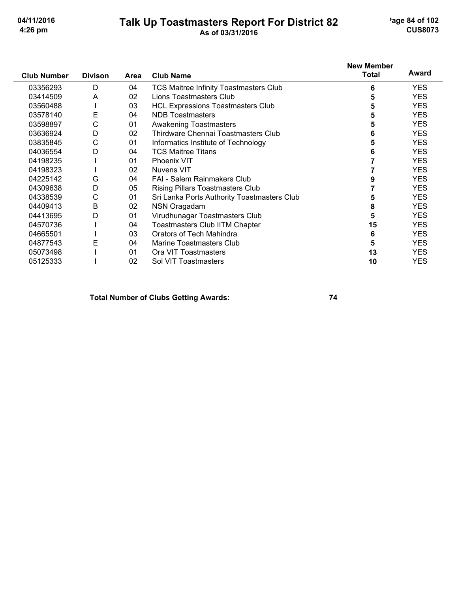## Talk Up Toastmasters Report For District 82

'age 84 of 102 **CUS8073** 

|                    |                |      |                                               | <b>New Member</b> |            |
|--------------------|----------------|------|-----------------------------------------------|-------------------|------------|
| <b>Club Number</b> | <b>Divison</b> | Area | <b>Club Name</b>                              | <b>Total</b>      | Award      |
| 03356293           | D              | 04   | <b>TCS Maitree Infinity Toastmasters Club</b> | 6                 | YES.       |
| 03414509           | A              | 02   | Lions Toastmasters Club                       | 5                 | <b>YES</b> |
| 03560488           |                | 03   | <b>HCL Expressions Toastmasters Club</b>      | 5                 | <b>YES</b> |
| 03578140           | Е              | 04   | <b>NDB</b> Toastmasters                       | 5                 | <b>YES</b> |
| 03598897           | С              | 01   | <b>Awakening Toastmasters</b>                 | 5                 | <b>YES</b> |
| 03636924           | D              | 02   | Thirdware Chennai Toastmasters Club           | 6                 | <b>YES</b> |
| 03835845           | C              | 01   | Informatics Institute of Technology           | 5                 | <b>YES</b> |
| 04036554           | D              | 04   | <b>TCS Maitree Titans</b>                     | 6                 | <b>YES</b> |
| 04198235           |                | 01   | Phoenix VIT                                   |                   | <b>YES</b> |
| 04198323           |                | 02   | <b>Nuvens VIT</b>                             |                   | <b>YES</b> |
| 04225142           | G              | 04   | <b>FAI - Salem Rainmakers Club</b>            |                   | <b>YES</b> |
| 04309638           | D              | 05   | <b>Rising Pillars Toastmasters Club</b>       |                   | <b>YES</b> |
| 04338539           | C              | 01   | Sri Lanka Ports Authority Toastmasters Club   |                   | <b>YES</b> |
| 04409413           | Β              | 02   | NSN Oragadam                                  | 8                 | <b>YES</b> |
| 04413695           | D              | 01   | Virudhunagar Toastmasters Club                | 5                 | <b>YES</b> |
| 04570736           |                | 04   | <b>Toastmasters Club IITM Chapter</b>         | 15                | <b>YES</b> |
| 04665501           |                | 03   | Orators of Tech Mahindra                      | 6                 | <b>YES</b> |
| 04877543           | Ε              | 04   | Marine Toastmasters Club                      | 5                 | <b>YES</b> |
| 05073498           |                | 01   | Ora VIT Toastmasters                          | 13                | <b>YES</b> |
| 05125333           |                | 02   | Sol VIT Toastmasters                          | 10                | <b>YES</b> |

**Total Number of Clubs Getting Awards:**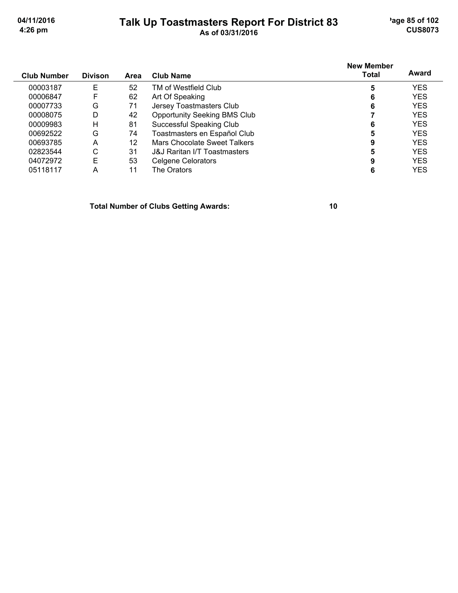## Talk Up Toastmasters Report For District 83

'age 85 of 102 **CUS8073** 

| <b>Club Number</b> | <b>Divison</b> | Area | Club Name                               | <b>New Member</b><br>Total | Award      |
|--------------------|----------------|------|-----------------------------------------|----------------------------|------------|
| 00003187           | Е              | 52   | TM of Westfield Club                    | 5                          | <b>YES</b> |
| 00006847           | F              | 62   | Art Of Speaking                         | 6                          | <b>YES</b> |
| 00007733           | G              | 71   | Jersey Toastmasters Club                | 6                          | <b>YES</b> |
| 00008075           | D              | 42   | <b>Opportunity Seeking BMS Club</b>     |                            | <b>YES</b> |
| 00009983           | н              | 81   | Successful Speaking Club                | 6                          | <b>YES</b> |
| 00692522           | G              | 74   | Toastmasters en Español Club            | 5                          | <b>YES</b> |
| 00693785           | А              | 12   | Mars Chocolate Sweet Talkers            | 9                          | <b>YES</b> |
| 02823544           | С              | 31   | <b>J&amp;J Raritan I/T Toastmasters</b> | 5                          | <b>YES</b> |
| 04072972           | E              | 53   | Celgene Celorators                      | 9                          | <b>YES</b> |
| 05118117           | А              |      | The Orators                             |                            | YES        |

**Total Number of Clubs Getting Awards:**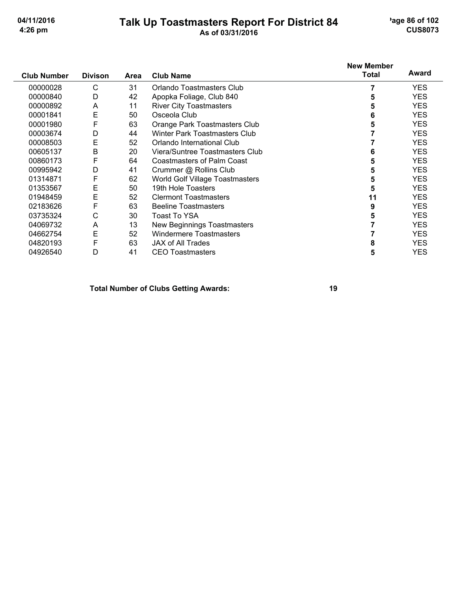# Talk Up Toastmasters Report For District 84

'age 86 of 102 **CUS8073** 

| <b>Club Number</b> | <b>Divison</b> | Area | <b>Club Name</b>                  | <b>New Member</b><br>Total | Award      |
|--------------------|----------------|------|-----------------------------------|----------------------------|------------|
| 00000028           | С              | 31   | Orlando Toastmasters Club         |                            | <b>YES</b> |
| 00000840           | D              | 42   | Apopka Foliage, Club 840          |                            | <b>YES</b> |
| 00000892           | A              | 11   | <b>River City Toastmasters</b>    | 5                          | <b>YES</b> |
| 00001841           | E              | 50   | Osceola Club                      | 6                          | <b>YES</b> |
| 00001980           | F              | 63   | Orange Park Toastmasters Club     | 5                          | <b>YES</b> |
| 00003674           | D              | 44   | Winter Park Toastmasters Club     |                            | <b>YES</b> |
| 00008503           | E              | 52   | Orlando International Club        |                            | <b>YES</b> |
| 00605137           | B              | 20   | Viera/Suntree Toastmasters Club   | 6                          | <b>YES</b> |
| 00860173           | F              | 64   | <b>Coastmasters of Palm Coast</b> | 5                          | <b>YES</b> |
| 00995942           | D              | 41   | Crummer @ Rollins Club            |                            | <b>YES</b> |
| 01314871           | F              | 62   | World Golf Village Toastmasters   | 5                          | <b>YES</b> |
| 01353567           | Е              | 50   | 19th Hole Toasters                | 5                          | <b>YES</b> |
| 01948459           | E              | 52   | <b>Clermont Toastmasters</b>      | 11                         | <b>YES</b> |
| 02183626           | F              | 63   | <b>Beeline Toastmasters</b>       | 9                          | <b>YES</b> |
| 03735324           | С              | 30   | Toast To YSA                      |                            | <b>YES</b> |
| 04069732           | A              | 13   | New Beginnings Toastmasters       |                            | <b>YES</b> |
| 04662754           | E              | 52   | <b>Windermere Toastmasters</b>    |                            | <b>YES</b> |
| 04820193           | F              | 63   | <b>JAX of All Trades</b>          | 8                          | <b>YES</b> |
| 04926540           | D              | 41   | <b>CEO</b> Toastmasters           | 5                          | <b>YES</b> |

#### **Total Number of Clubs Getting Awards:**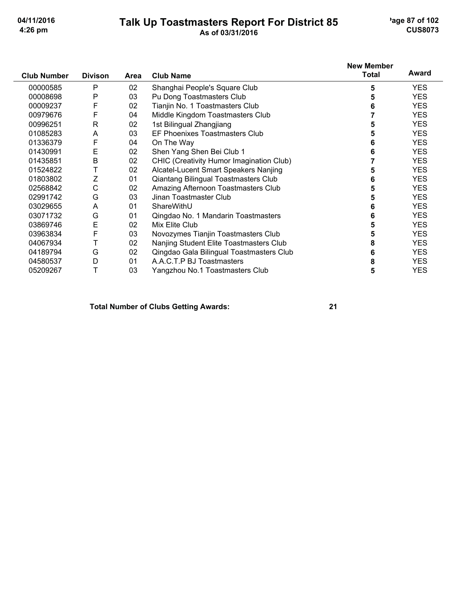## Talk Up Toastmasters Report For District 85<br>As of 03/31/2016

'age 87 of 102 **CUS8073** 

|                    |                |      |                                          | <b>New Member</b> |            |
|--------------------|----------------|------|------------------------------------------|-------------------|------------|
| <b>Club Number</b> | <b>Divison</b> | Area | <b>Club Name</b>                         | <b>Total</b>      | Award      |
| 00000585           | P              | 02   | Shanghai People's Square Club            | 5                 | YES.       |
| 00008698           | P              | 03   | Pu Dong Toastmasters Club                | 5                 | <b>YES</b> |
| 00009237           | F              | 02   | Tianjin No. 1 Toastmasters Club          | 6                 | <b>YES</b> |
| 00979676           | F              | 04   | Middle Kingdom Toastmasters Club         |                   | <b>YES</b> |
| 00996251           | R              | 02   | 1st Bilingual Zhangjiang                 | 5                 | <b>YES</b> |
| 01085283           | A              | 03   | EF Phoenixes Toastmasters Club           | 5                 | <b>YES</b> |
| 01336379           | F              | 04   | On The Way                               | 6                 | <b>YES</b> |
| 01430991           | E              | 02   | Shen Yang Shen Bei Club 1                | 6                 | <b>YES</b> |
| 01435851           | B              | 02   | CHIC (Creativity Humor Imagination Club) |                   | YES.       |
| 01524822           | Т              | 02   | Alcatel-Lucent Smart Speakers Nanjing    | 5                 | <b>YES</b> |
| 01803802           | Ζ              | 01   | Qiantang Bilingual Toastmasters Club     | 6                 | <b>YES</b> |
| 02568842           | С              | 02   | Amazing Afternoon Toastmasters Club      | 5                 | <b>YES</b> |
| 02991742           | G              | 03   | Jinan Toastmaster Club                   | 5                 | <b>YES</b> |
| 03029655           | A              | 01   | ShareWithU                               | 6                 | <b>YES</b> |
| 03071732           | G              | 01   | Qingdao No. 1 Mandarin Toastmasters      | 6                 | <b>YES</b> |
| 03869746           | E              | 02   | Mix Elite Club                           | 5                 | <b>YES</b> |
| 03963834           | F              | 03   | Novozymes Tianjin Toastmasters Club      | 5                 | <b>YES</b> |
| 04067934           |                | 02   | Nanjing Student Elite Toastmasters Club  | 8                 | <b>YES</b> |
| 04189794           | G              | 02   | Qingdao Gala Bilingual Toastmasters Club | 6                 | YES.       |
| 04580537           | D              | 01   | A.A.C.T.P BJ Toastmasters                | 8                 | YES.       |
| 05209267           | Т              | 03   | Yangzhou No.1 Toastmasters Club          | 5                 | <b>YES</b> |

**Total Number of Clubs Getting Awards:**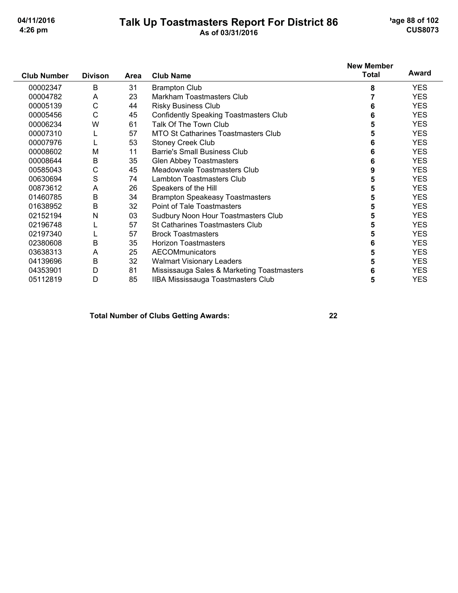# Talk Up Toastmasters Report For District 86<br>As of 03/31/2016

'age 88 of 102 **CUS8073** 

|                    |                |             |                                               | <b>New Member</b> |            |
|--------------------|----------------|-------------|-----------------------------------------------|-------------------|------------|
| <b>Club Number</b> | <b>Divison</b> | <b>Area</b> | <b>Club Name</b>                              | <b>Total</b>      | Award      |
| 00002347           | B              | 31          | <b>Brampton Club</b>                          | 8                 | <b>YES</b> |
| 00004782           | A              | 23          | Markham Toastmasters Club                     |                   | <b>YES</b> |
| 00005139           | С              | 44          | <b>Risky Business Club</b>                    | 6                 | <b>YES</b> |
| 00005456           | $\mathsf{C}$   | 45          | <b>Confidently Speaking Toastmasters Club</b> | 6                 | <b>YES</b> |
| 00006234           | W              | 61          | Talk Of The Town Club                         | 5                 | <b>YES</b> |
| 00007310           | L              | 57          | <b>MTO St Catharines Toastmasters Club</b>    | 5                 | <b>YES</b> |
| 00007976           |                | 53          | <b>Stoney Creek Club</b>                      | 6                 | <b>YES</b> |
| 00008602           | M              | 11          | Barrie's Small Business Club                  | 6                 | <b>YES</b> |
| 00008644           | B              | 35          | <b>Glen Abbey Toastmasters</b>                | 6                 | <b>YES</b> |
| 00585043           | C              | 45          | Meadowyale Toastmasters Club                  | 9                 | <b>YES</b> |
| 00630694           | S              | 74          | <b>Lambton Toastmasters Club</b>              | 5                 | <b>YES</b> |
| 00873612           | A              | 26          | Speakers of the Hill                          | 5                 | <b>YES</b> |
| 01460785           | $\sf B$        | 34          | <b>Brampton Speakeasy Toastmasters</b>        | 5                 | <b>YES</b> |
| 01638952           | B              | 32          | Point of Tale Toastmasters                    | 5                 | <b>YES</b> |
| 02152194           | N              | 03          | Sudbury Noon Hour Toastmasters Club           | 5                 | <b>YES</b> |
| 02196748           |                | 57          | <b>St Catharines Toastmasters Club</b>        | 5                 | <b>YES</b> |
| 02197340           |                | 57          | <b>Brock Toastmasters</b>                     | 5                 | <b>YES</b> |
| 02380608           | B              | 35          | <b>Horizon Toastmasters</b>                   | 6                 | <b>YES</b> |
| 03638313           | Α              | 25          | <b>AECOMmunicators</b>                        | 5                 | <b>YES</b> |
| 04139696           | B              | 32          | <b>Walmart Visionary Leaders</b>              | 5                 | <b>YES</b> |
| 04353901           | D              | 81          | Mississauga Sales & Marketing Toastmasters    | 6                 | <b>YES</b> |
| 05112819           | D              | 85          | IIBA Mississauga Toastmasters Club            | 5                 | <b>YES</b> |

### **Total Number of Clubs Getting Awards:**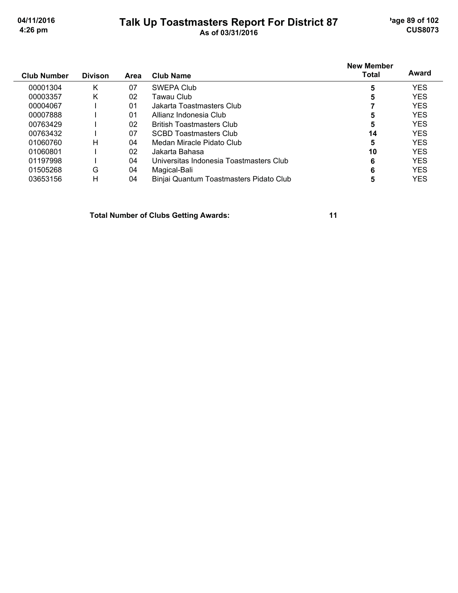## Talk Up Toastmasters Report For District 87<br>As of 03/31/2016

'age 89 of 102 **CUS8073** 

|                    |                |      |                                         | <b>New Member</b> | Award      |
|--------------------|----------------|------|-----------------------------------------|-------------------|------------|
| <b>Club Number</b> | <b>Divison</b> | Area | <b>Club Name</b>                        | Total             |            |
| 00001304           | Κ              | 07   | SWEPA Club                              | 5                 | <b>YES</b> |
| 00003357           | Κ              | 02   | Tawau Club.                             | 5                 | <b>YES</b> |
| 00004067           |                | 01   | Jakarta Toastmasters Club               |                   | <b>YES</b> |
| 00007888           |                | 01   | Allianz Indonesia Club                  | 5                 | <b>YES</b> |
| 00763429           |                | 02   | <b>British Toastmasters Club</b>        | 5                 | <b>YES</b> |
| 00763432           |                | 07   | <b>SCBD Toastmasters Club</b>           | 14                | <b>YES</b> |
| 01060760           | н              | 04   | Medan Miracle Pidato Club               | 5                 | <b>YES</b> |
| 01060801           |                | 02   | Jakarta Bahasa                          | 10                | <b>YES</b> |
| 01197998           |                | 04   | Universitas Indonesia Toastmasters Club | 6                 | <b>YES</b> |
| 01505268           | G              | 04   | Magical-Bali                            | 6                 | <b>YES</b> |
| 03653156           | н              | 04   | Binjai Quantum Toastmasters Pidato Club | 5                 | YES        |

**Total Number of Clubs Getting Awards:**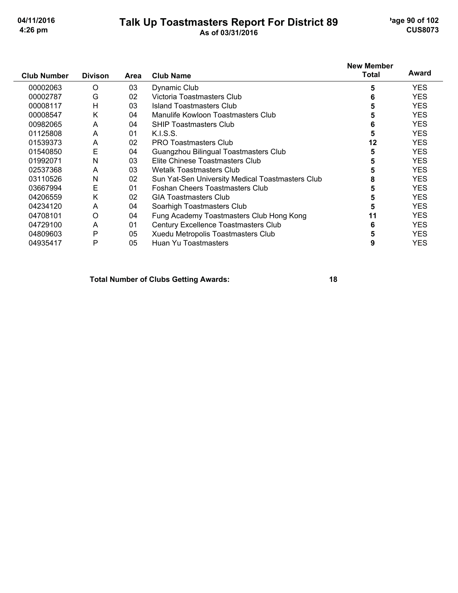## Talk Up Toastmasters Report For District 89

'age 90 of 102 **CUS8073** 

| <b>Club Number</b> | <b>Divison</b> | <b>Area</b> | <b>Club Name</b>                                 | <b>New Member</b><br>Total | Award      |
|--------------------|----------------|-------------|--------------------------------------------------|----------------------------|------------|
| 00002063           | O              | 03          | Dynamic Club                                     | 5                          | <b>YES</b> |
| 00002787           | G              | 02          | Victoria Toastmasters Club                       | 6                          | <b>YES</b> |
| 00008117           | H              | 03          | <b>Island Toastmasters Club</b>                  | 5                          | <b>YES</b> |
| 00008547           | K              | 04          | Manulife Kowloon Toastmasters Club               | 5                          | <b>YES</b> |
| 00982065           | A              | 04          | <b>SHIP Toastmasters Club</b>                    | 6                          | <b>YES</b> |
| 01125808           | A              | 01          | K.I.S.S.                                         | 5                          | <b>YES</b> |
| 01539373           | A              | 02          | <b>PRO Toastmasters Club</b>                     | 12                         | <b>YES</b> |
| 01540850           | E              | 04          | Guangzhou Bilingual Toastmasters Club            | 5                          | <b>YES</b> |
| 01992071           | Ν              | 03          | Elite Chinese Toastmasters Club                  | 5                          | <b>YES</b> |
| 02537368           | A              | 03          | Wetalk Toastmasters Club                         | 5                          | <b>YES</b> |
| 03110526           | N              | 02          | Sun Yat-Sen University Medical Toastmasters Club | 8                          | <b>YES</b> |
| 03667994           | Е              | 01          | <b>Foshan Cheers Toastmasters Club</b>           | 5                          | <b>YES</b> |
| 04206559           | Κ              | 02          | <b>GIA Toastmasters Club</b>                     | 5                          | <b>YES</b> |
| 04234120           | A              | 04          | Soarhigh Toastmasters Club                       | 5                          | <b>YES</b> |
| 04708101           | O              | 04          | Fung Academy Toastmasters Club Hong Kong         | 11                         | <b>YES</b> |
| 04729100           | A              | 01          | Century Excellence Toastmasters Club             | 6                          | <b>YES</b> |
| 04809603           | P              | 05          | Xuedu Metropolis Toastmasters Club               | 5                          | <b>YES</b> |
| 04935417           | P              | 05          | Huan Yu Toastmasters                             | 9                          | YES        |

**Total Number of Clubs Getting Awards:**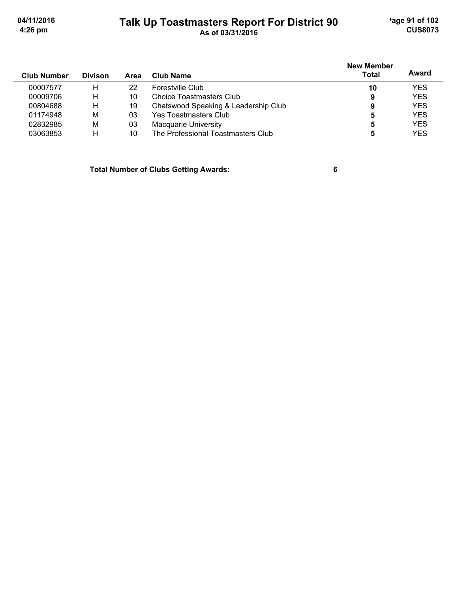## Talk Up Toastmasters Report For District 90

'age 91 of 102 **CUS8073** 

| <b>Club Number</b> | <b>Divison</b> | Area | Club Name                            | <b>New Member</b><br><b>Total</b> | Award      |
|--------------------|----------------|------|--------------------------------------|-----------------------------------|------------|
| 00007577           | н              | 22   | Forestville Club                     | 10                                | <b>YES</b> |
| 00009706           | н              | 10   | Choice Toastmasters Club             | 9                                 | <b>YES</b> |
| 00804688           | H              | 19   | Chatswood Speaking & Leadership Club | 9                                 | <b>YES</b> |
| 01174948           | M              | 03   | Yes Toastmasters Club                |                                   | <b>YES</b> |
| 02832985           | M              | 03   | Macquarie University                 | 5                                 | <b>YES</b> |
| 03063853           | н              | 10   | The Professional Toastmasters Club   |                                   | <b>YES</b> |

**Total Number of Clubs Getting Awards:**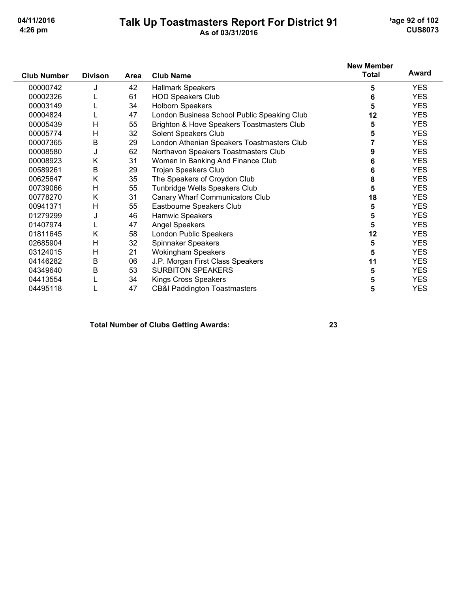# Talk Up Toastmasters Report For District 91<br>As of 03/31/2016

'age 92 of 102 **CUS8073** 

|                    |                |      |                                             | <b>New Member</b> | Award      |
|--------------------|----------------|------|---------------------------------------------|-------------------|------------|
| <b>Club Number</b> | <b>Divison</b> | Area | <b>Club Name</b>                            | <b>Total</b>      |            |
| 00000742           | J              | 42   | <b>Hallmark Speakers</b>                    | 5                 | <b>YES</b> |
| 00002326           |                | 61   | <b>HOD Speakers Club</b>                    | 6                 | <b>YES</b> |
| 00003149           |                | 34   | <b>Holborn Speakers</b>                     | 5                 | <b>YES</b> |
| 00004824           |                | 47   | London Business School Public Speaking Club | 12                | <b>YES</b> |
| 00005439           | Η              | 55   | Brighton & Hove Speakers Toastmasters Club  | 5                 | <b>YES</b> |
| 00005774           | н              | 32   | Solent Speakers Club                        | 5                 | <b>YES</b> |
| 00007365           | B              | 29   | London Athenian Speakers Toastmasters Club  |                   | <b>YES</b> |
| 00008580           | J              | 62   | Northavon Speakers Toastmasters Club        | 9                 | <b>YES</b> |
| 00008923           | Κ              | 31   | Women In Banking And Finance Club           | 6                 | <b>YES</b> |
| 00589261           | B              | 29   | <b>Trojan Speakers Club</b>                 | 6                 | <b>YES</b> |
| 00625647           | Κ              | 35   | The Speakers of Croydon Club                | 8                 | <b>YES</b> |
| 00739066           | H              | 55   | Tunbridge Wells Speakers Club               | 5                 | <b>YES</b> |
| 00778270           | Κ              | 31   | Canary Wharf Communicators Club             | 18                | <b>YES</b> |
| 00941371           | H              | 55   | Eastbourne Speakers Club                    | 5                 | <b>YES</b> |
| 01279299           | J              | 46   | Hamwic Speakers                             | 5                 | <b>YES</b> |
| 01407974           |                | 47   | <b>Angel Speakers</b>                       | 5                 | <b>YES</b> |
| 01811645           | Κ              | 58   | London Public Speakers                      | 12                | <b>YES</b> |
| 02685904           | H              | 32   | Spinnaker Speakers                          | 5                 | <b>YES</b> |
| 03124015           | H              | 21   | <b>Wokingham Speakers</b>                   | 5                 | <b>YES</b> |
| 04146282           | B              | 06   | J.P. Morgan First Class Speakers            | 11                | <b>YES</b> |
| 04349640           | B              | 53   | <b>SURBITON SPEAKERS</b>                    | 5                 | <b>YES</b> |
| 04413554           |                | 34   | <b>Kings Cross Speakers</b>                 | 5                 | <b>YES</b> |
| 04495118           |                | 47   | <b>CB&amp;I Paddington Toastmasters</b>     | 5                 | <b>YES</b> |

#### **Total Number of Clubs Getting Awards:**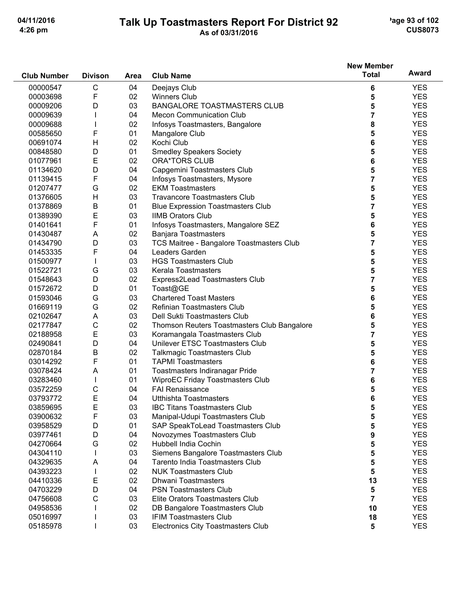# Talk Up Toastmasters Report For District 92

'age 93 of 102 **CUS8073** 

|                    |                |             |                                             | <b>New Member</b>       |              |
|--------------------|----------------|-------------|---------------------------------------------|-------------------------|--------------|
| <b>Club Number</b> | <b>Divison</b> | <b>Area</b> | <b>Club Name</b>                            | <b>Total</b>            | <b>Award</b> |
| 00000547           | $\mathsf C$    | 04          | Deejays Club                                | 6                       | <b>YES</b>   |
| 00003698           | F              | 02          | <b>Winners Club</b>                         | 5                       | <b>YES</b>   |
| 00009206           | D              | 03          | <b>BANGALORE TOASTMASTERS CLUB</b>          | 5                       | <b>YES</b>   |
| 00009639           |                | 04          | <b>Mecon Communication Club</b>             | 7                       | <b>YES</b>   |
| 00009688           |                | 02          | Infosys Toastmasters, Bangalore             | 8                       | <b>YES</b>   |
| 00585650           | F              | 01          | Mangalore Club                              | 5                       | <b>YES</b>   |
| 00691074           | $\mathsf{H}$   | 02          | Kochi Club                                  | 6                       | <b>YES</b>   |
| 00848580           | D              | 01          | <b>Smedley Speakers Society</b>             | 5                       | <b>YES</b>   |
| 01077961           | E              | 02          | <b>ORA*TORS CLUB</b>                        | 6                       | <b>YES</b>   |
| 01134620           | D              | 04          | Capgemini Toastmasters Club                 | 5                       | <b>YES</b>   |
| 01139415           | F              | 04          | Infosys Toastmasters, Mysore                | $\overline{\mathbf{r}}$ | <b>YES</b>   |
| 01207477           | G              | 02          | <b>EKM Toastmasters</b>                     | 5                       | <b>YES</b>   |
| 01376605           | Н              | 03          | <b>Travancore Toastmasters Club</b>         | 5                       | <b>YES</b>   |
| 01378869           | B              | 01          | <b>Blue Expression Toastmasters Club</b>    | 7                       | <b>YES</b>   |
| 01389390           | E              | 03          | <b>IIMB Orators Club</b>                    | 5                       | <b>YES</b>   |
| 01401641           | F              | 01          | Infosys Toastmasters, Mangalore SEZ         | 6                       | <b>YES</b>   |
| 01430487           | Α              | 02          | <b>Banjara Toastmasters</b>                 | 5                       | <b>YES</b>   |
| 01434790           | D              | 03          | TCS Maitree - Bangalore Toastmasters Club   | 7                       | <b>YES</b>   |
| 01453335           | F              | 04          | Leaders Garden                              | 5                       | <b>YES</b>   |
| 01500977           |                | 03          | <b>HGS Toastmasters Club</b>                | 5                       | <b>YES</b>   |
| 01522721           | G              | 03          | Kerala Toastmasters                         | 5                       | <b>YES</b>   |
| 01548643           | D              | 02          | Express2Lead Toastmasters Club              | 7                       | <b>YES</b>   |
| 01572672           | D              | 01          | Toast@GE                                    | 5                       | <b>YES</b>   |
| 01593046           | G              | 03          | <b>Chartered Toast Masters</b>              | 6                       | <b>YES</b>   |
| 01669119           | G              | 02          | Refinian Toastmasters Club                  | 5                       | <b>YES</b>   |
| 02102647           | A              | 03          | Dell Sukti Toastmasters Club                | 6                       | <b>YES</b>   |
| 02177847           | C              | 02          | Thomson Reuters Toastmasters Club Bangalore | 5                       | <b>YES</b>   |
| 02188958           | E              | 03          | Koramangala Toastmasters Club               | 7                       | <b>YES</b>   |
| 02490841           | D              | 04          | Unilever ETSC Toastmasters Club             | 5                       | <b>YES</b>   |
| 02870184           | B              | 02          | <b>Talkmagic Toastmasters Club</b>          | 5                       | <b>YES</b>   |
| 03014292           | F              | 01          | <b>TAPMI Toastmasters</b>                   | 6                       | <b>YES</b>   |
| 03078424           | A              | 01          | Toastmasters Indiranagar Pride              | 7                       | <b>YES</b>   |
| 03283460           |                | 01          | WiproEC Friday Toastmasters Club            | 6                       | <b>YES</b>   |
| 03572259           | C              | 04          | <b>FAI Renaissance</b>                      | 5                       | <b>YES</b>   |
| 03793772           | Ε              | 04          | <b>Utthishta Toastmasters</b>               | 6                       | <b>YES</b>   |
| 03859695           | E              | 03          | <b>IBC Titans Toastmasters Club</b>         | 5                       | <b>YES</b>   |
| 03900632           | F              | 03          | Manipal-Udupi Toastmasters Club             | 5                       | <b>YES</b>   |
| 03958529           | D              | 01          | SAP SpeakToLead Toastmasters Club           | 5                       | <b>YES</b>   |
| 03977461           | D              | 04          | Novozymes Toastmasters Club                 | 9                       | <b>YES</b>   |
| 04270664           | G              | 02          | <b>Hubbell India Cochin</b>                 | 5                       | <b>YES</b>   |
| 04304110           |                | 03          | Siemens Bangalore Toastmasters Club         | 5                       | <b>YES</b>   |
| 04329635           | Α              | 04          | Tarento India Toastmasters Club             | 5                       | <b>YES</b>   |
| 04393223           | $\mathbf{I}$   | 02          | <b>NUK Toastmasters Club</b>                | 5                       | <b>YES</b>   |
| 04410336           | Ε              | 02          | <b>Dhwani Toastmasters</b>                  | 13                      | <b>YES</b>   |
| 04703229           | D              | 04          | <b>PSN Toastmasters Club</b>                | 5                       | <b>YES</b>   |
| 04756608           | С              | 03          | Elite Orators Toastmasters Club             | 7                       | <b>YES</b>   |
| 04958536           |                | 02          | DB Bangalore Toastmasters Club              | 10                      | <b>YES</b>   |
| 05016997           |                | 03          | <b>IFIM Toastmasters Club</b>               | 18                      | <b>YES</b>   |
| 05185978           |                | 03          | Electronics City Toastmasters Club          | $5\phantom{1}$          | <b>YES</b>   |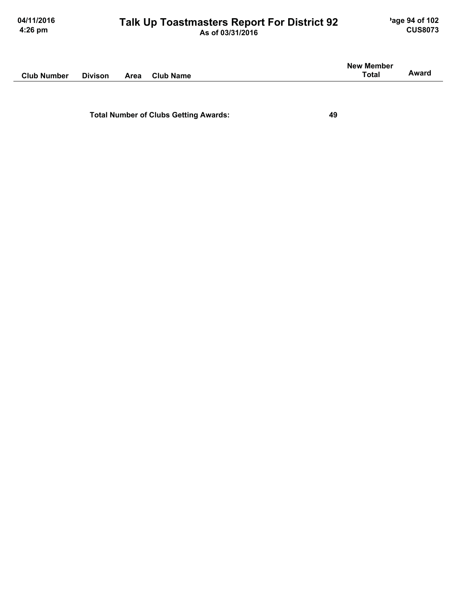Ĭ.

# Talk Up Toastmasters Report For District 92

|                    |                |      |                  | <b>New Member</b> |       |
|--------------------|----------------|------|------------------|-------------------|-------|
| <b>Club Number</b> | <b>Divison</b> | Area | <b>Club Name</b> | <b>Total</b>      | Award |
|                    |                |      |                  |                   |       |

**Total Number of Clubs Getting Awards:**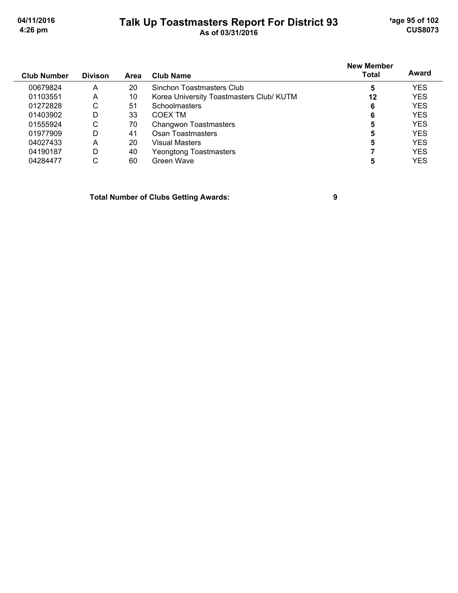'age 95 of 102 **CUS8073** 

04/11/2016 4:26 pm

# Talk Up Toastmasters Report For District 93

| <b>Club Number</b> | <b>Divison</b> | Area | Club Name                                | <b>New Member</b><br><b>Total</b> | Award      |
|--------------------|----------------|------|------------------------------------------|-----------------------------------|------------|
| 00679824           | A              | 20   | Sinchon Toastmasters Club                | 5                                 | <b>YES</b> |
| 01103551           | A              | 10   | Korea University Toastmasters Club/ KUTM | 12                                | <b>YES</b> |
| 01272828           | С              | 51   | <b>Schoolmasters</b>                     | 6                                 | <b>YES</b> |
| 01403902           | D              | 33   | COEX TM                                  | 6                                 | <b>YES</b> |
| 01555924           | С              | 70   | Changwon Toastmasters                    | 5                                 | <b>YES</b> |
| 01977909           | D              | 41   | Osan Toastmasters                        | 5                                 | <b>YES</b> |
| 04027433           | A              | 20   | Visual Masters                           | 5                                 | YES        |
| 04190187           | D              | 40   | Yeongtong Toastmasters                   |                                   | <b>YES</b> |
| 04284477           | С              | 60   | Green Wave                               | 5                                 | YES        |

**Total Number of Clubs Getting Awards:** 

 $\boldsymbol{9}$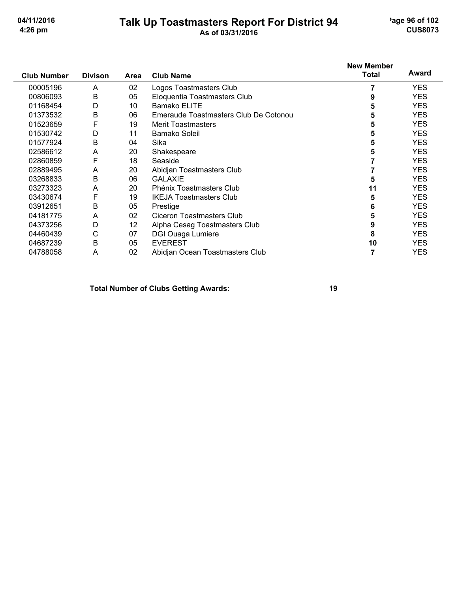## Talk Up Toastmasters Report For District 94

'age 96 of 102 **CUS8073** 

| <b>Club Number</b> | <b>Divison</b> | Area | <b>Club Name</b>                      | <b>New Member</b><br><b>Total</b> | Award      |
|--------------------|----------------|------|---------------------------------------|-----------------------------------|------------|
| 00005196           | A              | 02   | Logos Toastmasters Club               |                                   | <b>YES</b> |
| 00806093           | B              | 05   | Eloquentia Toastmasters Club          | 9                                 | <b>YES</b> |
| 01168454           | D              | 10   | Bamako ELITE                          | 5                                 | <b>YES</b> |
| 01373532           | B              | 06   | Emeraude Toastmasters Club De Cotonou | 5                                 | <b>YES</b> |
| 01523659           | F              | 19   | <b>Merit Toastmasters</b>             | 5                                 | <b>YES</b> |
| 01530742           | D              | 11   | Bamako Soleil                         | 5                                 | <b>YES</b> |
| 01577924           | B              | 04   | Sika                                  | 5                                 | <b>YES</b> |
| 02586612           | A              | 20   | Shakespeare                           | 5                                 | <b>YES</b> |
| 02860859           | F              | 18   | Seaside                               |                                   | <b>YES</b> |
| 02889495           | A              | 20   | Abidjan Toastmasters Club             |                                   | <b>YES</b> |
| 03268833           | B              | 06   | <b>GALAXIE</b>                        | 5                                 | <b>YES</b> |
| 03273323           | A              | 20   | Phénix Toastmasters Club              | 11                                | <b>YES</b> |
| 03430674           | F              | 19   | <b>IKEJA Toastmasters Club</b>        | 5                                 | <b>YES</b> |
| 03912651           | B              | 05   | Prestige                              | 6                                 | <b>YES</b> |
| 04181775           | A              | 02   | Ciceron Toastmasters Club             | 5                                 | <b>YES</b> |
| 04373256           | D              | 12   | Alpha Cesag Toastmasters Club         | 9                                 | <b>YES</b> |
| 04460439           | С              | 07   | <b>DGI Ouaga Lumiere</b>              | 8                                 | <b>YES</b> |
| 04687239           | B              | 05   | <b>EVEREST</b>                        | 10                                | <b>YES</b> |
| 04788058           | A              | 02   | Abidjan Ocean Toastmasters Club       |                                   | <b>YES</b> |

**Total Number of Clubs Getting Awards:**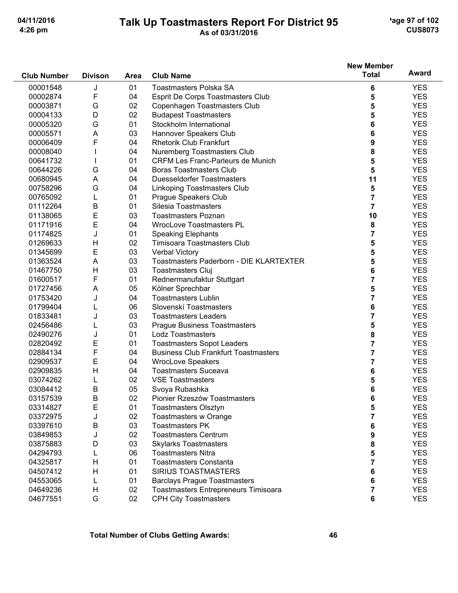# Talk Up Toastmasters Report For District 95

'age 97 of 102 **CUS8073** 

|                    |                |      |                                             | <b>New Member</b>       |            |
|--------------------|----------------|------|---------------------------------------------|-------------------------|------------|
| <b>Club Number</b> | <b>Divison</b> | Area | <b>Club Name</b>                            | <b>Total</b>            | Award      |
| 00001548           | J              | 01   | <b>Toastmasters Polska SA</b>               | 6                       | <b>YES</b> |
| 00002874           | F              | 04   | Esprit De Corps Toastmasters Club           | 5                       | <b>YES</b> |
| 00003871           | G              | 02   | Copenhagen Toastmasters Club                | 5                       | <b>YES</b> |
| 00004133           | D              | 02   | <b>Budapest Toastmasters</b>                | 5                       | <b>YES</b> |
| 00005320           | G              | 01   | Stockholm International                     | 6                       | <b>YES</b> |
| 00005571           | A              | 03   | Hannover Speakers Club                      | 6                       | <b>YES</b> |
| 00006409           | F              | 04   | <b>Rhetorik Club Frankfurt</b>              | 9                       | <b>YES</b> |
| 00008040           |                | 04   | Nuremberg Toastmasters Club                 | 8                       | <b>YES</b> |
| 00641732           |                | 01   | <b>CRFM Les Franc-Parleurs de Munich</b>    | 5                       | <b>YES</b> |
| 00644226           | G              | 04   | <b>Boras Toastmasters Club</b>              | 5                       | <b>YES</b> |
| 00680945           | A              | 04   | <b>Duesseldorfer Toastmasters</b>           | 11                      | <b>YES</b> |
| 00758296           | G              | 04   | Linkoping Toastmasters Club                 | 5                       | <b>YES</b> |
| 00765092           | L              | 01   | Prague Speakers Club                        | $\overline{7}$          | <b>YES</b> |
| 01112264           | B              | 01   | Silesia Toastmasters                        | $\overline{7}$          | <b>YES</b> |
| 01138065           | E              | 03   | <b>Toastmasters Poznan</b>                  | 10                      | <b>YES</b> |
| 01171916           | E              | 04   | <b>WrocLove Toastmasters PL</b>             | 8                       | <b>YES</b> |
| 01174825           | J              | 01   | <b>Speaking Elephants</b>                   | $\overline{\mathbf{7}}$ | <b>YES</b> |
| 01269633           | H              | 02   | Timisoara Toastmasters Club                 | 5                       | <b>YES</b> |
| 01345699           | E              | 03   | Verbal Victory                              | 5                       | <b>YES</b> |
| 01363524           | A              | 03   | Toastmasters Paderborn - DIE KLARTEXTER     | 5                       | <b>YES</b> |
| 01467750           | H              | 03   | <b>Toastmasters Cluj</b>                    | 6                       | <b>YES</b> |
| 01600517           | F              | 01   | Rednermanufaktur Stuttgart                  | $\overline{7}$          | <b>YES</b> |
| 01727456           | A              | 05   | Kölner Sprechbar                            | 5                       | <b>YES</b> |
| 01753420           | J              | 04   | <b>Toastmasters Lublin</b>                  | $\overline{7}$          | <b>YES</b> |
| 01799404           | L              | 06   | Slovenskí Toastmasters                      | 6                       | <b>YES</b> |
| 01833481           | J              | 03   | <b>Toastmasters Leaders</b>                 | $\overline{7}$          | <b>YES</b> |
| 02456486           | L              | 03   | <b>Praque Business Toastmasters</b>         | 5                       | <b>YES</b> |
| 02490276           | J              | 01   | Lodz Toastmasters                           | 8                       | <b>YES</b> |
| 02820492           | Е              | 01   | <b>Toastmasters Sopot Leaders</b>           | 7                       | <b>YES</b> |
| 02884134           | F              | 04   | <b>Business Club Frankfurt Toastmasters</b> | 7                       | <b>YES</b> |
| 02909537           | E              | 04   | <b>WrocLove Speakers</b>                    | 7                       | <b>YES</b> |
| 02909835           | H              | 04   | <b>Toastmasters Suceava</b>                 | 6                       | <b>YES</b> |
| 03074262           | L              | 02   | <b>VSE Toastmasters</b>                     | 5                       | <b>YES</b> |
| 03084412           | Β              | 05   | Svoya Rubashka                              | 6                       | <b>YES</b> |
| 03157539           | R              | 02   | Pionier Rzeszów Toastmasters                | 6                       | <b>YES</b> |
| 03314827           | Е              | 01   | <b>Toastmasters Olsztyn</b>                 | 5                       | <b>YES</b> |
| 03372975           | J              | 02   | Toastmasters w Orange                       | 7                       | <b>YES</b> |
| 03397610           | Β              | 03   | <b>Toastmasters PK</b>                      | 6                       | <b>YES</b> |
| 03849853           | J              | 02   | <b>Toastmasters Centrum</b>                 | 9                       | <b>YES</b> |
| 03875883           | D              | 03   | <b>Skylarks Toastmasters</b>                | 8                       | <b>YES</b> |
| 04294793           |                | 06   | <b>Toastmasters Nitra</b>                   | 5                       | <b>YES</b> |
| 04325817           | H              | 01   | <b>Toastmasters Constanta</b>               | 7                       | <b>YES</b> |
| 04507412           | H              | 01   | <b>SIRIUS TOASTMASTERS</b>                  | 6                       | <b>YES</b> |
| 04553065           | L              | 01   | <b>Barclays Prague Toastmasters</b>         | 6                       | <b>YES</b> |
| 04649236           | H              | 02   | Toastmasters Entrepreneurs Timisoara        | 7                       | <b>YES</b> |
| 04677551           | G              | 02   | <b>CPH City Toastmasters</b>                | 6                       | <b>YES</b> |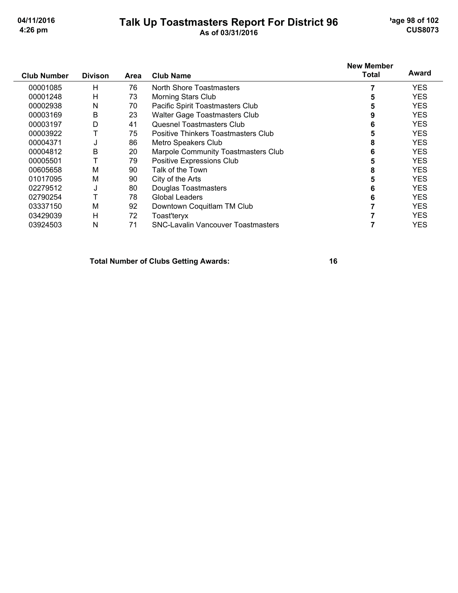# Talk Up Toastmasters Report For District 96<br>As of 03/31/2016

'age 98 of 102 **CUS8073** 

|                    |                |      |                                           | <b>New Member</b> | Award      |
|--------------------|----------------|------|-------------------------------------------|-------------------|------------|
| <b>Club Number</b> | <b>Divison</b> | Area | <b>Club Name</b>                          | Total             |            |
| 00001085           | н              | 76   | North Shore Toastmasters                  |                   | <b>YES</b> |
| 00001248           | н              | 73   | Morning Stars Club                        |                   | <b>YES</b> |
| 00002938           | Ν              | 70   | Pacific Spirit Toastmasters Club          | 5                 | <b>YES</b> |
| 00003169           | B              | 23   | Walter Gage Toastmasters Club             | 9                 | <b>YES</b> |
| 00003197           | D              | 41   | Quesnel Toastmasters Club                 | 6                 | YES        |
| 00003922           | Т              | 75   | Positive Thinkers Toastmasters Club       |                   | YES        |
| 00004371           | J              | 86   | Metro Speakers Club                       | 8                 | YES        |
| 00004812           | Β              | 20   | Marpole Community Toastmasters Club       | 6                 | <b>YES</b> |
| 00005501           | T              | 79   | Positive Expressions Club                 |                   | <b>YES</b> |
| 00605658           | М              | 90   | Talk of the Town                          | 8                 | <b>YES</b> |
| 01017095           | Μ              | 90   | City of the Arts                          | 5                 | YES        |
| 02279512           | J              | 80   | Douglas Toastmasters                      | 6                 | YES        |
| 02790254           | т              | 78   | Global Leaders                            | 6                 | YES        |
| 03337150           | М              | 92   | Downtown Coquitlam TM Club                |                   | YES        |
| 03429039           | Н              | 72   | Toast'teryx                               |                   | <b>YES</b> |
| 03924503           | N              | 71   | <b>SNC-Lavalin Vancouver Toastmasters</b> |                   | <b>YES</b> |

**Total Number of Clubs Getting Awards:**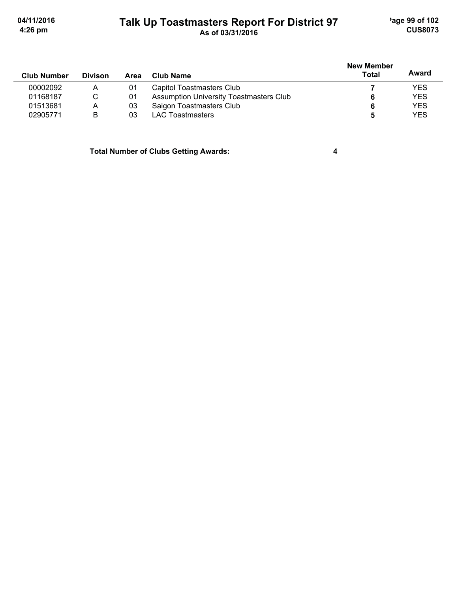'age 99 of 102 **CUS8073** 

04/11/2016 4:26 pm

## Talk Up Toastmasters Report For District 97<br>As of 03/31/2016

| <b>Club Number</b> | <b>Divison</b> | <b>Area</b> | Club Name                                      | New Member<br><b>Total</b> | Award      |
|--------------------|----------------|-------------|------------------------------------------------|----------------------------|------------|
| 00002092           | Α              | 01          | Capitol Toastmasters Club                      |                            | <b>YES</b> |
| 01168187           | C              | 01          | <b>Assumption University Toastmasters Club</b> | 6                          | <b>YES</b> |
| 01513681           | А              | 03          | Saigon Toastmasters Club                       | 6                          | <b>YES</b> |
| 02905771           | B              | 03          | LAC Toastmasters                               | 5                          | <b>YES</b> |

**Total Number of Clubs Getting Awards:** 

 $\overline{\mathbf{4}}$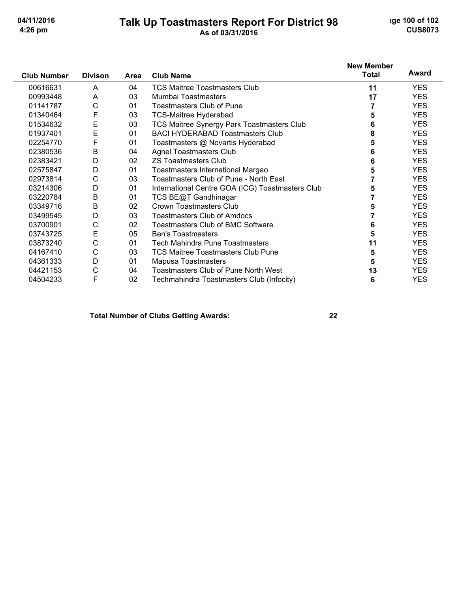# Talk Up Toastmasters Report For District 98

**ige 100 of 102 CUS8073** 

|                    |                |      |                                                  | <b>New Member</b> |            |
|--------------------|----------------|------|--------------------------------------------------|-------------------|------------|
| <b>Club Number</b> | <b>Divison</b> | Area | <b>Club Name</b>                                 | <b>Total</b>      | Award      |
| 00616631           | A              | 04   | <b>TCS Maitree Toastmasters Club</b>             | 11                | <b>YES</b> |
| 00993448           | A              | 03   | Mumbai Toastmasters                              | 17                | YES.       |
| 01141787           | С              | 01   | Toastmasters Club of Pune                        |                   | <b>YES</b> |
| 01340464           | F              | 03   | <b>TCS-Maitree Hyderabad</b>                     | 5                 | <b>YES</b> |
| 01534632           | Е              | 03   | TCS Maitree Synergy Park Toastmasters Club       | 6                 | <b>YES</b> |
| 01937401           | E              | 01   | <b>BACI HYDERABAD Toastmasters Club</b>          | 8                 | <b>YES</b> |
| 02254770           | F              | 01   | Toastmasters @ Novartis Hyderabad                | 5                 | <b>YES</b> |
| 02380536           | B              | 04   | <b>Agnel Toastmasters Club</b>                   | 6                 | <b>YES</b> |
| 02383421           | D              | 02   | <b>ZS Toastmasters Club</b>                      | 6                 | <b>YES</b> |
| 02575847           | D              | 01   | Toastmasters International Margao                | 5                 | YES.       |
| 02973814           | C              | 03   | Toastmasters Club of Pune - North East           |                   | <b>YES</b> |
| 03214306           | D              | 01   | International Centre GOA (ICG) Toastmasters Club | 5                 | <b>YES</b> |
| 03220784           | B              | 01   | TCS BE@T Gandhinagar                             |                   | <b>YES</b> |
| 03349716           | B              | 02   | Crown Toastmasters Club                          | 5                 | <b>YES</b> |
| 03499545           | D              | 03   | <b>Toastmasters Club of Amdocs</b>               |                   | <b>YES</b> |
| 03700901           | С              | 02   | <b>Toastmasters Club of BMC Software</b>         | 6                 | <b>YES</b> |
| 03743725           | E              | 05   | <b>Ben's Toastmasters</b>                        | 5                 | <b>YES</b> |
| 03873240           | C              | 01   | Tech Mahindra Pune Toastmasters                  | 11                | <b>YES</b> |
| 04167410           | С              | 03   | <b>TCS Maitree Toastmasters Club Pune</b>        | 5                 | <b>YES</b> |
| 04361333           | D              | 01   | Mapusa Toastmasters                              | 5                 | <b>YES</b> |
| 04421153           | С              | 04   | <b>Toastmasters Club of Pune North West</b>      | 13                | <b>YES</b> |
| 04504233           | F              | 02   | Techmahindra Toastmasters Club (Infocity)        | 6                 | <b>YES</b> |

### **Total Number of Clubs Getting Awards:**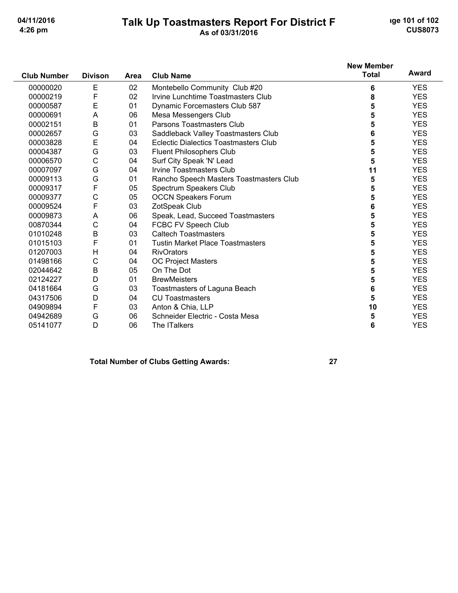#### Talk Up Toastmasters Report For District F As of 03/31/2016

ige 101 of 102 **CUS8073** 

**YES** 

**YES** 

**YES** 

10

5

6

#### **New Member Award Total Club Number Divison** Area **Club Name** E 02 Montebello Community Club #20 00000020 6 **YES** F 02 Irvine Lunchtime Toastmasters Club 00000219 8 **YES** E 00000587  $01$ Dynamic Forcemasters Club 587 **YES** 5 00000691 A 06 Mesa Messengers Club 5 **YES** B  $01$ 5 Parsons Toastmasters Club **YES** 00002151 G 00002657 03 Saddleback Valley Toastmasters Club 6 **YES** 00003828 E 04 **Eclectic Dialectics Toastmasters Club** 5 **YES** 00004387 G 03 Fluent Philosophers Club 5 **YES**  $\mathsf{C}$ 5 00006570 04 Surf City Speak 'N' Lead **YES** G 04 Irvine Toastmasters Club **YES** 00007097  $11$ G Rancho Speech Masters Toastmasters Club 5 00009113 01 **YES** 00009317 F  $0<sub>5</sub>$ Spectrum Speakers Club 5 **YES**  $\overline{C}$ 05 **OCCN Speakers Forum** 5 **YES** 00009377 F 00009524 03 ZotSpeak Club  $6\phantom{a}$ **YES** 00009873 A 06 Speak, Lead, Succeed Toastmasters 5 **YES**  $\overline{C}$ 04 FCBC FV Speech Club 5 **YES** 00870344 01010248 B  $03<sub>o</sub>$ **Caltech Toastmasters** 5 **YES** F  $01$ **Tustin Market Place Toastmasters** 5 **YES** 01015103  $H$ 04 5 **YES** 01207003 **RivOrators** 01498166  $\mathsf{C}$  $04$ **OC Project Masters** 5 **YES**  $\mathsf{B}$ 05 On The Dot 5 02044642 **YES** D 01 **BrewMeisters** 5 **YES** 02124227 G 04181664 03 Toastmasters of Laguna Beach 6 **YES** D 04 **CU Toastmasters** 5 **YES** 04317506

**Total Number of Clubs Getting Awards:** 

The ITalkers

Anton & Chia, LLP

Schneider Electric - Costa Mesa

E

G

D

04909894

04942689

05141077

 $0.3$ 

06

 $06$